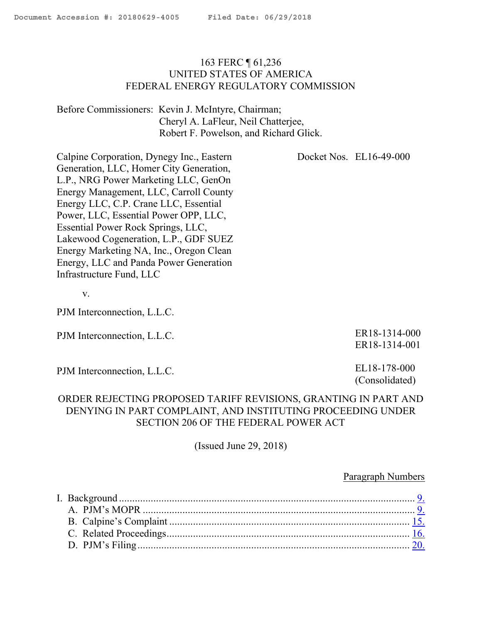### 163 FERC ¶ 61,236 UNITED STATES OF AMERICA FEDERAL ENERGY REGULATORY COMMISSION

Before Commissioners: Kevin J. McIntyre, Chairman; Cheryl A. LaFleur, Neil Chatterjee, Robert F. Powelson, and Richard Glick.

Docket Nos. EL16-49-000

Calpine Corporation, Dynegy Inc., Eastern Generation, LLC, Homer City Generation, L.P., NRG Power Marketing LLC, GenOn Energy Management, LLC, Carroll County Energy LLC, C.P. Crane LLC, Essential Power, LLC, Essential Power OPP, LLC, Essential Power Rock Springs, LLC, Lakewood Cogeneration, L.P., GDF SUEZ Energy Marketing NA, Inc., Oregon Clean Energy, LLC and Panda Power Generation Infrastructure Fund, LLC

v.

PJM Interconnection, L.L.C.

PJM Interconnection, L.L.C.

PJM Interconnection, L.L.C.

ER18-1314-000 ER18-1314-001

EL18-178-000 (Consolidated)

## ORDER REJECTING PROPOSED TARIFF REVISIONS, GRANTING IN PART AND DENYING IN PART COMPLAINT, AND INSTITUTING PROCEEDING UNDER SECTION 206 OF THE FEDERAL POWER ACT

(Issued June 29, 2018)

#### Paragraph Numbers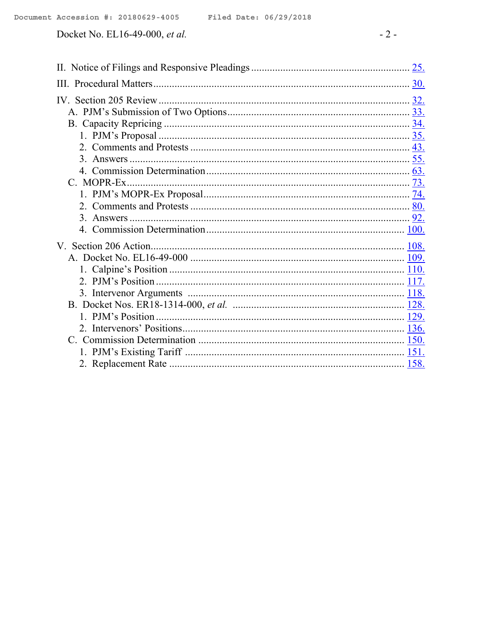|  | Docket No. EL16-49-000, <i>et al</i> . |
|--|----------------------------------------|
|--|----------------------------------------|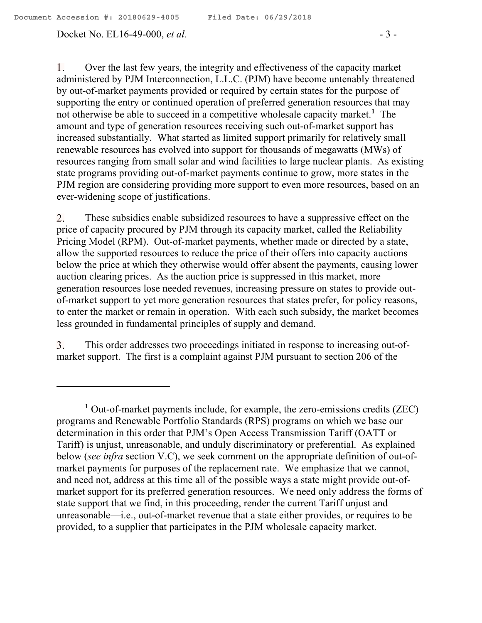#### Docket No. EL16-49-000, *et al.* - 3 -

 $\mathbf{1}$ . Over the last few years, the integrity and effectiveness of the capacity market administered by PJM Interconnection, L.L.C. (PJM) have become untenably threatened by out-of-market payments provided or required by certain states for the purpose of supporting the entry or continued operation of preferred generation resources that may not otherwise be able to succeed in a competitive wholesale capacity market.**<sup>1</sup>** The amount and type of generation resources receiving such out-of-market support has increased substantially. What started as limited support primarily for relatively small renewable resources has evolved into support for thousands of megawatts (MWs) of resources ranging from small solar and wind facilities to large nuclear plants. As existing state programs providing out-of-market payments continue to grow, more states in the PJM region are considering providing more support to even more resources, based on an ever-widening scope of justifications.

2. These subsidies enable subsidized resources to have a suppressive effect on the price of capacity procured by PJM through its capacity market, called the Reliability Pricing Model (RPM). Out-of-market payments, whether made or directed by a state, allow the supported resources to reduce the price of their offers into capacity auctions below the price at which they otherwise would offer absent the payments, causing lower auction clearing prices. As the auction price is suppressed in this market, more generation resources lose needed revenues, increasing pressure on states to provide outof-market support to yet more generation resources that states prefer, for policy reasons, to enter the market or remain in operation. With each such subsidy, the market becomes less grounded in fundamental principles of supply and demand.

This order addresses two proceedings initiated in response to increasing out-of-3. market support. The first is a complaint against PJM pursuant to section 206 of the

**<sup>1</sup>** Out-of-market payments include, for example, the zero-emissions credits (ZEC) programs and Renewable Portfolio Standards (RPS) programs on which we base our determination in this order that PJM's Open Access Transmission Tariff (OATT or Tariff) is unjust, unreasonable, and unduly discriminatory or preferential. As explained below (*see infra* section V.C), we seek comment on the appropriate definition of out-ofmarket payments for purposes of the replacement rate. We emphasize that we cannot, and need not, address at this time all of the possible ways a state might provide out-ofmarket support for its preferred generation resources. We need only address the forms of state support that we find, in this proceeding, render the current Tariff unjust and unreasonable—i.e., out-of-market revenue that a state either provides, or requires to be provided, to a supplier that participates in the PJM wholesale capacity market.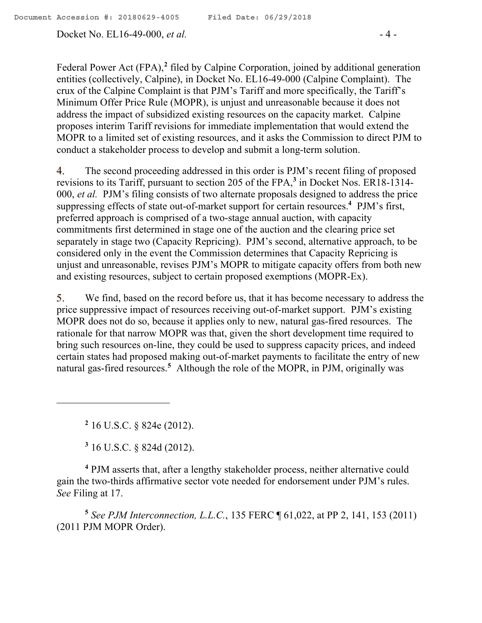Docket No. EL16-49-000, *et al.* - 4 -

Federal Power Act (FPA),<sup>2</sup> filed by Calpine Corporation, joined by additional generation entities (collectively, Calpine), in Docket No. EL16-49-000 (Calpine Complaint). The crux of the Calpine Complaint is that PJM's Tariff and more specifically, the Tariff's Minimum Offer Price Rule (MOPR), is unjust and unreasonable because it does not address the impact of subsidized existing resources on the capacity market. Calpine proposes interim Tariff revisions for immediate implementation that would extend the MOPR to a limited set of existing resources, and it asks the Commission to direct PJM to conduct a stakeholder process to develop and submit a long-term solution.

The second proceeding addressed in this order is PJM's recent filing of proposed 4. revisions to its Tariff, pursuant to section 205 of the FPA,**<sup>3</sup>** in Docket Nos. ER18-1314- 000, *et al.* PJM's filing consists of two alternate proposals designed to address the price suppressing effects of state out-of-market support for certain resources. **4** PJM's first, preferred approach is comprised of a two-stage annual auction, with capacity commitments first determined in stage one of the auction and the clearing price set separately in stage two (Capacity Repricing). PJM's second, alternative approach, to be considered only in the event the Commission determines that Capacity Repricing is unjust and unreasonable, revises PJM's MOPR to mitigate capacity offers from both new and existing resources, subject to certain proposed exemptions (MOPR-Ex).

5. We find, based on the record before us, that it has become necessary to address the price suppressive impact of resources receiving out-of-market support. PJM's existing MOPR does not do so, because it applies only to new, natural gas-fired resources. The rationale for that narrow MOPR was that, given the short development time required to bring such resources on-line, they could be used to suppress capacity prices, and indeed certain states had proposed making out-of-market payments to facilitate the entry of new natural gas-fired resources. **5** Although the role of the MOPR, in PJM, originally was

**2** 16 U.S.C. § 824e (2012).

 $\overline{a}$ 

**3** 16 U.S.C. § 824d (2012).

**<sup>4</sup>** PJM asserts that, after a lengthy stakeholder process, neither alternative could gain the two-thirds affirmative sector vote needed for endorsement under PJM's rules. *See* Filing at 17.

**5** *See PJM Interconnection, L.L.C.*, 135 FERC ¶ 61,022, at PP 2, 141, 153 (2011) (2011 PJM MOPR Order).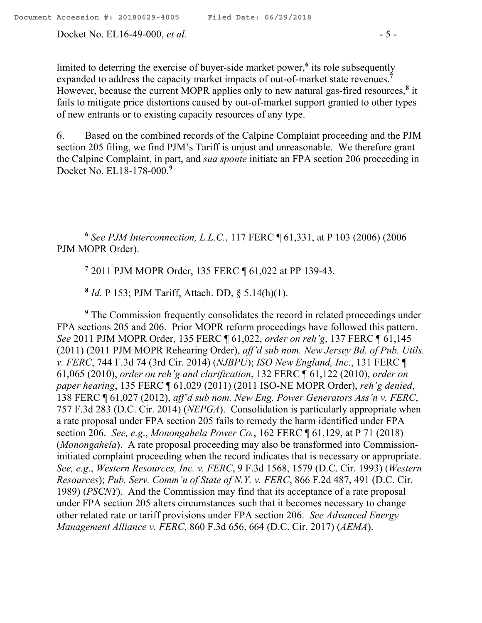Docket No. EL16-49-000, *et al.* - 5 -

limited to deterring the exercise of buyer-side market power,<sup>6</sup> its role subsequently expanded to address the capacity market impacts of out-of-market state revenues.**<sup>7</sup>** However, because the current MOPR applies only to new natural gas-fired resources,**<sup>8</sup>** it fails to mitigate price distortions caused by out-of-market support granted to other types of new entrants or to existing capacity resources of any type.

Based on the combined records of the Calpine Complaint proceeding and the PJM 6. section 205 filing, we find PJM's Tariff is unjust and unreasonable. We therefore grant the Calpine Complaint, in part, and *sua sponte* initiate an FPA section 206 proceeding in Docket No. EL18-178-000. **9**

**6** *See PJM Interconnection, L.L.C.*, 117 FERC ¶ 61,331, at P 103 (2006) (2006 PJM MOPR Order).

**7** 2011 PJM MOPR Order, 135 FERC ¶ 61,022 at PP 139-43.

**8** *Id.* P 153; PJM Tariff, Attach. DD, § 5.14(h)(1).

**<sup>9</sup>** The Commission frequently consolidates the record in related proceedings under FPA sections 205 and 206. Prior MOPR reform proceedings have followed this pattern. *See* 2011 PJM MOPR Order, 135 FERC ¶ 61,022, *order on reh'g*, 137 FERC ¶ 61,145 (2011) (2011 PJM MOPR Rehearing Order), *aff'd sub nom. New Jersey Bd. of Pub. Utils. v. FERC*, 744 F.3d 74 (3rd Cir. 2014) (*NJBPU*); *ISO New England, Inc*., 131 FERC ¶ 61,065 (2010), *order on reh'g and clarification*, 132 FERC ¶ 61,122 (2010), *order on paper hearing*, 135 FERC ¶ 61,029 (2011) (2011 ISO-NE MOPR Order), *reh'g denied*, 138 FERC ¶ 61,027 (2012), *aff'd sub nom. New Eng. Power Generators Ass'n v. FERC*, 757 F.3d 283 (D.C. Cir. 2014) (*NEPGA*). Consolidation is particularly appropriate when a rate proposal under FPA section 205 fails to remedy the harm identified under FPA section 206. *See, e.g*., *Monongahela Power Co.*, 162 FERC ¶ 61,129, at P 71 (2018) (*Monongahela*). A rate proposal proceeding may also be transformed into Commissioninitiated complaint proceeding when the record indicates that is necessary or appropriate. *See, e.g*., *Western Resources, Inc. v. FERC*, 9 F.3d 1568, 1579 (D.C. Cir. 1993) (*Western Resources*); *Pub. Serv. Comm'n of State of N.Y. v. FERC*, 866 F.2d 487, 491 (D.C. Cir. 1989) (*PSCNY*). And the Commission may find that its acceptance of a rate proposal under FPA section 205 alters circumstances such that it becomes necessary to change other related rate or tariff provisions under FPA section 206. *See Advanced Energy Management Alliance v. FERC*, 860 F.3d 656, 664 (D.C. Cir. 2017) (*AEMA*).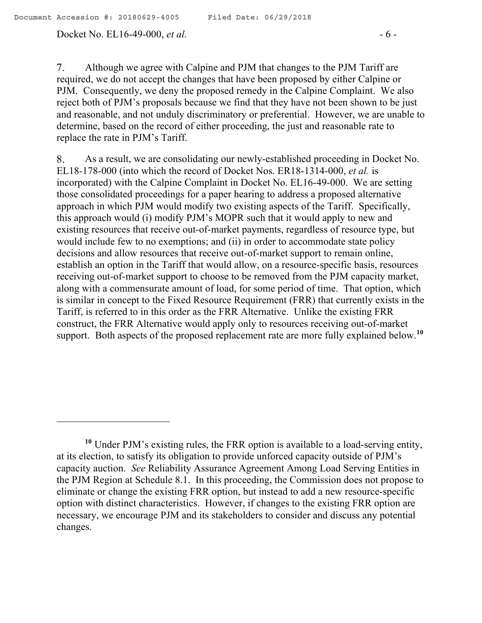Docket No. EL16-49-000, *et al.* - 6 -

7. Although we agree with Calpine and PJM that changes to the PJM Tariff are required, we do not accept the changes that have been proposed by either Calpine or PJM. Consequently, we deny the proposed remedy in the Calpine Complaint. We also reject both of PJM's proposals because we find that they have not been shown to be just and reasonable, and not unduly discriminatory or preferential. However, we are unable to determine, based on the record of either proceeding, the just and reasonable rate to replace the rate in PJM's Tariff.

As a result, we are consolidating our newly-established proceeding in Docket No. 8. EL18-178-000 (into which the record of Docket Nos. ER18-1314-000, *et al.* is incorporated) with the Calpine Complaint in Docket No. EL16-49-000. We are setting those consolidated proceedings for a paper hearing to address a proposed alternative approach in which PJM would modify two existing aspects of the Tariff. Specifically, this approach would (i) modify PJM's MOPR such that it would apply to new and existing resources that receive out-of-market payments, regardless of resource type, but would include few to no exemptions; and (ii) in order to accommodate state policy decisions and allow resources that receive out-of-market support to remain online, establish an option in the Tariff that would allow, on a resource-specific basis, resources receiving out-of-market support to choose to be removed from the PJM capacity market, along with a commensurate amount of load, for some period of time. That option, which is similar in concept to the Fixed Resource Requirement (FRR) that currently exists in the Tariff, is referred to in this order as the FRR Alternative. Unlike the existing FRR construct, the FRR Alternative would apply only to resources receiving out-of-market support. Both aspects of the proposed replacement rate are more fully explained below. **10**

**<sup>10</sup>** Under PJM's existing rules, the FRR option is available to a load-serving entity, at its election, to satisfy its obligation to provide unforced capacity outside of PJM's capacity auction. *See* Reliability Assurance Agreement Among Load Serving Entities in the PJM Region at Schedule 8.1. In this proceeding, the Commission does not propose to eliminate or change the existing FRR option, but instead to add a new resource-specific option with distinct characteristics. However, if changes to the existing FRR option are necessary, we encourage PJM and its stakeholders to consider and discuss any potential changes.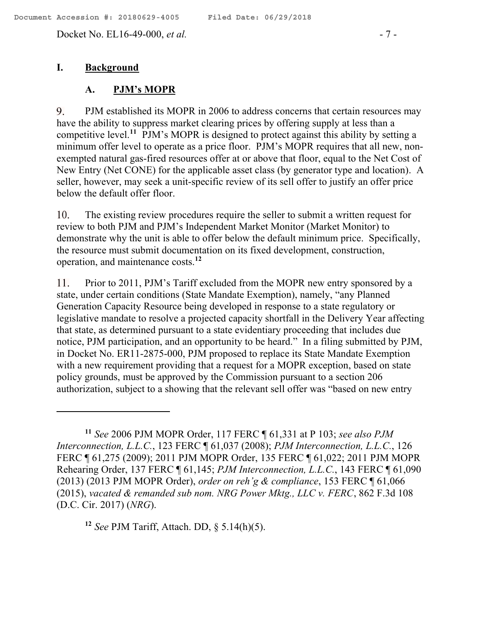Docket No. EL16-49-000, *et al.* - 7 -

### **I. Background**

 $\overline{a}$ 

#### **A. PJM's MOPR**

PJM established its MOPR in 2006 to address concerns that certain resources may 9. have the ability to suppress market clearing prices by offering supply at less than a competitive level.<sup>11</sup> PJM's MOPR is designed to protect against this ability by setting a minimum offer level to operate as a price floor. PJM's MOPR requires that all new, nonexempted natural gas-fired resources offer at or above that floor, equal to the Net Cost of New Entry (Net CONE) for the applicable asset class (by generator type and location). A seller, however, may seek a unit-specific review of its sell offer to justify an offer price below the default offer floor.

The existing review procedures require the seller to submit a written request for  $10.$ review to both PJM and PJM's Independent Market Monitor (Market Monitor) to demonstrate why the unit is able to offer below the default minimum price. Specifically, the resource must submit documentation on its fixed development, construction, operation, and maintenance costs.**<sup>12</sup>**

Prior to 2011, PJM's Tariff excluded from the MOPR new entry sponsored by a 11. state, under certain conditions (State Mandate Exemption), namely, "any Planned Generation Capacity Resource being developed in response to a state regulatory or legislative mandate to resolve a projected capacity shortfall in the Delivery Year affecting that state, as determined pursuant to a state evidentiary proceeding that includes due notice, PJM participation, and an opportunity to be heard." In a filing submitted by PJM, in Docket No. ER11-2875-000, PJM proposed to replace its State Mandate Exemption with a new requirement providing that a request for a MOPR exception, based on state policy grounds, must be approved by the Commission pursuant to a section 206 authorization, subject to a showing that the relevant sell offer was "based on new entry

**<sup>12</sup>** *See* PJM Tariff, Attach. DD, § 5.14(h)(5).

**<sup>11</sup>** *See* 2006 PJM MOPR Order, 117 FERC ¶ 61,331 at P 103; *see also PJM Interconnection, L.L.C.*, 123 FERC ¶ 61,037 (2008); *PJM Interconnection, L.L.C.*, 126 FERC ¶ 61,275 (2009); 2011 PJM MOPR Order, 135 FERC ¶ 61,022; 2011 PJM MOPR Rehearing Order, 137 FERC ¶ 61,145; *PJM Interconnection, L.L.C.*, 143 FERC ¶ 61,090 (2013) (2013 PJM MOPR Order), *order on reh'g & compliance*, 153 FERC ¶ 61,066 (2015), *vacated & remanded sub nom. NRG Power Mktg., LLC v. FERC*, 862 F.3d 108 (D.C. Cir. 2017) (*NRG*).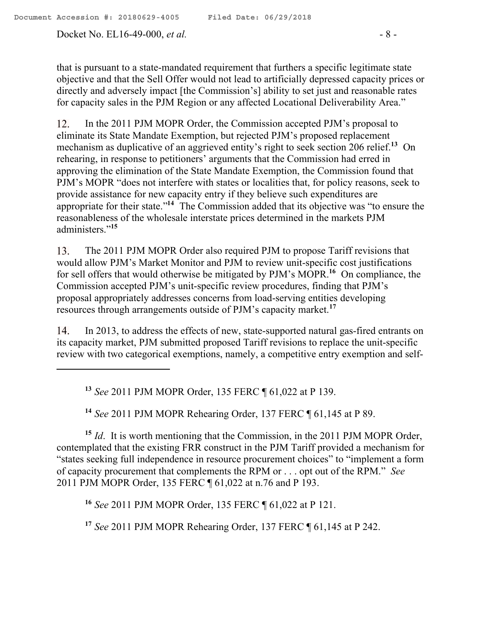Docket No. EL16-49-000, *et al.* - 8 -

that is pursuant to a state-mandated requirement that furthers a specific legitimate state objective and that the Sell Offer would not lead to artificially depressed capacity prices or directly and adversely impact [the Commission's] ability to set just and reasonable rates for capacity sales in the PJM Region or any affected Locational Deliverability Area."

 $12.$ In the 2011 PJM MOPR Order, the Commission accepted PJM's proposal to eliminate its State Mandate Exemption, but rejected PJM's proposed replacement mechanism as duplicative of an aggrieved entity's right to seek section 206 relief.<sup>13</sup> On rehearing, in response to petitioners' arguments that the Commission had erred in approving the elimination of the State Mandate Exemption, the Commission found that PJM's MOPR "does not interfere with states or localities that, for policy reasons, seek to provide assistance for new capacity entry if they believe such expenditures are appropriate for their state."<sup>14</sup> The Commission added that its objective was "to ensure the reasonableness of the wholesale interstate prices determined in the markets PJM administers."**<sup>15</sup>**

The 2011 PJM MOPR Order also required PJM to propose Tariff revisions that 13. would allow PJM's Market Monitor and PJM to review unit-specific cost justifications for sell offers that would otherwise be mitigated by PJM's MOPR.<sup>16</sup> On compliance, the Commission accepted PJM's unit-specific review procedures, finding that PJM's proposal appropriately addresses concerns from load-serving entities developing resources through arrangements outside of PJM's capacity market.**<sup>17</sup>**

In 2013, to address the effects of new, state-supported natural gas-fired entrants on 14. its capacity market, PJM submitted proposed Tariff revisions to replace the unit-specific review with two categorical exemptions, namely, a competitive entry exemption and self-

**<sup>13</sup>** *See* 2011 PJM MOPR Order, 135 FERC ¶ 61,022 at P 139.

**<sup>14</sup>** *See* 2011 PJM MOPR Rehearing Order, 137 FERC ¶ 61,145 at P 89.

**<sup>15</sup>** *Id*. It is worth mentioning that the Commission, in the 2011 PJM MOPR Order, contemplated that the existing FRR construct in the PJM Tariff provided a mechanism for "states seeking full independence in resource procurement choices" to "implement a form of capacity procurement that complements the RPM or . . . opt out of the RPM." *See*  2011 PJM MOPR Order, 135 FERC ¶ 61,022 at n.76 and P 193.

**<sup>16</sup>** *See* 2011 PJM MOPR Order, 135 FERC ¶ 61,022 at P 121.

**<sup>17</sup>** *See* 2011 PJM MOPR Rehearing Order, 137 FERC ¶ 61,145 at P 242.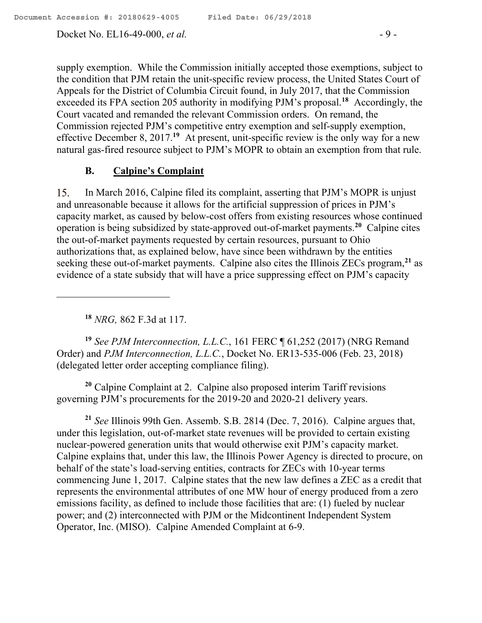Docket No. EL16-49-000, *et al.* - 9 -

supply exemption. While the Commission initially accepted those exemptions, subject to the condition that PJM retain the unit-specific review process, the United States Court of Appeals for the District of Columbia Circuit found, in July 2017, that the Commission exceeded its FPA section 205 authority in modifying PJM's proposal.**<sup>18</sup>** Accordingly, the Court vacated and remanded the relevant Commission orders. On remand, the Commission rejected PJM's competitive entry exemption and self-supply exemption, effective December 8, 2017.<sup>19</sup> At present, unit-specific review is the only way for a new natural gas-fired resource subject to PJM's MOPR to obtain an exemption from that rule.

### **B. Calpine's Complaint**

In March 2016, Calpine filed its complaint, asserting that PJM's MOPR is unjust 15. and unreasonable because it allows for the artificial suppression of prices in PJM's capacity market, as caused by below-cost offers from existing resources whose continued operation is being subsidized by state-approved out-of-market payments.**<sup>20</sup>** Calpine cites the out-of-market payments requested by certain resources, pursuant to Ohio authorizations that, as explained below, have since been withdrawn by the entities seeking these out-of-market payments. Calpine also cites the Illinois ZECs program,**<sup>21</sup>** as evidence of a state subsidy that will have a price suppressing effect on PJM's capacity

**<sup>18</sup>** *NRG,* 862 F.3d at 117.

 $\overline{a}$ 

**<sup>19</sup>** *See PJM Interconnection, L.L.C.*, 161 FERC ¶ 61,252 (2017) (NRG Remand Order) and *PJM Interconnection, L.L.C.*, Docket No. ER13-535-006 (Feb. 23, 2018) (delegated letter order accepting compliance filing).

**<sup>20</sup>** Calpine Complaint at 2. Calpine also proposed interim Tariff revisions governing PJM's procurements for the 2019-20 and 2020-21 delivery years.

**<sup>21</sup>** *See* Illinois 99th Gen. Assemb. S.B. 2814 (Dec. 7, 2016). Calpine argues that, under this legislation, out-of-market state revenues will be provided to certain existing nuclear-powered generation units that would otherwise exit PJM's capacity market. Calpine explains that, under this law, the Illinois Power Agency is directed to procure, on behalf of the state's load-serving entities, contracts for ZECs with 10-year terms commencing June 1, 2017. Calpine states that the new law defines a ZEC as a credit that represents the environmental attributes of one MW hour of energy produced from a zero emissions facility, as defined to include those facilities that are: (1) fueled by nuclear power; and (2) interconnected with PJM or the Midcontinent Independent System Operator, Inc. (MISO). Calpine Amended Complaint at 6-9.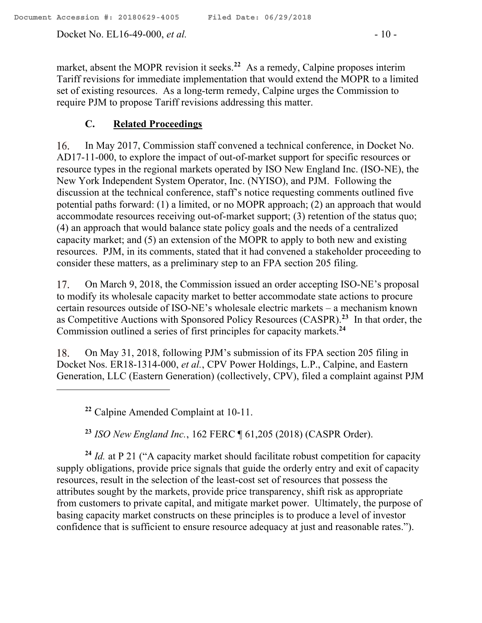Docket No. EL16-49-000, *et al.* - 10 -

market, absent the MOPR revision it seeks.**<sup>22</sup>** As a remedy, Calpine proposes interim Tariff revisions for immediate implementation that would extend the MOPR to a limited set of existing resources. As a long-term remedy, Calpine urges the Commission to require PJM to propose Tariff revisions addressing this matter.

## **C. Related Proceedings**

16. In May 2017, Commission staff convened a technical conference, in Docket No. AD17-11-000, to explore the impact of out-of-market support for specific resources or resource types in the regional markets operated by ISO New England Inc. (ISO-NE), the New York Independent System Operator, Inc. (NYISO), and PJM. Following the discussion at the technical conference, staff's notice requesting comments outlined five potential paths forward: (1) a limited, or no MOPR approach; (2) an approach that would accommodate resources receiving out-of-market support; (3) retention of the status quo; (4) an approach that would balance state policy goals and the needs of a centralized capacity market; and (5) an extension of the MOPR to apply to both new and existing resources. PJM, in its comments, stated that it had convened a stakeholder proceeding to consider these matters, as a preliminary step to an FPA section 205 filing.

17. On March 9, 2018, the Commission issued an order accepting ISO-NE's proposal to modify its wholesale capacity market to better accommodate state actions to procure certain resources outside of ISO-NE's wholesale electric markets – a mechanism known as Competitive Auctions with Sponsored Policy Resources (CASPR).**<sup>23</sup>** In that order, the Commission outlined a series of first principles for capacity markets.**<sup>24</sup>**

On May 31, 2018, following PJM's submission of its FPA section 205 filing in 18. Docket Nos. ER18-1314-000, *et al.*, CPV Power Holdings, L.P., Calpine, and Eastern Generation, LLC (Eastern Generation) (collectively, CPV), filed a complaint against PJM

**<sup>22</sup>** Calpine Amended Complaint at 10-11.

**<sup>23</sup>** *ISO New England Inc.*, 162 FERC ¶ 61,205 (2018) (CASPR Order).

**<sup>24</sup>** *Id.* at P 21 ("A capacity market should facilitate robust competition for capacity supply obligations, provide price signals that guide the orderly entry and exit of capacity resources, result in the selection of the least-cost set of resources that possess the attributes sought by the markets, provide price transparency, shift risk as appropriate from customers to private capital, and mitigate market power. Ultimately, the purpose of basing capacity market constructs on these principles is to produce a level of investor confidence that is sufficient to ensure resource adequacy at just and reasonable rates.").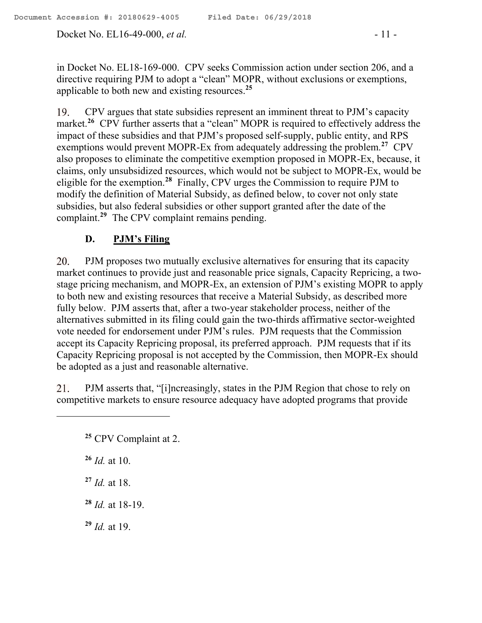Docket No. EL16-49-000, *et al.* - 11 -

in Docket No. EL18-169-000. CPV seeks Commission action under section 206, and a directive requiring PJM to adopt a "clean" MOPR, without exclusions or exemptions, applicable to both new and existing resources.**<sup>25</sup>**

CPV argues that state subsidies represent an imminent threat to PJM's capacity 19. market.<sup>26</sup> CPV further asserts that a "clean" MOPR is required to effectively address the impact of these subsidies and that PJM's proposed self-supply, public entity, and RPS exemptions would prevent MOPR-Ex from adequately addressing the problem.**<sup>27</sup>** CPV also proposes to eliminate the competitive exemption proposed in MOPR-Ex, because, it claims, only unsubsidized resources, which would not be subject to MOPR-Ex, would be eligible for the exemption.**<sup>28</sup>** Finally, CPV urges the Commission to require PJM to modify the definition of Material Subsidy, as defined below, to cover not only state subsidies, but also federal subsidies or other support granted after the date of the complaint.**<sup>29</sup>** The CPV complaint remains pending.

# **D. PJM's Filing**

PJM proposes two mutually exclusive alternatives for ensuring that its capacity 20. market continues to provide just and reasonable price signals, Capacity Repricing, a twostage pricing mechanism, and MOPR-Ex, an extension of PJM's existing MOPR to apply to both new and existing resources that receive a Material Subsidy, as described more fully below. PJM asserts that, after a two-year stakeholder process, neither of the alternatives submitted in its filing could gain the two-thirds affirmative sector-weighted vote needed for endorsement under PJM's rules. PJM requests that the Commission accept its Capacity Repricing proposal, its preferred approach. PJM requests that if its Capacity Repricing proposal is not accepted by the Commission, then MOPR-Ex should be adopted as a just and reasonable alternative.

21. PJM asserts that, "[i]ncreasingly, states in the PJM Region that chose to rely on competitive markets to ensure resource adequacy have adopted programs that provide

**<sup>26</sup>** *Id.* at 10.

 $\overline{a}$ 

**<sup>27</sup>** *Id.* at 18.

**<sup>28</sup>** *Id.* at 18-19.

**<sup>29</sup>** *Id.* at 19.

**<sup>25</sup>** CPV Complaint at 2.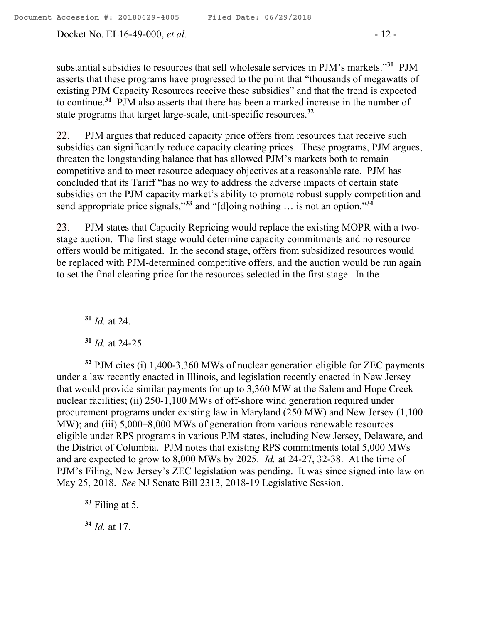Docket No. EL16-49-000, *et al.* - 12 -

substantial subsidies to resources that sell wholesale services in PJM's markets."**<sup>30</sup>** PJM asserts that these programs have progressed to the point that "thousands of megawatts of existing PJM Capacity Resources receive these subsidies" and that the trend is expected to continue.**<sup>31</sup>** PJM also asserts that there has been a marked increase in the number of state programs that target large-scale, unit-specific resources.**<sup>32</sup>**

22. PJM argues that reduced capacity price offers from resources that receive such subsidies can significantly reduce capacity clearing prices. These programs, PJM argues, threaten the longstanding balance that has allowed PJM's markets both to remain competitive and to meet resource adequacy objectives at a reasonable rate. PJM has concluded that its Tariff "has no way to address the adverse impacts of certain state subsidies on the PJM capacity market's ability to promote robust supply competition and send appropriate price signals,"**<sup>33</sup>** and "[d]oing nothing … is not an option."**<sup>34</sup>**

23. PJM states that Capacity Repricing would replace the existing MOPR with a twostage auction. The first stage would determine capacity commitments and no resource offers would be mitigated. In the second stage, offers from subsidized resources would be replaced with PJM-determined competitive offers, and the auction would be run again to set the final clearing price for the resources selected in the first stage. In the

**<sup>30</sup>** *Id.* at 24.

 $\overline{a}$ 

**<sup>31</sup>** *Id.* at 24-25.

**<sup>32</sup>** PJM cites (i) 1,400-3,360 MWs of nuclear generation eligible for ZEC payments under a law recently enacted in Illinois, and legislation recently enacted in New Jersey that would provide similar payments for up to 3,360 MW at the Salem and Hope Creek nuclear facilities; (ii) 250-1,100 MWs of off-shore wind generation required under procurement programs under existing law in Maryland (250 MW) and New Jersey (1,100 MW); and (iii) 5,000–8,000 MWs of generation from various renewable resources eligible under RPS programs in various PJM states, including New Jersey, Delaware, and the District of Columbia. PJM notes that existing RPS commitments total 5,000 MWs and are expected to grow to 8,000 MWs by 2025. *Id.* at 24-27, 32-38. At the time of PJM's Filing, New Jersey's ZEC legislation was pending. It was since signed into law on May 25, 2018. *See* NJ Senate Bill 2313, 2018-19 Legislative Session.

**<sup>33</sup>** Filing at 5.

**<sup>34</sup>** *Id.* at 17.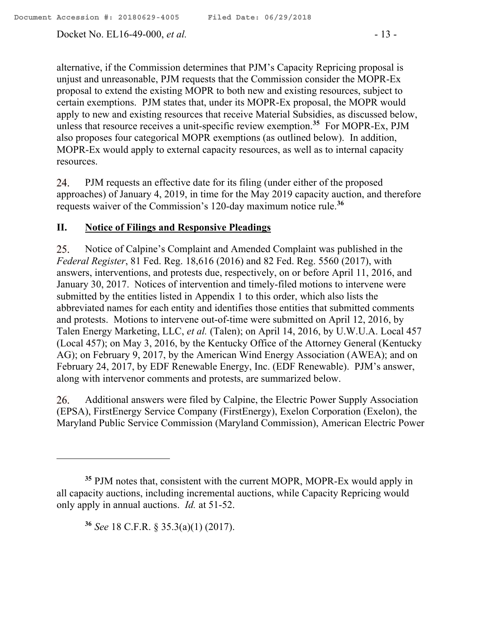Docket No. EL16-49-000, *et al.* - 13 -

alternative, if the Commission determines that PJM's Capacity Repricing proposal is unjust and unreasonable, PJM requests that the Commission consider the MOPR-Ex proposal to extend the existing MOPR to both new and existing resources, subject to certain exemptions. PJM states that, under its MOPR-Ex proposal, the MOPR would apply to new and existing resources that receive Material Subsidies, as discussed below, unless that resource receives a unit-specific review exemption. **35** For MOPR-Ex, PJM also proposes four categorical MOPR exemptions (as outlined below). In addition, MOPR-Ex would apply to external capacity resources, as well as to internal capacity resources.

24. PJM requests an effective date for its filing (under either of the proposed approaches) of January 4, 2019, in time for the May 2019 capacity auction, and therefore requests waiver of the Commission's 120-day maximum notice rule.**<sup>36</sup>**

## **II. Notice of Filings and Responsive Pleadings**

25. Notice of Calpine's Complaint and Amended Complaint was published in the *Federal Register*, 81 Fed. Reg. 18,616 (2016) and 82 Fed. Reg. 5560 (2017), with answers, interventions, and protests due, respectively, on or before April 11, 2016, and January 30, 2017. Notices of intervention and timely-filed motions to intervene were submitted by the entities listed in Appendix 1 to this order, which also lists the abbreviated names for each entity and identifies those entities that submitted comments and protests. Motions to intervene out-of-time were submitted on April 12, 2016, by Talen Energy Marketing, LLC, *et al.* (Talen); on April 14, 2016, by U.W.U.A. Local 457 (Local 457); on May 3, 2016, by the Kentucky Office of the Attorney General (Kentucky AG); on February 9, 2017, by the American Wind Energy Association (AWEA); and on February 24, 2017, by EDF Renewable Energy, Inc. (EDF Renewable). PJM's answer, along with intervenor comments and protests, are summarized below.

Additional answers were filed by Calpine, the Electric Power Supply Association 26. (EPSA), FirstEnergy Service Company (FirstEnergy), Exelon Corporation (Exelon), the Maryland Public Service Commission (Maryland Commission), American Electric Power

**<sup>36</sup>** *See* 18 C.F.R. § 35.3(a)(1) (2017).

**<sup>35</sup>** PJM notes that, consistent with the current MOPR, MOPR-Ex would apply in all capacity auctions, including incremental auctions, while Capacity Repricing would only apply in annual auctions. *Id.* at 51-52.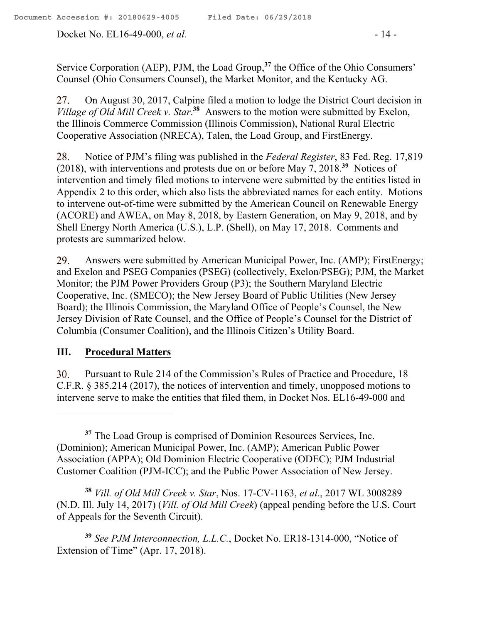Docket No. EL16-49-000, *et al.* - 14 -

Service Corporation (AEP), PJM, the Load Group,**<sup>37</sup>** the Office of the Ohio Consumers' Counsel (Ohio Consumers Counsel), the Market Monitor, and the Kentucky AG.

On August 30, 2017, Calpine filed a motion to lodge the District Court decision in 27. *Village of Old Mill Creek v. Star*. **38** Answers to the motion were submitted by Exelon, the Illinois Commerce Commission (Illinois Commission), National Rural Electric Cooperative Association (NRECA), Talen, the Load Group, and FirstEnergy.

28. Notice of PJM's filing was published in the *Federal Register*, 83 Fed. Reg. 17,819 (2018), with interventions and protests due on or before May 7, 2018.**<sup>39</sup>** Notices of intervention and timely filed motions to intervene were submitted by the entities listed in Appendix 2 to this order, which also lists the abbreviated names for each entity. Motions to intervene out-of-time were submitted by the American Council on Renewable Energy (ACORE) and AWEA, on May 8, 2018, by Eastern Generation, on May 9, 2018, and by Shell Energy North America (U.S.), L.P. (Shell), on May 17, 2018. Comments and protests are summarized below.

29. Answers were submitted by American Municipal Power, Inc. (AMP); FirstEnergy; and Exelon and PSEG Companies (PSEG) (collectively, Exelon/PSEG); PJM, the Market Monitor; the PJM Power Providers Group (P3); the Southern Maryland Electric Cooperative, Inc. (SMECO); the New Jersey Board of Public Utilities (New Jersey Board); the Illinois Commission, the Maryland Office of People's Counsel, the New Jersey Division of Rate Counsel, and the Office of People's Counsel for the District of Columbia (Consumer Coalition), and the Illinois Citizen's Utility Board.

## **III. Procedural Matters**

 $\overline{a}$ 

Pursuant to Rule 214 of the Commission's Rules of Practice and Procedure, 18  $30.$ C.F.R. § 385.214 (2017), the notices of intervention and timely, unopposed motions to intervene serve to make the entities that filed them, in Docket Nos. EL16-49-000 and

**<sup>38</sup>** *Vill. of Old Mill Creek v. Star*, Nos. 17-CV-1163, *et al*., 2017 WL 3008289 (N.D. Ill. July 14, 2017) (*Vill. of Old Mill Creek*) (appeal pending before the U.S. Court of Appeals for the Seventh Circuit).

**<sup>39</sup>** *See PJM Interconnection, L.L.C.*, Docket No. ER18-1314-000, "Notice of Extension of Time" (Apr. 17, 2018).

<sup>&</sup>lt;sup>37</sup> The Load Group is comprised of Dominion Resources Services, Inc. (Dominion); American Municipal Power, Inc. (AMP); American Public Power Association (APPA); Old Dominion Electric Cooperative (ODEC); PJM Industrial Customer Coalition (PJM-ICC); and the Public Power Association of New Jersey.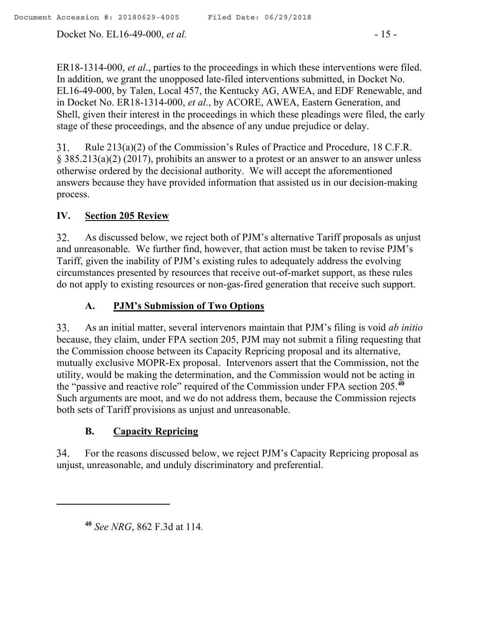Docket No. EL16-49-000, *et al.* - 15 -

ER18-1314-000, *et al*., parties to the proceedings in which these interventions were filed. In addition, we grant the unopposed late-filed interventions submitted, in Docket No. EL16-49-000, by Talen, Local 457, the Kentucky AG, AWEA, and EDF Renewable, and in Docket No. ER18-1314-000, *et al*., by ACORE, AWEA, Eastern Generation, and Shell, given their interest in the proceedings in which these pleadings were filed, the early stage of these proceedings, and the absence of any undue prejudice or delay.

31. Rule 213(a)(2) of the Commission's Rules of Practice and Procedure, 18 C.F.R. § 385.213(a)(2) (2017), prohibits an answer to a protest or an answer to an answer unless otherwise ordered by the decisional authority. We will accept the aforementioned answers because they have provided information that assisted us in our decision-making process.

# **IV. Section 205 Review**

32. As discussed below, we reject both of PJM's alternative Tariff proposals as unjust and unreasonable. We further find, however, that action must be taken to revise PJM's Tariff, given the inability of PJM's existing rules to adequately address the evolving circumstances presented by resources that receive out-of-market support, as these rules do not apply to existing resources or non-gas-fired generation that receive such support.

# **A. PJM's Submission of Two Options**

33. As an initial matter, several intervenors maintain that PJM's filing is void *ab initio* because, they claim, under FPA section 205, PJM may not submit a filing requesting that the Commission choose between its Capacity Repricing proposal and its alternative, mutually exclusive MOPR-Ex proposal. Intervenors assert that the Commission, not the utility, would be making the determination, and the Commission would not be acting in the "passive and reactive role" required of the Commission under FPA section 205.**<sup>40</sup>** Such arguments are moot, and we do not address them, because the Commission rejects both sets of Tariff provisions as unjust and unreasonable.

# **B. Capacity Repricing**

34. For the reasons discussed below, we reject PJM's Capacity Repricing proposal as unjust, unreasonable, and unduly discriminatory and preferential.

**<sup>40</sup>** *See NRG*, 862 F.3d at 114*.*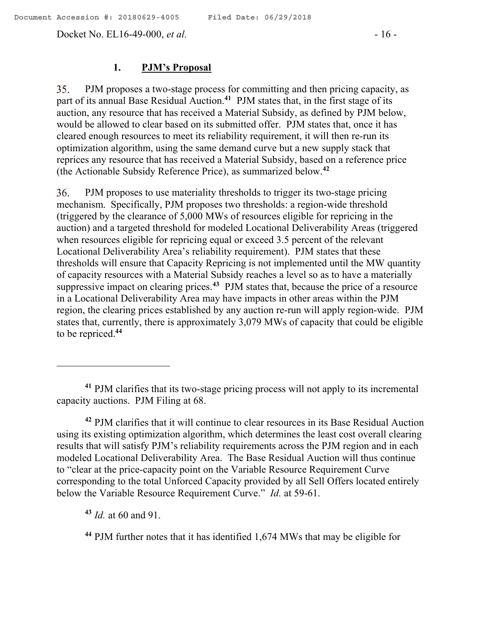Docket No. EL16-49-000, *et al.* - 16 -

#### **1. PJM's Proposal**

PJM proposes a two-stage process for committing and then pricing capacity, as 35. part of its annual Base Residual Auction.<sup>41</sup> PJM states that, in the first stage of its auction, any resource that has received a Material Subsidy, as defined by PJM below, would be allowed to clear based on its submitted offer. PJM states that, once it has cleared enough resources to meet its reliability requirement, it will then re-run its optimization algorithm, using the same demand curve but a new supply stack that reprices any resource that has received a Material Subsidy, based on a reference price (the Actionable Subsidy Reference Price), as summarized below. **42**

36. PJM proposes to use materiality thresholds to trigger its two-stage pricing mechanism. Specifically, PJM proposes two thresholds: a region-wide threshold (triggered by the clearance of 5,000 MWs of resources eligible for repricing in the auction) and a targeted threshold for modeled Locational Deliverability Areas (triggered when resources eligible for repricing equal or exceed 3.5 percent of the relevant Locational Deliverability Area's reliability requirement). PJM states that these thresholds will ensure that Capacity Repricing is not implemented until the MW quantity of capacity resources with a Material Subsidy reaches a level so as to have a materially suppressive impact on clearing prices.**<sup>43</sup>** PJM states that, because the price of a resource in a Locational Deliverability Area may have impacts in other areas within the PJM region, the clearing prices established by any auction re-run will apply region-wide. PJM states that, currently, there is approximately 3,079 MWs of capacity that could be eligible to be repriced. **44**

**<sup>42</sup>** PJM clarifies that it will continue to clear resources in its Base Residual Auction using its existing optimization algorithm, which determines the least cost overall clearing results that will satisfy PJM's reliability requirements across the PJM region and in each modeled Locational Deliverability Area. The Base Residual Auction will thus continue to "clear at the price-capacity point on the Variable Resource Requirement Curve corresponding to the total Unforced Capacity provided by all Sell Offers located entirely below the Variable Resource Requirement Curve." *Id.* at 59-61.

**<sup>43</sup>** *Id.* at 60 and 91.

**<sup>44</sup>** PJM further notes that it has identified 1,674 MWs that may be eligible for

**<sup>41</sup>** PJM clarifies that its two-stage pricing process will not apply to its incremental capacity auctions. PJM Filing at 68.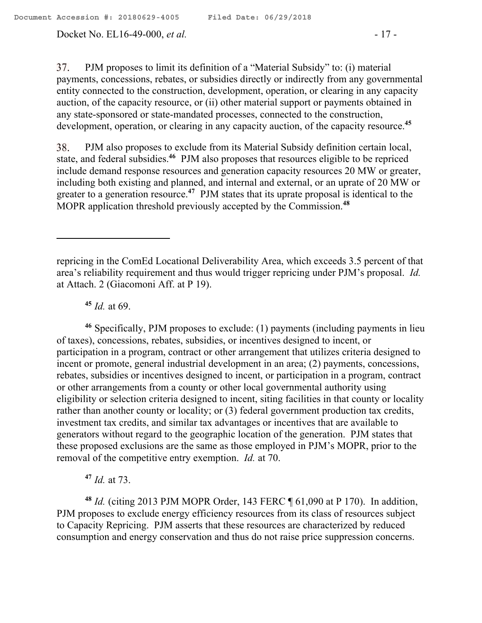Docket No. EL16-49-000, *et al.* - 17 -

37. PJM proposes to limit its definition of a "Material Subsidy" to: (i) material payments, concessions, rebates, or subsidies directly or indirectly from any governmental entity connected to the construction, development, operation, or clearing in any capacity auction, of the capacity resource, or (ii) other material support or payments obtained in any state-sponsored or state-mandated processes, connected to the construction, development, operation, or clearing in any capacity auction, of the capacity resource.**<sup>45</sup>**

PJM also proposes to exclude from its Material Subsidy definition certain local, 38. state, and federal subsidies. **<sup>46</sup>** PJM also proposes that resources eligible to be repriced include demand response resources and generation capacity resources 20 MW or greater, including both existing and planned, and internal and external, or an uprate of 20 MW or greater to a generation resource.**<sup>47</sup>** PJM states that its uprate proposal is identical to the MOPR application threshold previously accepted by the Commission.**<sup>48</sup>**

**<sup>45</sup>** *Id.* at 69.

 $\overline{a}$ 

**<sup>46</sup>** Specifically, PJM proposes to exclude: (1) payments (including payments in lieu of taxes), concessions, rebates, subsidies, or incentives designed to incent, or participation in a program, contract or other arrangement that utilizes criteria designed to incent or promote, general industrial development in an area; (2) payments, concessions, rebates, subsidies or incentives designed to incent, or participation in a program, contract or other arrangements from a county or other local governmental authority using eligibility or selection criteria designed to incent, siting facilities in that county or locality rather than another county or locality; or (3) federal government production tax credits, investment tax credits, and similar tax advantages or incentives that are available to generators without regard to the geographic location of the generation. PJM states that these proposed exclusions are the same as those employed in PJM's MOPR, prior to the removal of the competitive entry exemption. *Id.* at 70.

**<sup>47</sup>** *Id.* at 73.

**<sup>48</sup>** *Id.* (citing 2013 PJM MOPR Order, 143 FERC ¶ 61,090 at P 170). In addition, PJM proposes to exclude energy efficiency resources from its class of resources subject to Capacity Repricing. PJM asserts that these resources are characterized by reduced consumption and energy conservation and thus do not raise price suppression concerns.

repricing in the ComEd Locational Deliverability Area, which exceeds 3.5 percent of that area's reliability requirement and thus would trigger repricing under PJM's proposal. *Id.*  at Attach. 2 (Giacomoni Aff. at P 19).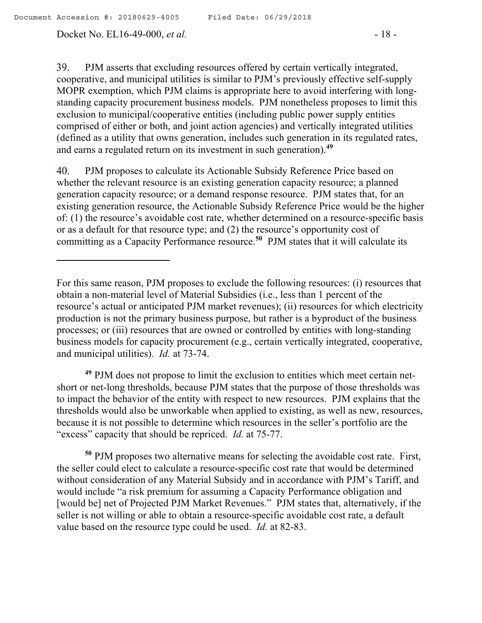39. PJM asserts that excluding resources offered by certain vertically integrated, cooperative, and municipal utilities is similar to PJM's previously effective self-supply MOPR exemption, which PJM claims is appropriate here to avoid interfering with longstanding capacity procurement business models. PJM nonetheless proposes to limit this exclusion to municipal/cooperative entities (including public power supply entities comprised of either or both, and joint action agencies) and vertically integrated utilities (defined as a utility that owns generation, includes such generation in its regulated rates, and earns a regulated return on its investment in such generation).**<sup>49</sup>**

40. PJM proposes to calculate its Actionable Subsidy Reference Price based on whether the relevant resource is an existing generation capacity resource; a planned generation capacity resource; or a demand response resource. PJM states that, for an existing generation resource, the Actionable Subsidy Reference Price would be the higher of: (1) the resource's avoidable cost rate, whether determined on a resource-specific basis or as a default for that resource type; and (2) the resource's opportunity cost of committing as a Capacity Performance resource. **50** PJM states that it will calculate its

**<sup>49</sup>** PJM does not propose to limit the exclusion to entities which meet certain netshort or net-long thresholds, because PJM states that the purpose of those thresholds was to impact the behavior of the entity with respect to new resources. PJM explains that the thresholds would also be unworkable when applied to existing, as well as new, resources, because it is not possible to determine which resources in the seller's portfolio are the "excess" capacity that should be repriced. *Id.* at 75-77.

**<sup>50</sup>** PJM proposes two alternative means for selecting the avoidable cost rate. First, the seller could elect to calculate a resource-specific cost rate that would be determined without consideration of any Material Subsidy and in accordance with PJM's Tariff, and would include "a risk premium for assuming a Capacity Performance obligation and [would be] net of Projected PJM Market Revenues." PJM states that, alternatively, if the seller is not willing or able to obtain a resource-specific avoidable cost rate, a default value based on the resource type could be used. *Id.* at 82-83.

For this same reason, PJM proposes to exclude the following resources: (i) resources that obtain a non-material level of Material Subsidies (i.e., less than 1 percent of the resource's actual or anticipated PJM market revenues); (ii) resources for which electricity production is not the primary business purpose, but rather is a byproduct of the business processes; or (iii) resources that are owned or controlled by entities with long-standing business models for capacity procurement (e.g., certain vertically integrated, cooperative, and municipal utilities). *Id.* at 73-74.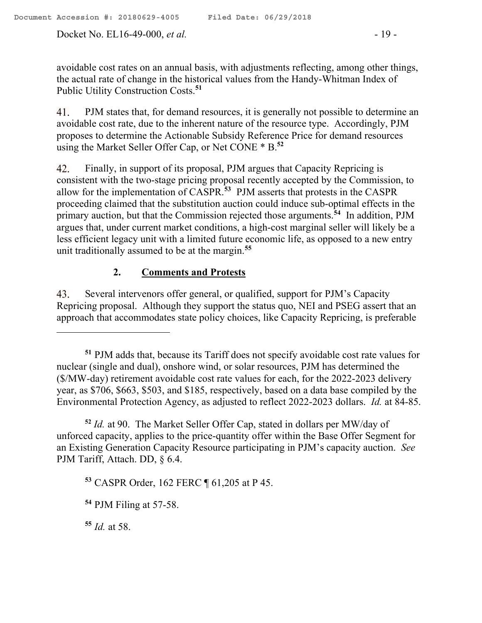Docket No. EL16-49-000, *et al.* - 19 -

avoidable cost rates on an annual basis, with adjustments reflecting, among other things, the actual rate of change in the historical values from the Handy-Whitman Index of Public Utility Construction Costs. **51**

PJM states that, for demand resources, it is generally not possible to determine an 41. avoidable cost rate, due to the inherent nature of the resource type. Accordingly, PJM proposes to determine the Actionable Subsidy Reference Price for demand resources using the Market Seller Offer Cap, or Net CONE \* B. **52**

42. Finally, in support of its proposal, PJM argues that Capacity Repricing is consistent with the two-stage pricing proposal recently accepted by the Commission, to allow for the implementation of CASPR. **53** PJM asserts that protests in the CASPR proceeding claimed that the substitution auction could induce sub-optimal effects in the primary auction, but that the Commission rejected those arguments.**<sup>54</sup>** In addition, PJM argues that, under current market conditions, a high-cost marginal seller will likely be a less efficient legacy unit with a limited future economic life, as opposed to a new entry unit traditionally assumed to be at the margin.**<sup>55</sup>**

## **2. Comments and Protests**

Several intervenors offer general, or qualified, support for PJM's Capacity 43. Repricing proposal. Although they support the status quo, NEI and PSEG assert that an approach that accommodates state policy choices, like Capacity Repricing, is preferable

**<sup>52</sup>** *Id.* at 90. The Market Seller Offer Cap, stated in dollars per MW/day of unforced capacity, applies to the price-quantity offer within the Base Offer Segment for an Existing Generation Capacity Resource participating in PJM's capacity auction. *See*  PJM Tariff, Attach. DD, § 6.4.

**<sup>53</sup>** CASPR Order, 162 FERC ¶ 61,205 at P 45.

**<sup>55</sup>** *Id.* at 58.

**<sup>51</sup>** PJM adds that, because its Tariff does not specify avoidable cost rate values for nuclear (single and dual), onshore wind, or solar resources, PJM has determined the (\$/MW-day) retirement avoidable cost rate values for each, for the 2022-2023 delivery year, as \$706, \$663, \$503, and \$185, respectively, based on a data base compiled by the Environmental Protection Agency, as adjusted to reflect 2022-2023 dollars. *Id.* at 84-85.

**<sup>54</sup>** PJM Filing at 57-58.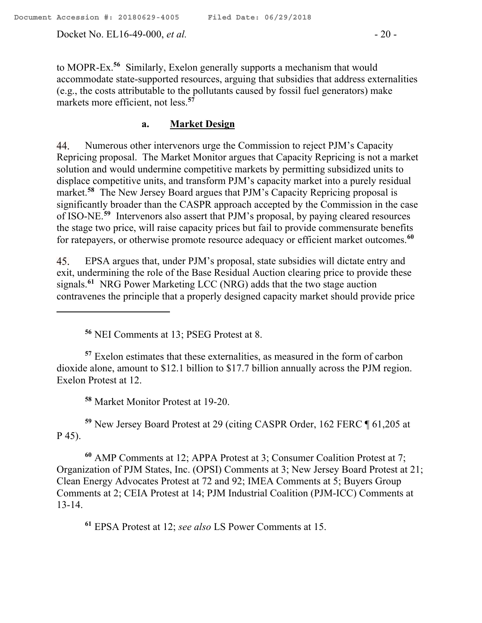to MOPR-Ex.**<sup>56</sup>** Similarly, Exelon generally supports a mechanism that would accommodate state-supported resources, arguing that subsidies that address externalities (e.g., the costs attributable to the pollutants caused by fossil fuel generators) make markets more efficient, not less.**<sup>57</sup>**

#### **a. Market Design**

Numerous other intervenors urge the Commission to reject PJM's Capacity 44. Repricing proposal. The Market Monitor argues that Capacity Repricing is not a market solution and would undermine competitive markets by permitting subsidized units to displace competitive units, and transform PJM's capacity market into a purely residual market.**<sup>58</sup>** The New Jersey Board argues that PJM's Capacity Repricing proposal is significantly broader than the CASPR approach accepted by the Commission in the case of ISO-NE.**<sup>59</sup>** Intervenors also assert that PJM's proposal, by paying cleared resources the stage two price, will raise capacity prices but fail to provide commensurate benefits for ratepayers, or otherwise promote resource adequacy or efficient market outcomes.**<sup>60</sup>**

EPSA argues that, under PJM's proposal, state subsidies will dictate entry and 45. exit, undermining the role of the Base Residual Auction clearing price to provide these signals.**<sup>61</sup>** NRG Power Marketing LCC (NRG) adds that the two stage auction contravenes the principle that a properly designed capacity market should provide price

**<sup>56</sup>** NEI Comments at 13; PSEG Protest at 8.

**<sup>57</sup>** Exelon estimates that these externalities, as measured in the form of carbon dioxide alone, amount to \$12.1 billion to \$17.7 billion annually across the PJM region. Exelon Protest at 12.

**<sup>58</sup>** Market Monitor Protest at 19-20.

**<sup>59</sup>** New Jersey Board Protest at 29 (citing CASPR Order, 162 FERC ¶ 61,205 at P 45).

**<sup>60</sup>** AMP Comments at 12; APPA Protest at 3; Consumer Coalition Protest at 7; Organization of PJM States, Inc. (OPSI) Comments at 3; New Jersey Board Protest at 21; Clean Energy Advocates Protest at 72 and 92; IMEA Comments at 5; Buyers Group Comments at 2; CEIA Protest at 14; PJM Industrial Coalition (PJM-ICC) Comments at 13-14.

**<sup>61</sup>** EPSA Protest at 12; *see also* LS Power Comments at 15.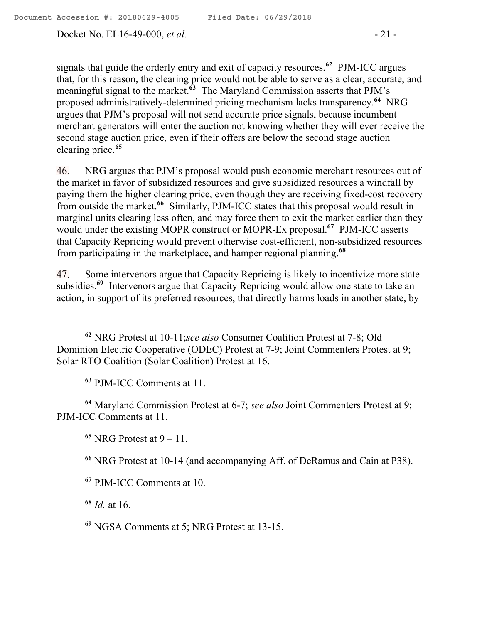signals that guide the orderly entry and exit of capacity resources.**<sup>62</sup>** PJM-ICC argues that, for this reason, the clearing price would not be able to serve as a clear, accurate, and meaningful signal to the market.**<sup>63</sup>** The Maryland Commission asserts that PJM's proposed administratively-determined pricing mechanism lacks transparency.**<sup>64</sup>** NRG argues that PJM's proposal will not send accurate price signals, because incumbent merchant generators will enter the auction not knowing whether they will ever receive the second stage auction price, even if their offers are below the second stage auction clearing price.**<sup>65</sup>**

NRG argues that PJM's proposal would push economic merchant resources out of 46. the market in favor of subsidized resources and give subsidized resources a windfall by paying them the higher clearing price, even though they are receiving fixed-cost recovery from outside the market.**<sup>66</sup>** Similarly, PJM-ICC states that this proposal would result in marginal units clearing less often, and may force them to exit the market earlier than they would under the existing MOPR construct or MOPR-Ex proposal.**<sup>67</sup>** PJM-ICC asserts that Capacity Repricing would prevent otherwise cost-efficient, non-subsidized resources from participating in the marketplace, and hamper regional planning.**<sup>68</sup>**

Some intervenors argue that Capacity Repricing is likely to incentivize more state 47. subsidies.**<sup>69</sup>** Intervenors argue that Capacity Repricing would allow one state to take an action, in support of its preferred resources, that directly harms loads in another state, by

**<sup>63</sup>** PJM-ICC Comments at 11.

**<sup>64</sup>** Maryland Commission Protest at 6-7; *see also* Joint Commenters Protest at 9; PJM-ICC Comments at 11.

**<sup>65</sup>** NRG Protest at 9 – 11.

**<sup>66</sup>** NRG Protest at 10-14 (and accompanying Aff. of DeRamus and Cain at P38).

**<sup>68</sup>** *Id.* at 16.

 $\overline{a}$ 

**<sup>69</sup>** NGSA Comments at 5; NRG Protest at 13-15.

**<sup>62</sup>** NRG Protest at 10-11;*see also* Consumer Coalition Protest at 7-8; Old Dominion Electric Cooperative (ODEC) Protest at 7-9; Joint Commenters Protest at 9; Solar RTO Coalition (Solar Coalition) Protest at 16.

**<sup>67</sup>** PJM-ICC Comments at 10.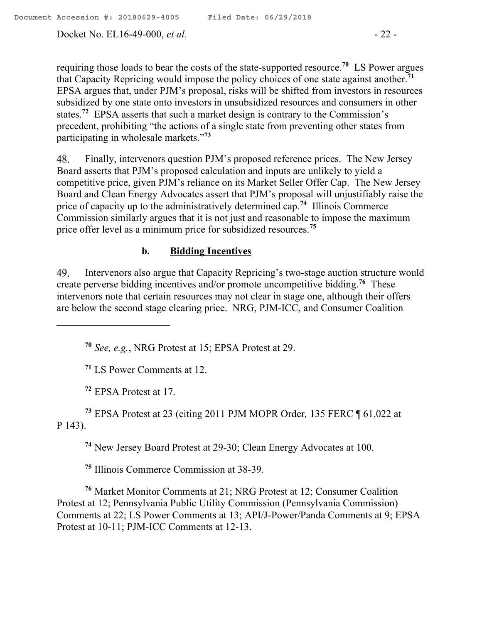requiring those loads to bear the costs of the state-supported resource.**<sup>70</sup>** LS Power argues that Capacity Repricing would impose the policy choices of one state against another.**<sup>71</sup>** EPSA argues that, under PJM's proposal, risks will be shifted from investors in resources subsidized by one state onto investors in unsubsidized resources and consumers in other states.**<sup>72</sup>** EPSA asserts that such a market design is contrary to the Commission's precedent, prohibiting "the actions of a single state from preventing other states from participating in wholesale markets."**<sup>73</sup>**

48. Finally, intervenors question PJM's proposed reference prices. The New Jersey Board asserts that PJM's proposed calculation and inputs are unlikely to yield a competitive price, given PJM's reliance on its Market Seller Offer Cap. The New Jersey Board and Clean Energy Advocates assert that PJM's proposal will unjustifiably raise the price of capacity up to the administratively determined cap.**<sup>74</sup>** Illinois Commerce Commission similarly argues that it is not just and reasonable to impose the maximum price offer level as a minimum price for subsidized resources.**<sup>75</sup>**

## **b. Bidding Incentives**

49. Intervenors also argue that Capacity Repricing's two-stage auction structure would create perverse bidding incentives and/or promote uncompetitive bidding.**<sup>76</sup>** These intervenors note that certain resources may not clear in stage one, although their offers are below the second stage clearing price. NRG, PJM-ICC, and Consumer Coalition

**<sup>70</sup>** *See, e.g.*, NRG Protest at 15; EPSA Protest at 29.

**<sup>71</sup>** LS Power Comments at 12.

**<sup>72</sup>** EPSA Protest at 17.

 $\overline{a}$ 

**<sup>73</sup>** EPSA Protest at 23 (citing 2011 PJM MOPR Order*,* 135 FERC ¶ 61,022 at P 143).

**<sup>74</sup>** New Jersey Board Protest at 29-30; Clean Energy Advocates at 100.

**<sup>75</sup>** Illinois Commerce Commission at 38-39.

**<sup>76</sup>** Market Monitor Comments at 21; NRG Protest at 12; Consumer Coalition Protest at 12; Pennsylvania Public Utility Commission (Pennsylvania Commission) Comments at 22; LS Power Comments at 13; API/J-Power/Panda Comments at 9; EPSA Protest at 10-11; PJM-ICC Comments at 12-13.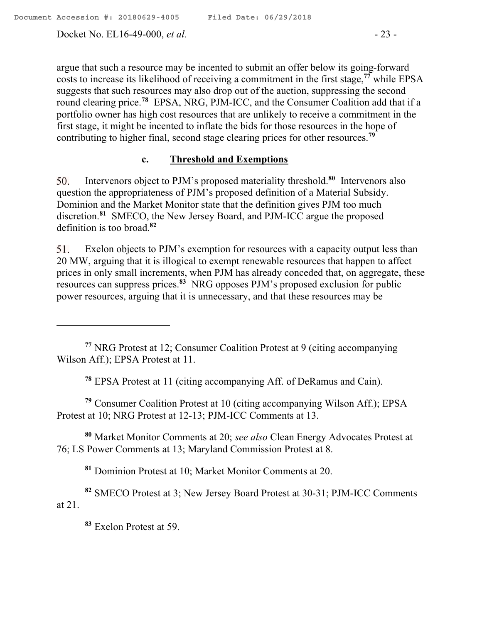Docket No. EL16-49-000, *et al.* - 23 -

argue that such a resource may be incented to submit an offer below its going-forward costs to increase its likelihood of receiving a commitment in the first stage,**<sup>77</sup>** while EPSA suggests that such resources may also drop out of the auction, suppressing the second round clearing price.<sup>78</sup> EPSA, NRG, PJM-ICC, and the Consumer Coalition add that if a portfolio owner has high cost resources that are unlikely to receive a commitment in the first stage, it might be incented to inflate the bids for those resources in the hope of contributing to higher final, second stage clearing prices for other resources.**<sup>79</sup>**

### **c. Threshold and Exemptions**

Intervenors object to PJM's proposed materiality threshold. **80** Intervenors also 50. question the appropriateness of PJM's proposed definition of a Material Subsidy. Dominion and the Market Monitor state that the definition gives PJM too much discretion. **81** SMECO, the New Jersey Board, and PJM-ICC argue the proposed definition is too broad. **82**

Exelon objects to PJM's exemption for resources with a capacity output less than 51. 20 MW, arguing that it is illogical to exempt renewable resources that happen to affect prices in only small increments, when PJM has already conceded that, on aggregate, these resources can suppress prices.**<sup>83</sup>** NRG opposes PJM's proposed exclusion for public power resources, arguing that it is unnecessary, and that these resources may be

**<sup>78</sup>** EPSA Protest at 11 (citing accompanying Aff. of DeRamus and Cain).

**<sup>79</sup>** Consumer Coalition Protest at 10 (citing accompanying Wilson Aff.); EPSA Protest at 10; NRG Protest at 12-13; PJM-ICC Comments at 13.

**<sup>80</sup>** Market Monitor Comments at 20; *see also* Clean Energy Advocates Protest at 76; LS Power Comments at 13; Maryland Commission Protest at 8.

**<sup>81</sup>** Dominion Protest at 10; Market Monitor Comments at 20.

**<sup>82</sup>** SMECO Protest at 3; New Jersey Board Protest at 30-31; PJM-ICC Comments at 21.

**<sup>83</sup>** Exelon Protest at 59.

**<sup>77</sup>** NRG Protest at 12; Consumer Coalition Protest at 9 (citing accompanying Wilson Aff.); EPSA Protest at 11.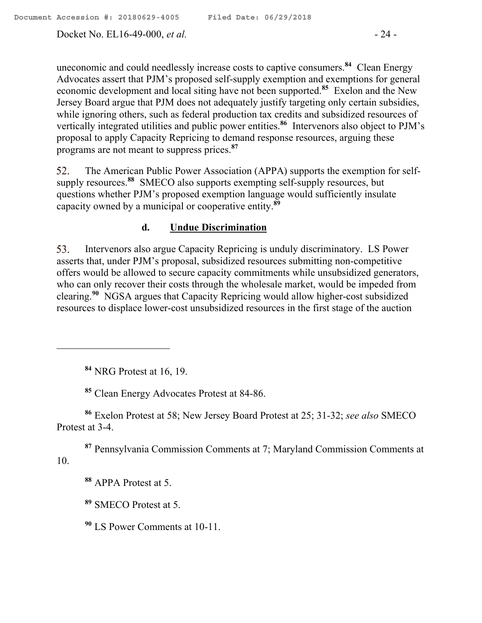Docket No. EL16-49-000, *et al.* - 24 -

uneconomic and could needlessly increase costs to captive consumers.**<sup>84</sup>** Clean Energy Advocates assert that PJM's proposed self-supply exemption and exemptions for general economic development and local siting have not been supported.**<sup>85</sup>** Exelon and the New Jersey Board argue that PJM does not adequately justify targeting only certain subsidies, while ignoring others, such as federal production tax credits and subsidized resources of vertically integrated utilities and public power entities.**<sup>86</sup>** Intervenors also object to PJM's proposal to apply Capacity Repricing to demand response resources, arguing these programs are not meant to suppress prices.**<sup>87</sup>**

The American Public Power Association (APPA) supports the exemption for self-52. supply resources.**<sup>88</sup>** SMECO also supports exempting self-supply resources, but questions whether PJM's proposed exemption language would sufficiently insulate capacity owned by a municipal or cooperative entity.**<sup>89</sup>**

### **d. Undue Discrimination**

Intervenors also argue Capacity Repricing is unduly discriminatory. LS Power 53. asserts that, under PJM's proposal, subsidized resources submitting non-competitive offers would be allowed to secure capacity commitments while unsubsidized generators, who can only recover their costs through the wholesale market, would be impeded from clearing.**<sup>90</sup>** NGSA argues that Capacity Repricing would allow higher-cost subsidized resources to displace lower-cost unsubsidized resources in the first stage of the auction

**<sup>84</sup>** NRG Protest at 16, 19.

**<sup>85</sup>** Clean Energy Advocates Protest at 84-86.

**<sup>86</sup>** Exelon Protest at 58; New Jersey Board Protest at 25; 31-32; *see also* SMECO Protest at 3-4.

**<sup>87</sup>** Pennsylvania Commission Comments at 7; Maryland Commission Comments at 10.

**<sup>88</sup>** APPA Protest at 5.

**<sup>89</sup>** SMECO Protest at 5.

**<sup>90</sup>** LS Power Comments at 10-11.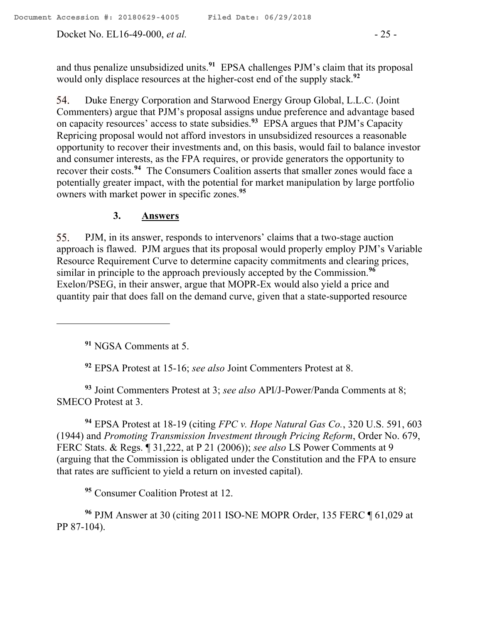Docket No. EL16-49-000, *et al.* - 25 -

and thus penalize unsubsidized units.**<sup>91</sup>** EPSA challenges PJM's claim that its proposal would only displace resources at the higher-cost end of the supply stack. **92**

54. Duke Energy Corporation and Starwood Energy Group Global, L.L.C. (Joint Commenters) argue that PJM's proposal assigns undue preference and advantage based on capacity resources' access to state subsidies.**<sup>93</sup>** EPSA argues that PJM's Capacity Repricing proposal would not afford investors in unsubsidized resources a reasonable opportunity to recover their investments and, on this basis, would fail to balance investor and consumer interests, as the FPA requires, or provide generators the opportunity to recover their costs. **94** The Consumers Coalition asserts that smaller zones would face a potentially greater impact, with the potential for market manipulation by large portfolio owners with market power in specific zones.**<sup>95</sup>**

# **3. Answers**

55. PJM, in its answer, responds to intervenors' claims that a two-stage auction approach is flawed. PJM argues that its proposal would properly employ PJM's Variable Resource Requirement Curve to determine capacity commitments and clearing prices, similar in principle to the approach previously accepted by the Commission.**<sup>96</sup>** Exelon/PSEG, in their answer, argue that MOPR-Ex would also yield a price and quantity pair that does fall on the demand curve, given that a state-supported resource

**<sup>91</sup>** NGSA Comments at 5.

**<sup>92</sup>** EPSA Protest at 15-16; *see also* Joint Commenters Protest at 8.

**<sup>93</sup>** Joint Commenters Protest at 3; *see also* API/J-Power/Panda Comments at 8; SMECO Protest at 3.

**<sup>94</sup>** EPSA Protest at 18-19 (citing *FPC v. Hope Natural Gas Co.*, 320 U.S. 591, 603 (1944) and *Promoting Transmission Investment through Pricing Reform*, Order No. 679, FERC Stats. & Regs. ¶ 31,222, at P 21 (2006)); *see also* LS Power Comments at 9 (arguing that the Commission is obligated under the Constitution and the FPA to ensure that rates are sufficient to yield a return on invested capital).

**<sup>95</sup>** Consumer Coalition Protest at 12.

**<sup>96</sup>** PJM Answer at 30 (citing 2011 ISO-NE MOPR Order, 135 FERC ¶ 61,029 at PP 87-104).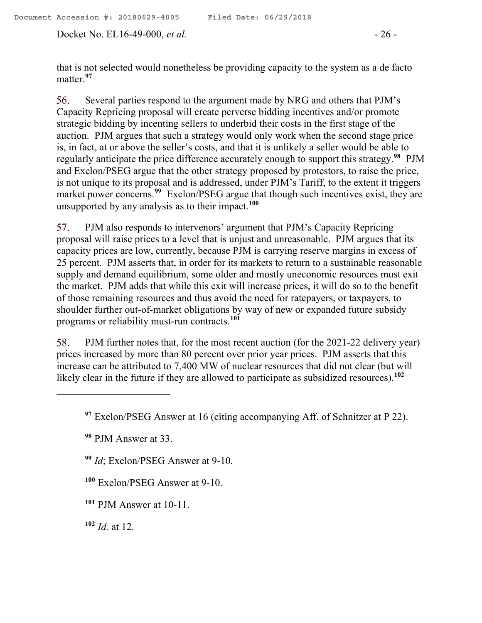Docket No. EL16-49-000, *et al.* - 26 -

that is not selected would nonetheless be providing capacity to the system as a de facto matter.**<sup>97</sup>**

Several parties respond to the argument made by NRG and others that PJM's 56. Capacity Repricing proposal will create perverse bidding incentives and/or promote strategic bidding by incenting sellers to underbid their costs in the first stage of the auction. PJM argues that such a strategy would only work when the second stage price is, in fact, at or above the seller's costs, and that it is unlikely a seller would be able to regularly anticipate the price difference accurately enough to support this strategy. **98** PJM and Exelon/PSEG argue that the other strategy proposed by protestors, to raise the price, is not unique to its proposal and is addressed, under PJM's Tariff, to the extent it triggers market power concerns.**<sup>99</sup>** Exelon/PSEG argue that though such incentives exist, they are unsupported by any analysis as to their impact. **100**

57. PJM also responds to intervenors' argument that PJM's Capacity Repricing proposal will raise prices to a level that is unjust and unreasonable. PJM argues that its capacity prices are low, currently, because PJM is carrying reserve margins in excess of 25 percent. PJM asserts that, in order for its markets to return to a sustainable reasonable supply and demand equilibrium, some older and mostly uneconomic resources must exit the market. PJM adds that while this exit will increase prices, it will do so to the benefit of those remaining resources and thus avoid the need for ratepayers, or taxpayers, to shoulder further out-of-market obligations by way of new or expanded future subsidy programs or reliability must-run contracts.**<sup>101</sup>**

58. PJM further notes that, for the most recent auction (for the 2021-22 delivery year) prices increased by more than 80 percent over prior year prices. PJM asserts that this increase can be attributed to 7,400 MW of nuclear resources that did not clear (but will likely clear in the future if they are allowed to participate as subsidized resources).**<sup>102</sup>**

**<sup>98</sup>** PJM Answer at 33.

**<sup>99</sup>** *Id*; Exelon/PSEG Answer at 9-10*.*

**<sup>100</sup>** Exelon/PSEG Answer at 9-10.

**<sup>101</sup>** PJM Answer at 10-11.

**<sup>102</sup>** *Id.* at 12.

**<sup>97</sup>** Exelon/PSEG Answer at 16 (citing accompanying Aff. of Schnitzer at P 22).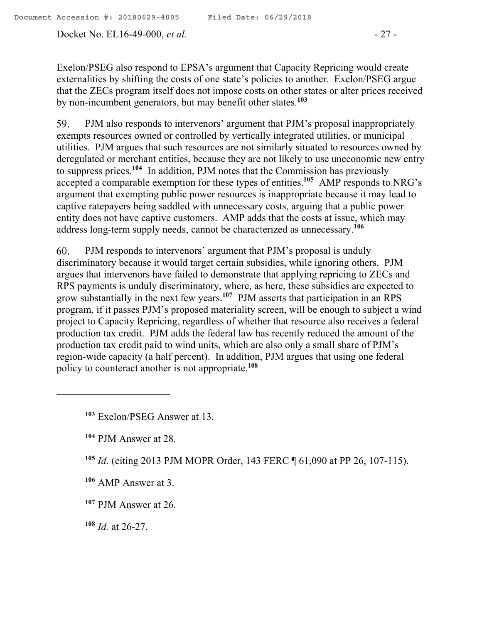Docket No. EL16-49-000, *et al.* - 27 -

Exelon/PSEG also respond to EPSA's argument that Capacity Repricing would create externalities by shifting the costs of one state's policies to another. Exelon/PSEG argue that the ZECs program itself does not impose costs on other states or alter prices received by non-incumbent generators, but may benefit other states.**<sup>103</sup>**

59. PJM also responds to intervenors' argument that PJM's proposal inappropriately exempts resources owned or controlled by vertically integrated utilities, or municipal utilities. PJM argues that such resources are not similarly situated to resources owned by deregulated or merchant entities, because they are not likely to use uneconomic new entry to suppress prices. **104** In addition, PJM notes that the Commission has previously accepted a comparable exemption for these types of entities.**<sup>105</sup>** AMP responds to NRG's argument that exempting public power resources is inappropriate because it may lead to captive ratepayers being saddled with unnecessary costs, arguing that a public power entity does not have captive customers. AMP adds that the costs at issue, which may address long-term supply needs, cannot be characterized as unnecessary.**<sup>106</sup>**

60. PJM responds to intervenors' argument that PJM's proposal is unduly discriminatory because it would target certain subsidies, while ignoring others. PJM argues that intervenors have failed to demonstrate that applying repricing to ZECs and RPS payments is unduly discriminatory, where, as here, these subsidies are expected to grow substantially in the next few years.**<sup>107</sup>** PJM asserts that participation in an RPS program, if it passes PJM's proposed materiality screen, will be enough to subject a wind project to Capacity Repricing, regardless of whether that resource also receives a federal production tax credit. PJM adds the federal law has recently reduced the amount of the production tax credit paid to wind units, which are also only a small share of PJM's region-wide capacity (a half percent). In addition, PJM argues that using one federal policy to counteract another is not appropriate.**<sup>108</sup>**

**<sup>104</sup>** PJM Answer at 28.

- **<sup>106</sup>** AMP Answer at 3.
- **<sup>107</sup>** PJM Answer at 26.
- **<sup>108</sup>** *Id.* at 26-27.

**<sup>103</sup>** Exelon/PSEG Answer at 13.

**<sup>105</sup>** *Id.* (citing 2013 PJM MOPR Order, 143 FERC ¶ 61,090 at PP 26, 107-115).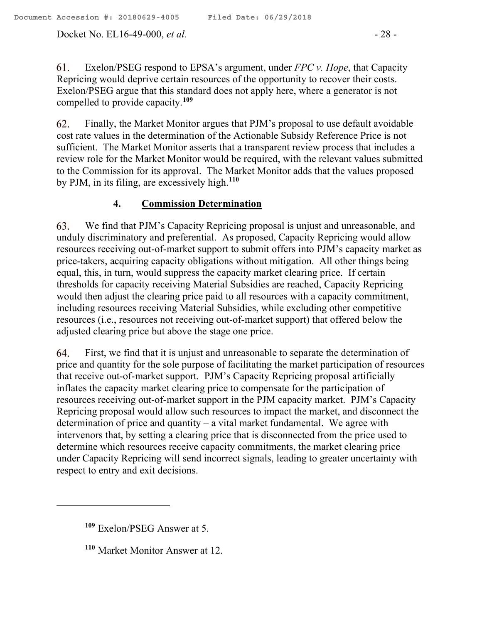Docket No. EL16-49-000, *et al.* - 28 -

Exelon/PSEG respond to EPSA's argument, under *FPC v. Hope*, that Capacity 61. Repricing would deprive certain resources of the opportunity to recover their costs. Exelon/PSEG argue that this standard does not apply here, where a generator is not compelled to provide capacity.**<sup>109</sup>**

Finally, the Market Monitor argues that PJM's proposal to use default avoidable 62. cost rate values in the determination of the Actionable Subsidy Reference Price is not sufficient. The Market Monitor asserts that a transparent review process that includes a review role for the Market Monitor would be required, with the relevant values submitted to the Commission for its approval. The Market Monitor adds that the values proposed by PJM, in its filing, are excessively high.**<sup>110</sup>**

# **4. Commission Determination**

63. We find that PJM's Capacity Repricing proposal is unjust and unreasonable, and unduly discriminatory and preferential. As proposed, Capacity Repricing would allow resources receiving out-of-market support to submit offers into PJM's capacity market as price-takers, acquiring capacity obligations without mitigation. All other things being equal, this, in turn, would suppress the capacity market clearing price. If certain thresholds for capacity receiving Material Subsidies are reached, Capacity Repricing would then adjust the clearing price paid to all resources with a capacity commitment, including resources receiving Material Subsidies, while excluding other competitive resources (i.e., resources not receiving out-of-market support) that offered below the adjusted clearing price but above the stage one price.

64. First, we find that it is unjust and unreasonable to separate the determination of price and quantity for the sole purpose of facilitating the market participation of resources that receive out-of-market support. PJM's Capacity Repricing proposal artificially inflates the capacity market clearing price to compensate for the participation of resources receiving out-of-market support in the PJM capacity market. PJM's Capacity Repricing proposal would allow such resources to impact the market, and disconnect the determination of price and quantity – a vital market fundamental. We agree with intervenors that, by setting a clearing price that is disconnected from the price used to determine which resources receive capacity commitments, the market clearing price under Capacity Repricing will send incorrect signals, leading to greater uncertainty with respect to entry and exit decisions.

**<sup>109</sup>** Exelon/PSEG Answer at 5.

**<sup>110</sup>** Market Monitor Answer at 12.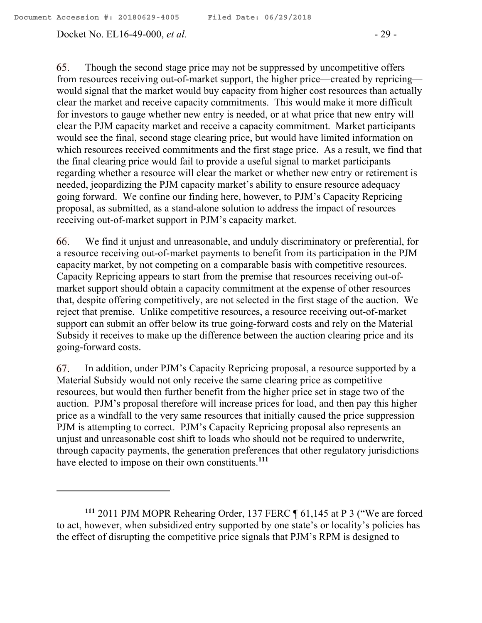#### Docket No. EL16-49-000, *et al.* - 29 -

65. Though the second stage price may not be suppressed by uncompetitive offers from resources receiving out-of-market support, the higher price—created by repricing would signal that the market would buy capacity from higher cost resources than actually clear the market and receive capacity commitments. This would make it more difficult for investors to gauge whether new entry is needed, or at what price that new entry will clear the PJM capacity market and receive a capacity commitment. Market participants would see the final, second stage clearing price, but would have limited information on which resources received commitments and the first stage price. As a result, we find that the final clearing price would fail to provide a useful signal to market participants regarding whether a resource will clear the market or whether new entry or retirement is needed, jeopardizing the PJM capacity market's ability to ensure resource adequacy going forward. We confine our finding here, however, to PJM's Capacity Repricing proposal, as submitted, as a stand-alone solution to address the impact of resources receiving out-of-market support in PJM's capacity market.

66. We find it unjust and unreasonable, and unduly discriminatory or preferential, for a resource receiving out-of-market payments to benefit from its participation in the PJM capacity market, by not competing on a comparable basis with competitive resources. Capacity Repricing appears to start from the premise that resources receiving out-ofmarket support should obtain a capacity commitment at the expense of other resources that, despite offering competitively, are not selected in the first stage of the auction. We reject that premise. Unlike competitive resources, a resource receiving out-of-market support can submit an offer below its true going-forward costs and rely on the Material Subsidy it receives to make up the difference between the auction clearing price and its going-forward costs.

67. In addition, under PJM's Capacity Repricing proposal, a resource supported by a Material Subsidy would not only receive the same clearing price as competitive resources, but would then further benefit from the higher price set in stage two of the auction. PJM's proposal therefore will increase prices for load, and then pay this higher price as a windfall to the very same resources that initially caused the price suppression PJM is attempting to correct. PJM's Capacity Repricing proposal also represents an unjust and unreasonable cost shift to loads who should not be required to underwrite, through capacity payments, the generation preferences that other regulatory jurisdictions have elected to impose on their own constituents. **111**

**<sup>111</sup>** 2011 PJM MOPR Rehearing Order, 137 FERC ¶ 61,145 at P 3 ("We are forced to act, however, when subsidized entry supported by one state's or locality's policies has the effect of disrupting the competitive price signals that PJM's RPM is designed to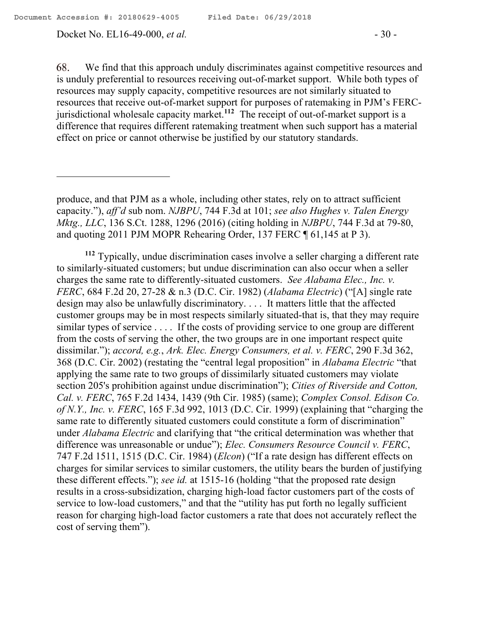Docket No. EL16-49-000, *et al.* - 30 -

68. We find that this approach unduly discriminates against competitive resources and is unduly preferential to resources receiving out-of-market support. While both types of resources may supply capacity, competitive resources are not similarly situated to resources that receive out-of-market support for purposes of ratemaking in PJM's FERCjurisdictional wholesale capacity market. **112** The receipt of out-of-market support is a difference that requires different ratemaking treatment when such support has a material effect on price or cannot otherwise be justified by our statutory standards.

produce, and that PJM as a whole, including other states, rely on to attract sufficient capacity."), *aff'd* sub nom. *NJBPU*, 744 F.3d at 101; *see also Hughes v. Talen Energy Mktg., LLC*, 136 S.Ct. 1288, 1296 (2016) (citing holding in *NJBPU*, 744 F.3d at 79-80, and quoting 2011 PJM MOPR Rehearing Order, 137 FERC ¶ 61,145 at P 3).

**<sup>112</sup>** Typically, undue discrimination cases involve a seller charging a different rate to similarly-situated customers; but undue discrimination can also occur when a seller charges the same rate to differently-situated customers. *See Alabama Elec., Inc. v. FERC*, 684 F.2d 20, 27-28 & n.3 (D.C. Cir. 1982) (*Alabama Electric*) ("[A] single rate design may also be unlawfully discriminatory. . . . It matters little that the affected customer groups may be in most respects similarly situated-that is, that they may require similar types of service . . . . If the costs of providing service to one group are different from the costs of serving the other, the two groups are in one important respect quite dissimilar."); *accord, e.g.*, *Ark. Elec. Energy Consumers, et al. v. FERC*, 290 F.3d 362, 368 (D.C. Cir. 2002) (restating the "central legal proposition" in *Alabama Electric* "that applying the same rate to two groups of dissimilarly situated customers may violate section 205's prohibition against undue discrimination"); *Cities of Riverside and Cotton, Cal. v. FERC*, 765 F.2d 1434, 1439 (9th Cir. 1985) (same); *Complex Consol. Edison Co. of N.Y., Inc. v. FERC*, 165 F.3d 992, 1013 (D.C. Cir. 1999) (explaining that "charging the same rate to differently situated customers could constitute a form of discrimination" under *Alabama Electric* and clarifying that "the critical determination was whether that difference was unreasonable or undue"); *Elec. Consumers Resource Council v. FERC*, 747 F.2d 1511, 1515 (D.C. Cir. 1984) (*Elcon*) ("If a rate design has different effects on charges for similar services to similar customers, the utility bears the burden of justifying these different effects."); *see id.* at 1515-16 (holding "that the proposed rate design results in a cross-subsidization, charging high-load factor customers part of the costs of service to low-load customers," and that the "utility has put forth no legally sufficient reason for charging high-load factor customers a rate that does not accurately reflect the cost of serving them").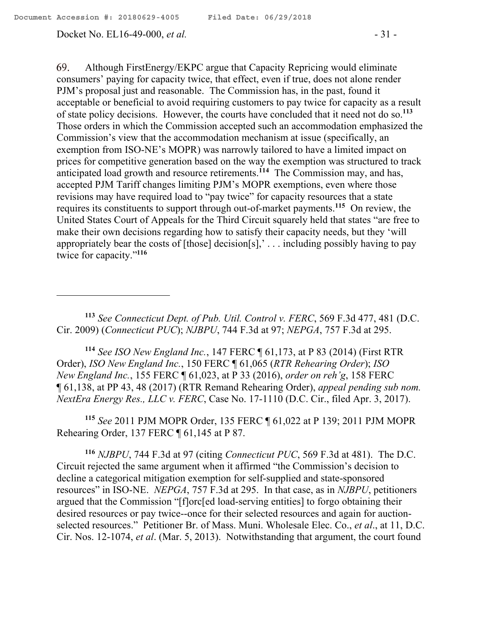69. Although FirstEnergy/EKPC argue that Capacity Repricing would eliminate consumers' paying for capacity twice, that effect, even if true, does not alone render PJM's proposal just and reasonable. The Commission has, in the past, found it acceptable or beneficial to avoid requiring customers to pay twice for capacity as a result of state policy decisions. However, the courts have concluded that it need not do so.**<sup>113</sup>** Those orders in which the Commission accepted such an accommodation emphasized the Commission's view that the accommodation mechanism at issue (specifically, an exemption from ISO-NE's MOPR) was narrowly tailored to have a limited impact on prices for competitive generation based on the way the exemption was structured to track anticipated load growth and resource retirements.**<sup>114</sup>** The Commission may, and has, accepted PJM Tariff changes limiting PJM's MOPR exemptions, even where those revisions may have required load to "pay twice" for capacity resources that a state requires its constituents to support through out-of-market payments.**<sup>115</sup>** On review, the United States Court of Appeals for the Third Circuit squarely held that states "are free to make their own decisions regarding how to satisfy their capacity needs, but they 'will appropriately bear the costs of  $[those]$  decision $[s]$ ,'... including possibly having to pay

twice for capacity."**<sup>116</sup>**

 $\overline{a}$ 

**<sup>113</sup>** *See Connecticut Dept. of Pub. Util. Control v. FERC*, 569 F.3d 477, 481 (D.C. Cir. 2009) (*Connecticut PUC*); *NJBPU*, 744 F.3d at 97; *NEPGA*, 757 F.3d at 295.

**<sup>114</sup>** *See ISO New England Inc.*, 147 FERC ¶ 61,173, at P 83 (2014) (First RTR Order), *ISO New England Inc.*, 150 FERC ¶ 61,065 (*RTR Rehearing Order*); *ISO New England Inc.*, 155 FERC ¶ 61,023, at P 33 (2016), *order on reh'g*, 158 FERC ¶ 61,138, at PP 43, 48 (2017) (RTR Remand Rehearing Order), *appeal pending sub nom. NextEra Energy Res., LLC v. FERC*, Case No. 17-1110 (D.C. Cir., filed Apr. 3, 2017).

**<sup>115</sup>** *See* 2011 PJM MOPR Order, 135 FERC ¶ 61,022 at P 139; 2011 PJM MOPR Rehearing Order, 137 FERC ¶ 61,145 at P 87.

**<sup>116</sup>** *NJBPU*, 744 F.3d at 97 (citing *Connecticut PUC*, 569 F.3d at 481). The D.C. Circuit rejected the same argument when it affirmed "the Commission's decision to decline a categorical mitigation exemption for self-supplied and state-sponsored resources" in ISO-NE. *NEPGA*, 757 F.3d at 295. In that case, as in *NJBPU*, petitioners argued that the Commission "[f]orc[ed load-serving entities] to forgo obtaining their desired resources or pay twice--once for their selected resources and again for auctionselected resources." Petitioner Br. of Mass. Muni. Wholesale Elec. Co., *et al*., at 11, D.C. Cir. Nos. 12-1074, *et al*. (Mar. 5, 2013). Notwithstanding that argument, the court found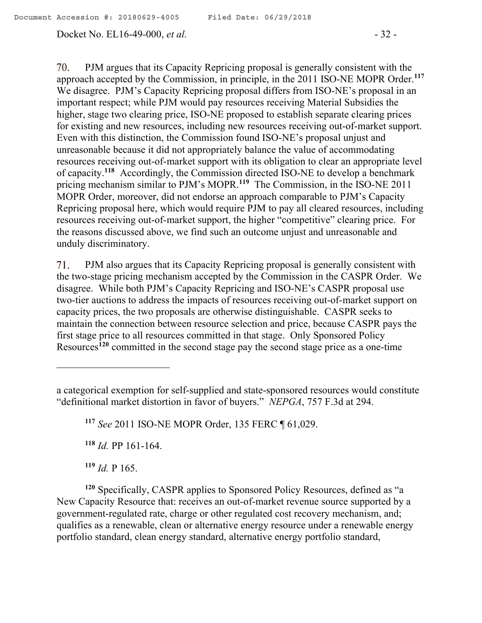#### Docket No. EL16-49-000, *et al.* - 32 -

PJM argues that its Capacity Repricing proposal is generally consistent with the 70. approach accepted by the Commission, in principle, in the 2011 ISO-NE MOPR Order. **117** We disagree. PJM's Capacity Repricing proposal differs from ISO-NE's proposal in an important respect; while PJM would pay resources receiving Material Subsidies the higher, stage two clearing price, ISO-NE proposed to establish separate clearing prices for existing and new resources, including new resources receiving out-of-market support. Even with this distinction, the Commission found ISO-NE's proposal unjust and unreasonable because it did not appropriately balance the value of accommodating resources receiving out-of-market support with its obligation to clear an appropriate level of capacity. **<sup>118</sup>** Accordingly, the Commission directed ISO-NE to develop a benchmark pricing mechanism similar to PJM's MOPR. **119** The Commission, in the ISO-NE 2011 MOPR Order, moreover, did not endorse an approach comparable to PJM's Capacity Repricing proposal here, which would require PJM to pay all cleared resources, including resources receiving out-of-market support, the higher "competitive" clearing price. For the reasons discussed above, we find such an outcome unjust and unreasonable and unduly discriminatory.

71. PJM also argues that its Capacity Repricing proposal is generally consistent with the two-stage pricing mechanism accepted by the Commission in the CASPR Order. We disagree. While both PJM's Capacity Repricing and ISO-NE's CASPR proposal use two-tier auctions to address the impacts of resources receiving out-of-market support on capacity prices, the two proposals are otherwise distinguishable. CASPR seeks to maintain the connection between resource selection and price, because CASPR pays the first stage price to all resources committed in that stage. Only Sponsored Policy Resources**<sup>120</sup>** committed in the second stage pay the second stage price as a one-time

**<sup>117</sup>** *See* 2011 ISO-NE MOPR Order, 135 FERC ¶ 61,029.

**<sup>118</sup>** *Id.* PP 161-164.

**<sup>119</sup>** *Id.* P 165.

**<sup>120</sup>** Specifically, CASPR applies to Sponsored Policy Resources, defined as "a New Capacity Resource that: receives an out-of-market revenue source supported by a government-regulated rate, charge or other regulated cost recovery mechanism, and; qualifies as a renewable, clean or alternative energy resource under a renewable energy portfolio standard, clean energy standard, alternative energy portfolio standard,

a categorical exemption for self-supplied and state-sponsored resources would constitute "definitional market distortion in favor of buyers." *NEPGA*, 757 F.3d at 294.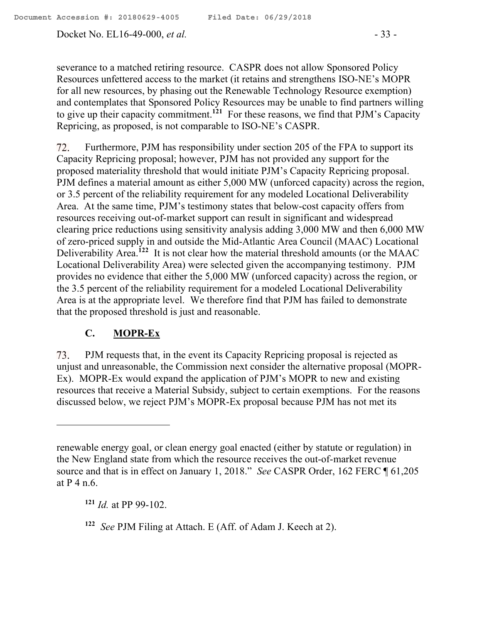Docket No. EL16-49-000, *et al.* - 33 -

severance to a matched retiring resource. CASPR does not allow Sponsored Policy Resources unfettered access to the market (it retains and strengthens ISO-NE's MOPR for all new resources, by phasing out the Renewable Technology Resource exemption) and contemplates that Sponsored Policy Resources may be unable to find partners willing to give up their capacity commitment.**<sup>121</sup>** For these reasons, we find that PJM's Capacity Repricing, as proposed, is not comparable to ISO-NE's CASPR.

72. Furthermore, PJM has responsibility under section 205 of the FPA to support its Capacity Repricing proposal; however, PJM has not provided any support for the proposed materiality threshold that would initiate PJM's Capacity Repricing proposal. PJM defines a material amount as either 5,000 MW (unforced capacity) across the region, or 3.5 percent of the reliability requirement for any modeled Locational Deliverability Area. At the same time, PJM's testimony states that below-cost capacity offers from resources receiving out-of-market support can result in significant and widespread clearing price reductions using sensitivity analysis adding 3,000 MW and then 6,000 MW of zero-priced supply in and outside the Mid-Atlantic Area Council (MAAC) Locational Deliverability Area.<sup>122</sup> It is not clear how the material threshold amounts (or the MAAC Locational Deliverability Area) were selected given the accompanying testimony. PJM provides no evidence that either the 5,000 MW (unforced capacity) across the region, or the 3.5 percent of the reliability requirement for a modeled Locational Deliverability Area is at the appropriate level. We therefore find that PJM has failed to demonstrate that the proposed threshold is just and reasonable.

## **C. MOPR-Ex**

 $\overline{a}$ 

73. PJM requests that, in the event its Capacity Repricing proposal is rejected as unjust and unreasonable, the Commission next consider the alternative proposal (MOPR-Ex). MOPR-Ex would expand the application of PJM's MOPR to new and existing resources that receive a Material Subsidy, subject to certain exemptions. For the reasons discussed below, we reject PJM's MOPR-Ex proposal because PJM has not met its

**<sup>121</sup>** *Id.* at PP 99-102.

renewable energy goal, or clean energy goal enacted (either by statute or regulation) in the New England state from which the resource receives the out-of-market revenue source and that is in effect on January 1, 2018." *See* CASPR Order, 162 FERC ¶ 61,205 at P 4 n.6.

**<sup>122</sup>** *See* PJM Filing at Attach. E (Aff. of Adam J. Keech at 2).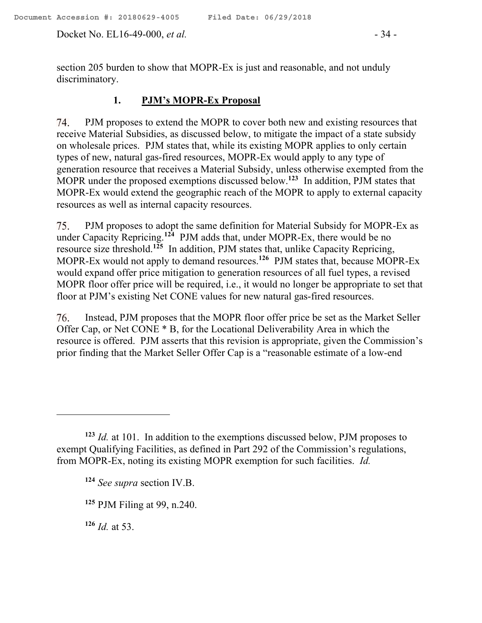Docket No. EL16-49-000, *et al.* - 34 -

section 205 burden to show that MOPR-Ex is just and reasonable, and not unduly discriminatory.

# **1. PJM's MOPR-Ex Proposal**

74. PJM proposes to extend the MOPR to cover both new and existing resources that receive Material Subsidies, as discussed below, to mitigate the impact of a state subsidy on wholesale prices. PJM states that, while its existing MOPR applies to only certain types of new, natural gas-fired resources, MOPR-Ex would apply to any type of generation resource that receives a Material Subsidy, unless otherwise exempted from the MOPR under the proposed exemptions discussed below.<sup>123</sup> In addition, PJM states that MOPR-Ex would extend the geographic reach of the MOPR to apply to external capacity resources as well as internal capacity resources.

75. PJM proposes to adopt the same definition for Material Subsidy for MOPR-Ex as under Capacity Repricing.**<sup>124</sup>** PJM adds that, under MOPR-Ex, there would be no resource size threshold. **<sup>125</sup>** In addition, PJM states that, unlike Capacity Repricing, MOPR-Ex would not apply to demand resources.**<sup>126</sup>** PJM states that, because MOPR-Ex would expand offer price mitigation to generation resources of all fuel types, a revised MOPR floor offer price will be required, i.e., it would no longer be appropriate to set that floor at PJM's existing Net CONE values for new natural gas-fired resources.

76. Instead, PJM proposes that the MOPR floor offer price be set as the Market Seller Offer Cap, or Net CONE \* B, for the Locational Deliverability Area in which the resource is offered. PJM asserts that this revision is appropriate, given the Commission's prior finding that the Market Seller Offer Cap is a "reasonable estimate of a low-end

**<sup>126</sup>** *Id.* at 53.

**<sup>123</sup>** *Id.* at 101. In addition to the exemptions discussed below, PJM proposes to exempt Qualifying Facilities, as defined in Part 292 of the Commission's regulations, from MOPR-Ex, noting its existing MOPR exemption for such facilities. *Id.*

**<sup>124</sup>** *See supra* section IV.B.

**<sup>125</sup>** PJM Filing at 99, n.240.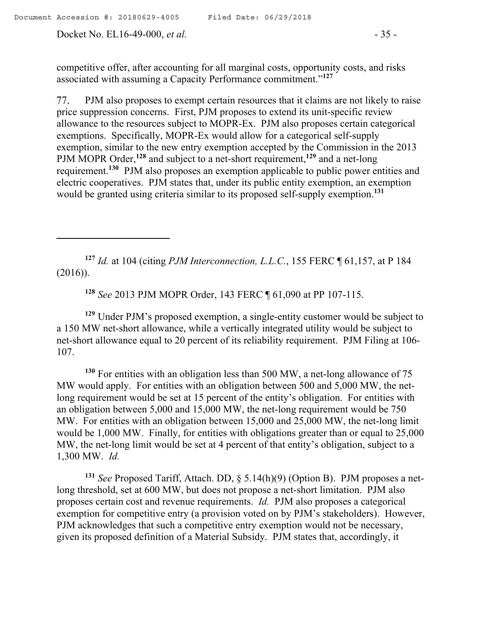Docket No. EL16-49-000, *et al.* - 35 -

 $\overline{a}$ 

competitive offer, after accounting for all marginal costs, opportunity costs, and risks associated with assuming a Capacity Performance commitment."**<sup>127</sup>**

PJM also proposes to exempt certain resources that it claims are not likely to raise 77. price suppression concerns. First, PJM proposes to extend its unit-specific review allowance to the resources subject to MOPR-Ex. PJM also proposes certain categorical exemptions. Specifically, MOPR-Ex would allow for a categorical self-supply exemption, similar to the new entry exemption accepted by the Commission in the 2013 PJM MOPR Order, **<sup>128</sup>** and subject to a net-short requirement,**<sup>129</sup>** and a net-long requirement. **130** PJM also proposes an exemption applicable to public power entities and electric cooperatives. PJM states that, under its public entity exemption, an exemption would be granted using criteria similar to its proposed self-supply exemption. **131**

**<sup>127</sup>** *Id.* at 104 (citing *PJM Interconnection, L.L.C.*, 155 FERC ¶ 61,157, at P 184 (2016)).

**<sup>128</sup>** *See* 2013 PJM MOPR Order, 143 FERC ¶ 61,090 at PP 107-115.

**<sup>129</sup>** Under PJM's proposed exemption, a single-entity customer would be subject to a 150 MW net-short allowance, while a vertically integrated utility would be subject to net-short allowance equal to 20 percent of its reliability requirement. PJM Filing at 106- 107.

**<sup>130</sup>** For entities with an obligation less than 500 MW, a net-long allowance of 75 MW would apply. For entities with an obligation between 500 and 5,000 MW, the netlong requirement would be set at 15 percent of the entity's obligation. For entities with an obligation between 5,000 and 15,000 MW, the net-long requirement would be 750 MW. For entities with an obligation between 15,000 and 25,000 MW, the net-long limit would be 1,000 MW. Finally, for entities with obligations greater than or equal to 25,000 MW, the net-long limit would be set at 4 percent of that entity's obligation, subject to a 1,300 MW. *Id.*

**<sup>131</sup>** *See* Proposed Tariff, Attach. DD, § 5.14(h)(9) (Option B). PJM proposes a netlong threshold, set at 600 MW, but does not propose a net-short limitation. PJM also proposes certain cost and revenue requirements. *Id.* PJM also proposes a categorical exemption for competitive entry (a provision voted on by PJM's stakeholders). However, PJM acknowledges that such a competitive entry exemption would not be necessary, given its proposed definition of a Material Subsidy. PJM states that, accordingly, it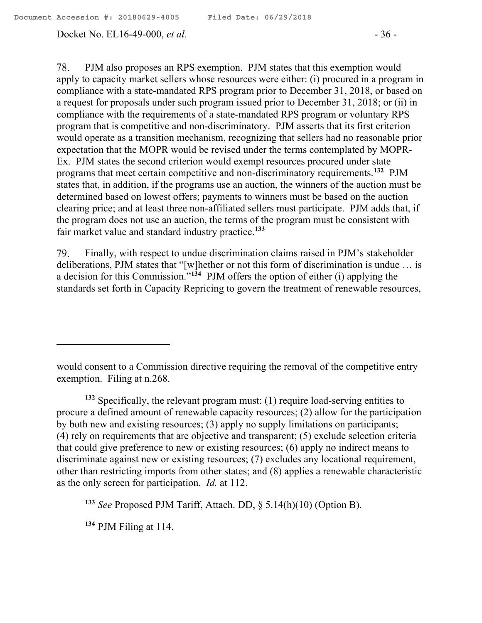#### Docket No. EL16-49-000, *et al.* - 36 -

78. PJM also proposes an RPS exemption. PJM states that this exemption would apply to capacity market sellers whose resources were either: (i) procured in a program in compliance with a state-mandated RPS program prior to December 31, 2018, or based on a request for proposals under such program issued prior to December 31, 2018; or (ii) in compliance with the requirements of a state-mandated RPS program or voluntary RPS program that is competitive and non-discriminatory. PJM asserts that its first criterion would operate as a transition mechanism, recognizing that sellers had no reasonable prior expectation that the MOPR would be revised under the terms contemplated by MOPR-Ex. PJM states the second criterion would exempt resources procured under state programs that meet certain competitive and non-discriminatory requirements. **<sup>132</sup>** PJM states that, in addition, if the programs use an auction, the winners of the auction must be determined based on lowest offers; payments to winners must be based on the auction clearing price; and at least three non-affiliated sellers must participate. PJM adds that, if the program does not use an auction, the terms of the program must be consistent with fair market value and standard industry practice.**<sup>133</sup>**

Finally, with respect to undue discrimination claims raised in PJM's stakeholder 79. deliberations, PJM states that "[w]hether or not this form of discrimination is undue … is a decision for this Commission."**<sup>134</sup>** PJM offers the option of either (i) applying the standards set forth in Capacity Repricing to govern the treatment of renewable resources,

**<sup>132</sup>** Specifically, the relevant program must: (1) require load-serving entities to procure a defined amount of renewable capacity resources; (2) allow for the participation by both new and existing resources; (3) apply no supply limitations on participants; (4) rely on requirements that are objective and transparent; (5) exclude selection criteria that could give preference to new or existing resources; (6) apply no indirect means to discriminate against new or existing resources; (7) excludes any locational requirement, other than restricting imports from other states; and (8) applies a renewable characteristic as the only screen for participation. *Id.* at 112.

**<sup>134</sup>** PJM Filing at 114.

would consent to a Commission directive requiring the removal of the competitive entry exemption. Filing at n.268.

**<sup>133</sup>** *See* Proposed PJM Tariff, Attach. DD, § 5.14(h)(10) (Option B).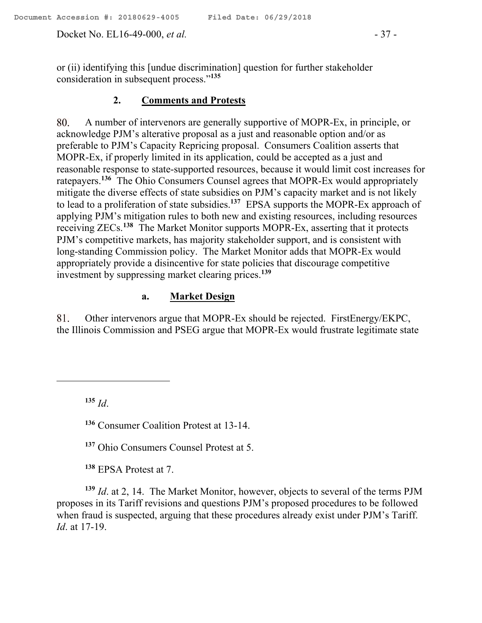Docket No. EL16-49-000, *et al.* - 37 -

or (ii) identifying this [undue discrimination] question for further stakeholder consideration in subsequent process."**<sup>135</sup>**

#### **2. Comments and Protests**

A number of intervenors are generally supportive of MOPR-Ex, in principle, or 80. acknowledge PJM's alterative proposal as a just and reasonable option and/or as preferable to PJM's Capacity Repricing proposal. Consumers Coalition asserts that MOPR-Ex, if properly limited in its application, could be accepted as a just and reasonable response to state-supported resources, because it would limit cost increases for ratepayers.**<sup>136</sup>** The Ohio Consumers Counsel agrees that MOPR-Ex would appropriately mitigate the diverse effects of state subsidies on PJM's capacity market and is not likely to lead to a proliferation of state subsidies.**<sup>137</sup>** EPSA supports the MOPR-Ex approach of applying PJM's mitigation rules to both new and existing resources, including resources receiving ZECs. **138** The Market Monitor supports MOPR-Ex, asserting that it protects PJM's competitive markets, has majority stakeholder support, and is consistent with long-standing Commission policy. The Market Monitor adds that MOPR-Ex would appropriately provide a disincentive for state policies that discourage competitive investment by suppressing market clearing prices.**<sup>139</sup>**

# **a. Market Design**

Other intervenors argue that MOPR-Ex should be rejected. FirstEnergy/EKPC, 81. the Illinois Commission and PSEG argue that MOPR-Ex would frustrate legitimate state

**<sup>135</sup>** *Id*.

 $\overline{a}$ 

**<sup>136</sup>** Consumer Coalition Protest at 13-14.

**<sup>137</sup>** Ohio Consumers Counsel Protest at 5.

**<sup>138</sup>** EPSA Protest at 7.

**<sup>139</sup>** *Id*. at 2, 14. The Market Monitor, however, objects to several of the terms PJM proposes in its Tariff revisions and questions PJM's proposed procedures to be followed when fraud is suspected, arguing that these procedures already exist under PJM's Tariff. *Id*. at 17-19.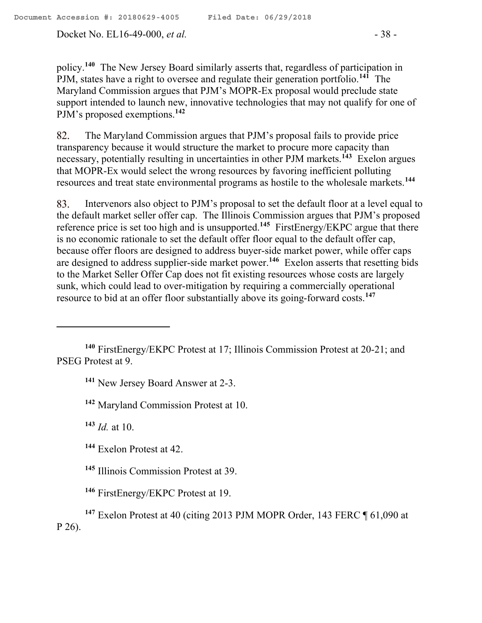Docket No. EL16-49-000, *et al.* - 38 -

policy.**<sup>140</sup>** The New Jersey Board similarly asserts that, regardless of participation in PJM, states have a right to oversee and regulate their generation portfolio.**<sup>141</sup>** The Maryland Commission argues that PJM's MOPR-Ex proposal would preclude state support intended to launch new, innovative technologies that may not qualify for one of PJM's proposed exemptions.**<sup>142</sup>**

82. The Maryland Commission argues that PJM's proposal fails to provide price transparency because it would structure the market to procure more capacity than necessary, potentially resulting in uncertainties in other PJM markets.**<sup>143</sup>** Exelon argues that MOPR-Ex would select the wrong resources by favoring inefficient polluting resources and treat state environmental programs as hostile to the wholesale markets.**<sup>144</sup>**

83. Intervenors also object to PJM's proposal to set the default floor at a level equal to the default market seller offer cap. The Illinois Commission argues that PJM's proposed reference price is set too high and is unsupported.**<sup>145</sup>** FirstEnergy/EKPC argue that there is no economic rationale to set the default offer floor equal to the default offer cap, because offer floors are designed to address buyer-side market power, while offer caps are designed to address supplier-side market power.**<sup>146</sup>** Exelon asserts that resetting bids to the Market Seller Offer Cap does not fit existing resources whose costs are largely sunk, which could lead to over-mitigation by requiring a commercially operational resource to bid at an offer floor substantially above its going-forward costs.**<sup>147</sup>**

**<sup>141</sup>** New Jersey Board Answer at 2-3.

**<sup>142</sup>** Maryland Commission Protest at 10.

**<sup>143</sup>** *Id.* at 10.

 $\overline{a}$ 

**<sup>144</sup>** Exelon Protest at 42.

**<sup>145</sup>** Illinois Commission Protest at 39.

**<sup>146</sup>** FirstEnergy/EKPC Protest at 19.

**<sup>147</sup>** Exelon Protest at 40 (citing 2013 PJM MOPR Order, 143 FERC ¶ 61,090 at P 26).

**<sup>140</sup>** FirstEnergy/EKPC Protest at 17; Illinois Commission Protest at 20-21; and PSEG Protest at 9.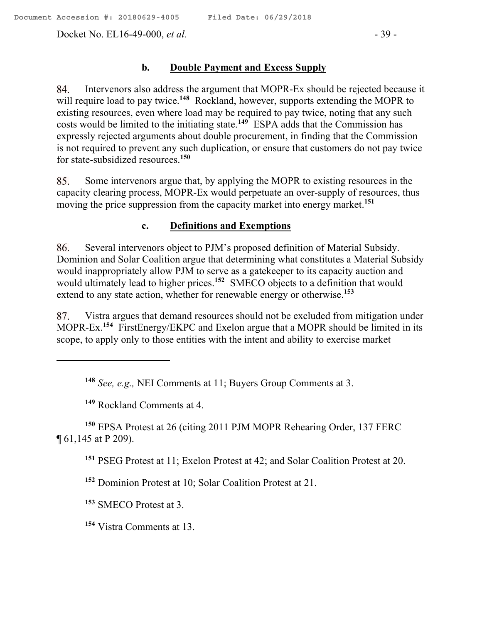Docket No. EL16-49-000, *et al.* - 39 -

#### **b. Double Payment and Excess Supply**

Intervenors also address the argument that MOPR-Ex should be rejected because it 84. will require load to pay twice.**<sup>148</sup>** Rockland, however, supports extending the MOPR to existing resources, even where load may be required to pay twice, noting that any such costs would be limited to the initiating state.**<sup>149</sup>** ESPA adds that the Commission has expressly rejected arguments about double procurement, in finding that the Commission is not required to prevent any such duplication, or ensure that customers do not pay twice for state-subsidized resources.**<sup>150</sup>**

85. Some intervenors argue that, by applying the MOPR to existing resources in the capacity clearing process, MOPR-Ex would perpetuate an over-supply of resources, thus moving the price suppression from the capacity market into energy market.**<sup>151</sup>**

### **c. Definitions and Exemptions**

Several intervenors object to PJM's proposed definition of Material Subsidy. 86. Dominion and Solar Coalition argue that determining what constitutes a Material Subsidy would inappropriately allow PJM to serve as a gatekeeper to its capacity auction and would ultimately lead to higher prices.**<sup>152</sup>** SMECO objects to a definition that would extend to any state action, whether for renewable energy or otherwise.**<sup>153</sup>**

Vistra argues that demand resources should not be excluded from mitigation under 87. MOPR-Ex.**<sup>154</sup>** FirstEnergy/EKPC and Exelon argue that a MOPR should be limited in its scope, to apply only to those entities with the intent and ability to exercise market

**<sup>148</sup>** *See, e.g.,* NEI Comments at 11; Buyers Group Comments at 3.

**<sup>149</sup>** Rockland Comments at 4.

 $\overline{a}$ 

**<sup>150</sup>** EPSA Protest at 26 (citing 2011 PJM MOPR Rehearing Order, 137 FERC ¶ 61,145 at P 209).

**<sup>151</sup>** PSEG Protest at 11; Exelon Protest at 42; and Solar Coalition Protest at 20.

**<sup>152</sup>** Dominion Protest at 10; Solar Coalition Protest at 21.

**<sup>153</sup>** SMECO Protest at 3.

**<sup>154</sup>** Vistra Comments at 13.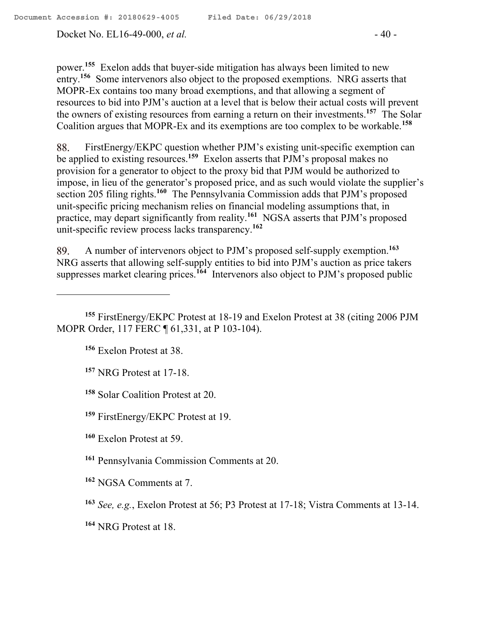Docket No. EL16-49-000, *et al.* - 40 -

power.**<sup>155</sup>** Exelon adds that buyer-side mitigation has always been limited to new entry.<sup>156</sup> Some intervenors also object to the proposed exemptions. NRG asserts that MOPR-Ex contains too many broad exemptions, and that allowing a segment of resources to bid into PJM's auction at a level that is below their actual costs will prevent the owners of existing resources from earning a return on their investments.**<sup>157</sup>** The Solar Coalition argues that MOPR-Ex and its exemptions are too complex to be workable. **158**

FirstEnergy/EKPC question whether PJM's existing unit-specific exemption can 88. be applied to existing resources.**<sup>159</sup>** Exelon asserts that PJM's proposal makes no provision for a generator to object to the proxy bid that PJM would be authorized to impose, in lieu of the generator's proposed price, and as such would violate the supplier's section 205 filing rights.<sup>160</sup> The Pennsylvania Commission adds that PJM's proposed unit-specific pricing mechanism relies on financial modeling assumptions that, in practice, may depart significantly from reality.**<sup>161</sup>** NGSA asserts that PJM's proposed unit-specific review process lacks transparency.**<sup>162</sup>**

A number of intervenors object to PJM's proposed self-supply exemption.**<sup>163</sup>** 89. NRG asserts that allowing self-supply entities to bid into PJM's auction as price takers suppresses market clearing prices.**<sup>164</sup>** Intervenors also object to PJM's proposed public

**<sup>156</sup>** Exelon Protest at 38.

 $\overline{a}$ 

- **<sup>157</sup>** NRG Protest at 17-18.
- **<sup>158</sup>** Solar Coalition Protest at 20.
- **<sup>159</sup>** FirstEnergy/EKPC Protest at 19.
- **<sup>160</sup>** Exelon Protest at 59.
- **<sup>161</sup>** Pennsylvania Commission Comments at 20.
- **<sup>162</sup>** NGSA Comments at 7.
- **<sup>163</sup>** *See, e.g.*, Exelon Protest at 56; P3 Protest at 17-18; Vistra Comments at 13-14.
- **<sup>164</sup>** NRG Protest at 18.

**<sup>155</sup>** FirstEnergy/EKPC Protest at 18-19 and Exelon Protest at 38 (citing 2006 PJM MOPR Order, 117 FERC ¶ 61,331, at P 103-104).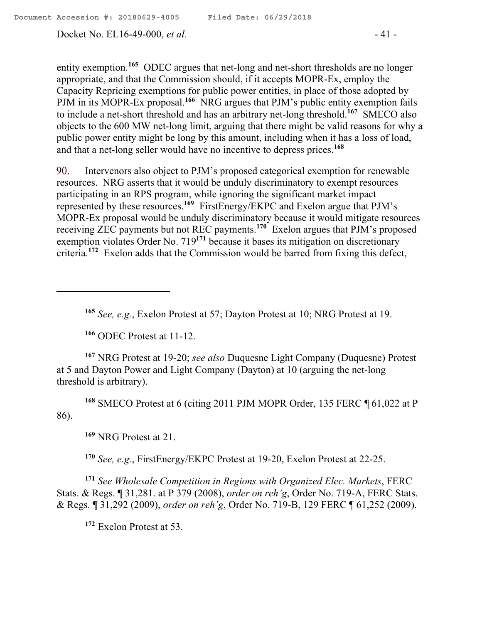Docket No. EL16-49-000, *et al.* - 41 -

entity exemption.<sup>165</sup> ODEC argues that net-long and net-short thresholds are no longer appropriate, and that the Commission should, if it accepts MOPR-Ex, employ the Capacity Repricing exemptions for public power entities, in place of those adopted by PJM in its MOPR-Ex proposal.<sup>166</sup> NRG argues that PJM's public entity exemption fails to include a net-short threshold and has an arbitrary net-long threshold.**<sup>167</sup>** SMECO also objects to the 600 MW net-long limit, arguing that there might be valid reasons for why a public power entity might be long by this amount, including when it has a loss of load, and that a net-long seller would have no incentive to depress prices.**<sup>168</sup>**

Intervenors also object to PJM's proposed categorical exemption for renewable 90. resources. NRG asserts that it would be unduly discriminatory to exempt resources participating in an RPS program, while ignoring the significant market impact represented by these resources.**<sup>169</sup>** FirstEnergy/EKPC and Exelon argue that PJM's MOPR-Ex proposal would be unduly discriminatory because it would mitigate resources receiving ZEC payments but not REC payments.**<sup>170</sup>** Exelon argues that PJM's proposed exemption violates Order No. 719**<sup>171</sup>** because it bases its mitigation on discretionary criteria.**<sup>172</sup>** Exelon adds that the Commission would be barred from fixing this defect,

**<sup>165</sup>** *See, e.g.*, Exelon Protest at 57; Dayton Protest at 10; NRG Protest at 19.

**<sup>166</sup>** ODEC Protest at 11-12.

**<sup>167</sup>** NRG Protest at 19-20; *see also* Duquesne Light Company (Duquesne) Protest at 5 and Dayton Power and Light Company (Dayton) at 10 (arguing the net-long threshold is arbitrary).

**<sup>168</sup>** SMECO Protest at 6 (citing 2011 PJM MOPR Order, 135 FERC ¶ 61,022 at P 86).

**<sup>169</sup>** NRG Protest at 21.

**<sup>170</sup>** *See, e.g.*, FirstEnergy/EKPC Protest at 19-20, Exelon Protest at 22-25.

**<sup>171</sup>** *See Wholesale Competition in Regions with Organized Elec. Markets*, FERC Stats. & Regs. ¶ 31,281. at P 379 (2008), *order on reh'g*, Order No. 719-A, FERC Stats. & Regs. ¶ 31,292 (2009), *order on reh'g*, Order No. 719-B, 129 FERC ¶ 61,252 (2009).

**<sup>172</sup>** Exelon Protest at 53.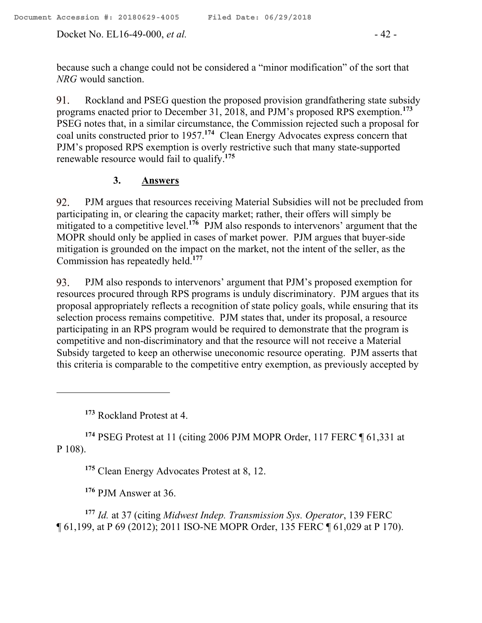Docket No. EL16-49-000, *et al.* - 42 -

because such a change could not be considered a "minor modification" of the sort that *NRG* would sanction.

Rockland and PSEG question the proposed provision grandfathering state subsidy 91. programs enacted prior to December 31, 2018, and PJM's proposed RPS exemption.**<sup>173</sup>** PSEG notes that, in a similar circumstance, the Commission rejected such a proposal for coal units constructed prior to 1957.**<sup>174</sup>** Clean Energy Advocates express concern that PJM's proposed RPS exemption is overly restrictive such that many state-supported renewable resource would fail to qualify.**<sup>175</sup>**

# **3. Answers**

PJM argues that resources receiving Material Subsidies will not be precluded from 92. participating in, or clearing the capacity market; rather, their offers will simply be mitigated to a competitive level.<sup>176</sup> PJM also responds to intervenors' argument that the MOPR should only be applied in cases of market power. PJM argues that buyer-side mitigation is grounded on the impact on the market, not the intent of the seller, as the Commission has repeatedly held.**<sup>177</sup>**

PJM also responds to intervenors' argument that PJM's proposed exemption for 93. resources procured through RPS programs is unduly discriminatory. PJM argues that its proposal appropriately reflects a recognition of state policy goals, while ensuring that its selection process remains competitive. PJM states that, under its proposal, a resource participating in an RPS program would be required to demonstrate that the program is competitive and non-discriminatory and that the resource will not receive a Material Subsidy targeted to keep an otherwise uneconomic resource operating. PJM asserts that this criteria is comparable to the competitive entry exemption, as previously accepted by

**<sup>173</sup>** Rockland Protest at 4.

 $\overline{a}$ 

**<sup>174</sup>** PSEG Protest at 11 (citing 2006 PJM MOPR Order, 117 FERC ¶ 61,331 at P 108).

**<sup>175</sup>** Clean Energy Advocates Protest at 8, 12.

**<sup>176</sup>** PJM Answer at 36.

**<sup>177</sup>** *Id.* at 37 (citing *Midwest Indep. Transmission Sys. Operator*, 139 FERC ¶ 61,199, at P 69 (2012); 2011 ISO-NE MOPR Order, 135 FERC ¶ 61,029 at P 170).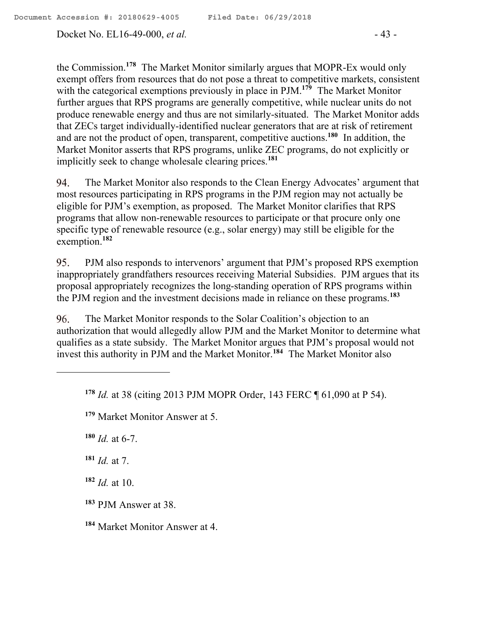Docket No. EL16-49-000, *et al.* - 43 -

the Commission.**<sup>178</sup>** The Market Monitor similarly argues that MOPR-Ex would only exempt offers from resources that do not pose a threat to competitive markets, consistent with the categorical exemptions previously in place in PJM.**<sup>179</sup>** The Market Monitor further argues that RPS programs are generally competitive, while nuclear units do not produce renewable energy and thus are not similarly-situated. The Market Monitor adds that ZECs target individually-identified nuclear generators that are at risk of retirement and are not the product of open, transparent, competitive auctions.**<sup>180</sup>** In addition, the Market Monitor asserts that RPS programs, unlike ZEC programs, do not explicitly or implicitly seek to change wholesale clearing prices.**<sup>181</sup>**

The Market Monitor also responds to the Clean Energy Advocates' argument that 94. most resources participating in RPS programs in the PJM region may not actually be eligible for PJM's exemption, as proposed. The Market Monitor clarifies that RPS programs that allow non-renewable resources to participate or that procure only one specific type of renewable resource (e.g., solar energy) may still be eligible for the exemption.**<sup>182</sup>**

95. PJM also responds to intervenors' argument that PJM's proposed RPS exemption inappropriately grandfathers resources receiving Material Subsidies. PJM argues that its proposal appropriately recognizes the long-standing operation of RPS programs within the PJM region and the investment decisions made in reliance on these programs.**<sup>183</sup>**

96. The Market Monitor responds to the Solar Coalition's objection to an authorization that would allegedly allow PJM and the Market Monitor to determine what qualifies as a state subsidy. The Market Monitor argues that PJM's proposal would not invest this authority in PJM and the Market Monitor.**<sup>184</sup>** The Market Monitor also

 $180$  *Id.* at 6-7.

**<sup>181</sup>** *Id.* at 7.

**<sup>182</sup>** *Id.* at 10.

**<sup>183</sup>** PJM Answer at 38.

**<sup>184</sup>** Market Monitor Answer at 4.

**<sup>178</sup>** *Id.* at 38 (citing 2013 PJM MOPR Order, 143 FERC ¶ 61,090 at P 54).

**<sup>179</sup>** Market Monitor Answer at 5.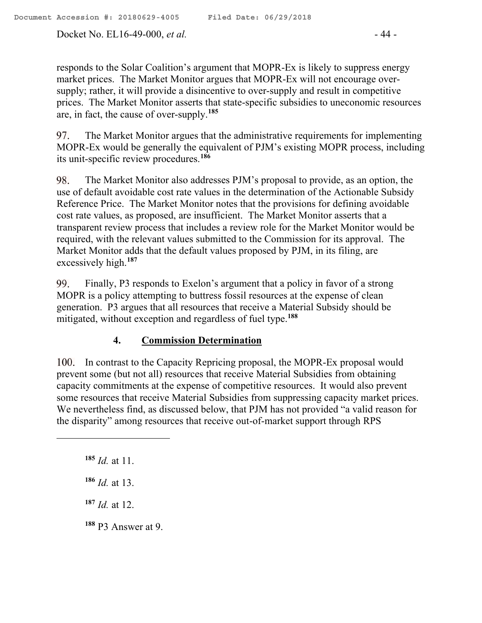Docket No. EL16-49-000, *et al.* - 44 -

responds to the Solar Coalition's argument that MOPR-Ex is likely to suppress energy market prices. The Market Monitor argues that MOPR-Ex will not encourage oversupply; rather, it will provide a disincentive to over-supply and result in competitive prices. The Market Monitor asserts that state-specific subsidies to uneconomic resources are, in fact, the cause of over-supply.**<sup>185</sup>**

97. The Market Monitor argues that the administrative requirements for implementing MOPR-Ex would be generally the equivalent of PJM's existing MOPR process, including its unit-specific review procedures.**<sup>186</sup>**

98. The Market Monitor also addresses PJM's proposal to provide, as an option, the use of default avoidable cost rate values in the determination of the Actionable Subsidy Reference Price. The Market Monitor notes that the provisions for defining avoidable cost rate values, as proposed, are insufficient. The Market Monitor asserts that a transparent review process that includes a review role for the Market Monitor would be required, with the relevant values submitted to the Commission for its approval. The Market Monitor adds that the default values proposed by PJM, in its filing, are excessively high.**<sup>187</sup>**

99. Finally, P3 responds to Exelon's argument that a policy in favor of a strong MOPR is a policy attempting to buttress fossil resources at the expense of clean generation. P3 argues that all resources that receive a Material Subsidy should be mitigated, without exception and regardless of fuel type.**<sup>188</sup>**

# **4. Commission Determination**

100. In contrast to the Capacity Repricing proposal, the MOPR-Ex proposal would prevent some (but not all) resources that receive Material Subsidies from obtaining capacity commitments at the expense of competitive resources. It would also prevent some resources that receive Material Subsidies from suppressing capacity market prices. We nevertheless find, as discussed below, that PJM has not provided "a valid reason for the disparity" among resources that receive out-of-market support through RPS

**<sup>185</sup>** *Id.* at 11.

 $\overline{a}$ 

**<sup>186</sup>** *Id.* at 13.

**<sup>187</sup>** *Id.* at 12.

**<sup>188</sup>** P3 Answer at 9.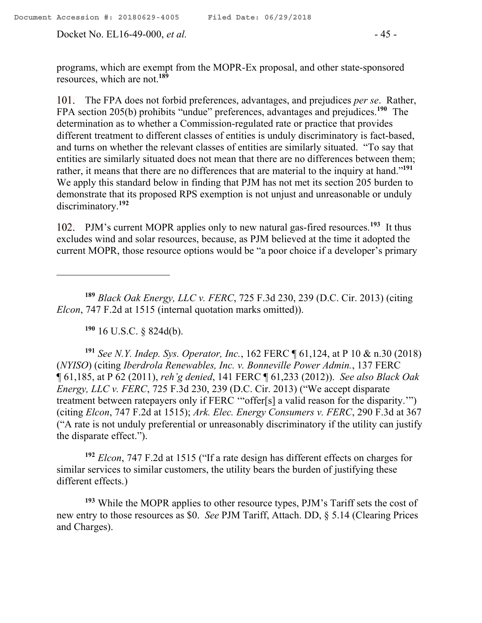Docket No. EL16-49-000, *et al.* - 45 -

programs, which are exempt from the MOPR-Ex proposal, and other state-sponsored resources, which are not.**<sup>189</sup>**

The FPA does not forbid preferences, advantages, and prejudices *per se*. Rather, FPA section 205(b) prohibits "undue" preferences, advantages and prejudices.**<sup>190</sup>** The determination as to whether a Commission-regulated rate or practice that provides different treatment to different classes of entities is unduly discriminatory is fact-based, and turns on whether the relevant classes of entities are similarly situated. "To say that entities are similarly situated does not mean that there are no differences between them; rather, it means that there are no differences that are material to the inquiry at hand."**<sup>191</sup>** We apply this standard below in finding that PJM has not met its section 205 burden to demonstrate that its proposed RPS exemption is not unjust and unreasonable or unduly discriminatory. **192**

PJM's current MOPR applies only to new natural gas-fired resources.<sup>193</sup> It thus excludes wind and solar resources, because, as PJM believed at the time it adopted the current MOPR, those resource options would be "a poor choice if a developer's primary

**<sup>189</sup>** *Black Oak Energy, LLC v. FERC*, 725 F.3d 230, 239 (D.C. Cir. 2013) (citing *Elcon*, 747 F.2d at 1515 (internal quotation marks omitted)).

**<sup>190</sup>** 16 U.S.C. § 824d(b).

 $\overline{a}$ 

**<sup>191</sup>** *See N.Y. Indep. Sys. Operator, Inc.*, 162 FERC ¶ 61,124, at P 10 & n.30 (2018) (*NYISO*) (citing *Iberdrola Renewables, Inc. v. Bonneville Power Admin.*, 137 FERC ¶ 61,185, at P 62 (2011), *reh'g denied*, 141 FERC ¶ 61,233 (2012)). *See also Black Oak Energy, LLC v. FERC*, 725 F.3d 230, 239 (D.C. Cir. 2013) ("We accept disparate treatment between ratepayers only if FERC '"offer[s] a valid reason for the disparity.'") (citing *Elcon*, 747 F.2d at 1515); *Ark. Elec. Energy Consumers v. FERC*, 290 F.3d at 367 ("A rate is not unduly preferential or unreasonably discriminatory if the utility can justify the disparate effect.").

**<sup>192</sup>** *Elcon*, 747 F.2d at 1515 ("If a rate design has different effects on charges for similar services to similar customers, the utility bears the burden of justifying these different effects.)

**<sup>193</sup>** While the MOPR applies to other resource types, PJM's Tariff sets the cost of new entry to those resources as \$0. *See* PJM Tariff, Attach. DD, § 5.14 (Clearing Prices and Charges).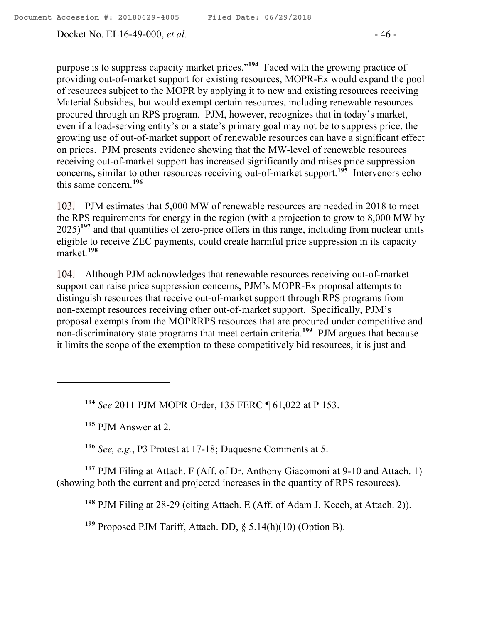Docket No. EL16-49-000, *et al.* - 46 -

purpose is to suppress capacity market prices."**<sup>194</sup>** Faced with the growing practice of providing out-of-market support for existing resources, MOPR-Ex would expand the pool of resources subject to the MOPR by applying it to new and existing resources receiving Material Subsidies, but would exempt certain resources, including renewable resources procured through an RPS program. PJM, however, recognizes that in today's market, even if a load-serving entity's or a state's primary goal may not be to suppress price, the growing use of out-of-market support of renewable resources can have a significant effect on prices. PJM presents evidence showing that the MW-level of renewable resources receiving out-of-market support has increased significantly and raises price suppression concerns, similar to other resources receiving out-of-market support. **195** Intervenors echo this same concern.**<sup>196</sup>**

103. PJM estimates that 5,000 MW of renewable resources are needed in 2018 to meet the RPS requirements for energy in the region (with a projection to grow to 8,000 MW by 2025) **<sup>197</sup>** and that quantities of zero-price offers in this range, including from nuclear units eligible to receive ZEC payments, could create harmful price suppression in its capacity market.**<sup>198</sup>**

Although PJM acknowledges that renewable resources receiving out-of-market support can raise price suppression concerns, PJM's MOPR-Ex proposal attempts to distinguish resources that receive out-of-market support through RPS programs from non-exempt resources receiving other out-of-market support. Specifically, PJM's proposal exempts from the MOPRRPS resources that are procured under competitive and non-discriminatory state programs that meet certain criteria.<sup>199</sup> PJM argues that because it limits the scope of the exemption to these competitively bid resources, it is just and

**<sup>194</sup>** *See* 2011 PJM MOPR Order, 135 FERC ¶ 61,022 at P 153.

**<sup>195</sup>** PJM Answer at 2.

 $\overline{a}$ 

**<sup>196</sup>** *See, e.g.*, P3 Protest at 17-18; Duquesne Comments at 5.

**<sup>197</sup>** PJM Filing at Attach. F (Aff. of Dr. Anthony Giacomoni at 9-10 and Attach. 1) (showing both the current and projected increases in the quantity of RPS resources).

**<sup>198</sup>** PJM Filing at 28-29 (citing Attach. E (Aff. of Adam J. Keech, at Attach. 2)).

**<sup>199</sup>** Proposed PJM Tariff, Attach. DD, § 5.14(h)(10) (Option B).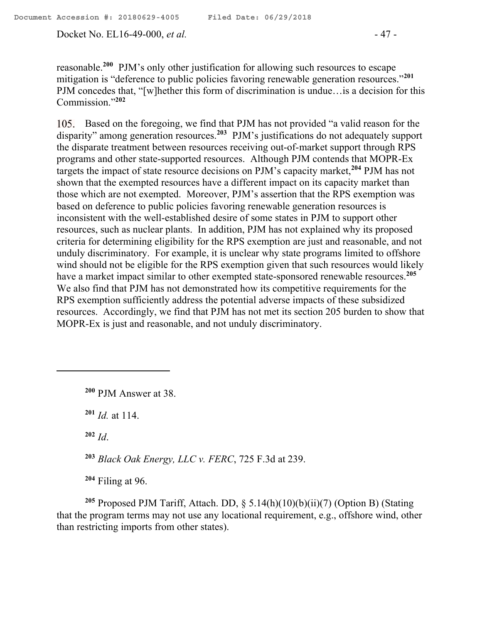Docket No. EL16-49-000, *et al.* - 47 -

reasonable.**<sup>200</sup>** PJM's only other justification for allowing such resources to escape mitigation is "deference to public policies favoring renewable generation resources."**<sup>201</sup>** PJM concedes that, "[w]hether this form of discrimination is undue…is a decision for this Commission."**<sup>202</sup>**

105. Based on the foregoing, we find that PJM has not provided "a valid reason for the disparity" among generation resources.**<sup>203</sup>** PJM's justifications do not adequately support the disparate treatment between resources receiving out-of-market support through RPS programs and other state-supported resources. Although PJM contends that MOPR-Ex targets the impact of state resource decisions on PJM's capacity market,**<sup>204</sup>** PJM has not shown that the exempted resources have a different impact on its capacity market than those which are not exempted. Moreover, PJM's assertion that the RPS exemption was based on deference to public policies favoring renewable generation resources is inconsistent with the well-established desire of some states in PJM to support other resources, such as nuclear plants. In addition, PJM has not explained why its proposed criteria for determining eligibility for the RPS exemption are just and reasonable, and not unduly discriminatory. For example, it is unclear why state programs limited to offshore wind should not be eligible for the RPS exemption given that such resources would likely have a market impact similar to other exempted state-sponsored renewable resources.**<sup>205</sup>** We also find that PJM has not demonstrated how its competitive requirements for the RPS exemption sufficiently address the potential adverse impacts of these subsidized resources. Accordingly, we find that PJM has not met its section 205 burden to show that MOPR-Ex is just and reasonable, and not unduly discriminatory.

**<sup>200</sup>** PJM Answer at 38.

**<sup>201</sup>** *Id.* at 114.

**<sup>202</sup>** *Id*.

**<sup>203</sup>** *Black Oak Energy, LLC v. FERC*, 725 F.3d at 239.

**<sup>204</sup>** Filing at 96.

**<sup>205</sup>** Proposed PJM Tariff, Attach. DD, § 5.14(h)(10)(b)(ii)(7) (Option B) (Stating that the program terms may not use any locational requirement, e.g., offshore wind, other than restricting imports from other states).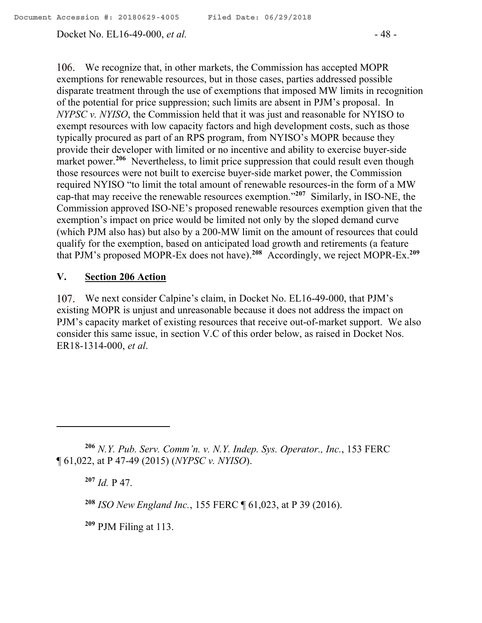Docket No. EL16-49-000, *et al.* - 48 -

106. We recognize that, in other markets, the Commission has accepted MOPR exemptions for renewable resources, but in those cases, parties addressed possible disparate treatment through the use of exemptions that imposed MW limits in recognition of the potential for price suppression; such limits are absent in PJM's proposal. In *NYPSC v. NYISO*, the Commission held that it was just and reasonable for NYISO to exempt resources with low capacity factors and high development costs, such as those typically procured as part of an RPS program, from NYISO's MOPR because they provide their developer with limited or no incentive and ability to exercise buyer-side market power.<sup>206</sup> Nevertheless, to limit price suppression that could result even though those resources were not built to exercise buyer-side market power, the Commission required NYISO "to limit the total amount of renewable resources-in the form of a MW cap-that may receive the renewable resources exemption." **207** Similarly, in ISO-NE, the Commission approved ISO-NE's proposed renewable resources exemption given that the exemption's impact on price would be limited not only by the sloped demand curve (which PJM also has) but also by a 200-MW limit on the amount of resources that could qualify for the exemption, based on anticipated load growth and retirements (a feature that PJM's proposed MOPR-Ex does not have). **208** Accordingly, we reject MOPR-Ex.**<sup>209</sup>**

### **V. Section 206 Action**

We next consider Calpine's claim, in Docket No. EL16-49-000, that PJM's existing MOPR is unjust and unreasonable because it does not address the impact on PJM's capacity market of existing resources that receive out-of-market support. We also consider this same issue, in section V.C of this order below, as raised in Docket Nos. ER18-1314-000, *et al*.

**<sup>207</sup>** *Id.* P 47.

 $\overline{a}$ 

**<sup>209</sup>** PJM Filing at 113.

**<sup>206</sup>** *N.Y. Pub. Serv. Comm'n. v. N.Y. Indep. Sys. Operator., Inc.*, 153 FERC ¶ 61,022, at P 47-49 (2015) (*NYPSC v. NYISO*).

**<sup>208</sup>** *ISO New England Inc.*, 155 FERC ¶ 61,023, at P 39 (2016).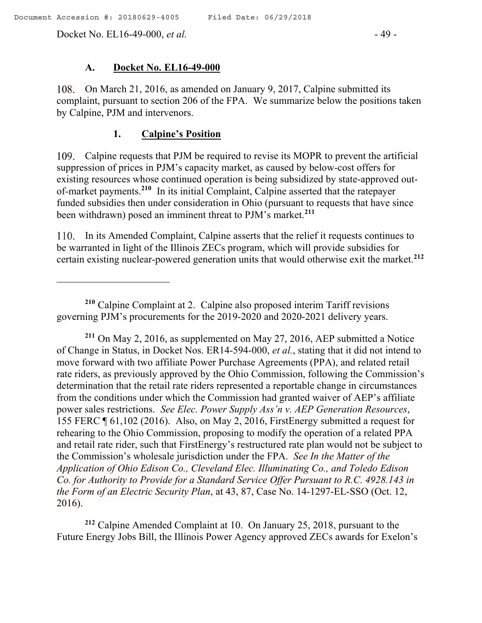Docket No. EL16-49-000, *et al.* - 49 -

 $\overline{a}$ 

#### **A. Docket No. EL16-49-000**

On March 21, 2016, as amended on January 9, 2017, Calpine submitted its complaint, pursuant to section 206 of the FPA. We summarize below the positions taken by Calpine, PJM and intervenors.

#### **1. Calpine's Position**

Calpine requests that PJM be required to revise its MOPR to prevent the artificial suppression of prices in PJM's capacity market, as caused by below-cost offers for existing resources whose continued operation is being subsidized by state-approved outof-market payments.**<sup>210</sup>** In its initial Complaint, Calpine asserted that the ratepayer funded subsidies then under consideration in Ohio (pursuant to requests that have since been withdrawn) posed an imminent threat to PJM's market.**<sup>211</sup>**

110. In its Amended Complaint, Calpine asserts that the relief it requests continues to be warranted in light of the Illinois ZECs program, which will provide subsidies for certain existing nuclear-powered generation units that would otherwise exit the market.**<sup>212</sup>**

**<sup>211</sup>** On May 2, 2016, as supplemented on May 27, 2016, AEP submitted a Notice of Change in Status, in Docket Nos. ER14-594-000, *et al.*, stating that it did not intend to move forward with two affiliate Power Purchase Agreements (PPA), and related retail rate riders, as previously approved by the Ohio Commission, following the Commission's determination that the retail rate riders represented a reportable change in circumstances from the conditions under which the Commission had granted waiver of AEP's affiliate power sales restrictions. *See Elec. Power Supply Ass'n v. AEP Generation Resources*, 155 FERC ¶ 61,102 (2016). Also, on May 2, 2016, FirstEnergy submitted a request for rehearing to the Ohio Commission, proposing to modify the operation of a related PPA and retail rate rider, such that FirstEnergy's restructured rate plan would not be subject to the Commission's wholesale jurisdiction under the FPA. *See In the Matter of the Application of Ohio Edison Co., Cleveland Elec. Illuminating Co., and Toledo Edison Co. for Authority to Provide for a Standard Service Offer Pursuant to R.C. 4928.143 in the Form of an Electric Security Plan*, at 43, 87, Case No. 14-1297-EL-SSO (Oct. 12, 2016).

**<sup>212</sup>** Calpine Amended Complaint at 10. On January 25, 2018, pursuant to the Future Energy Jobs Bill, the Illinois Power Agency approved ZECs awards for Exelon's

**<sup>210</sup>** Calpine Complaint at 2. Calpine also proposed interim Tariff revisions governing PJM's procurements for the 2019-2020 and 2020-2021 delivery years.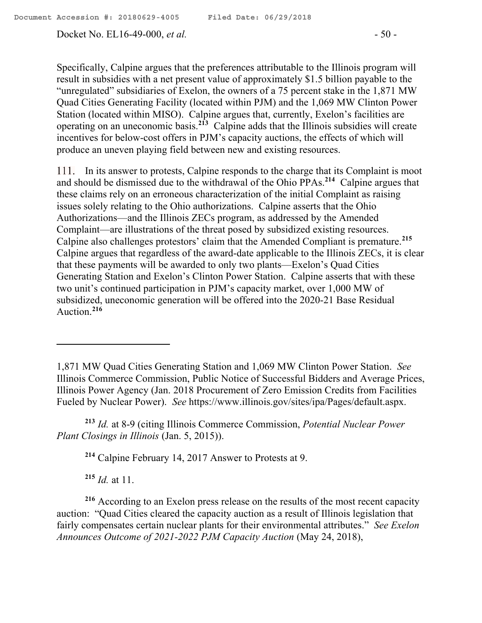Docket No. EL16-49-000, *et al.* - 50 -

Specifically, Calpine argues that the preferences attributable to the Illinois program will result in subsidies with a net present value of approximately \$1.5 billion payable to the "unregulated" subsidiaries of Exelon, the owners of a 75 percent stake in the 1,871 MW Quad Cities Generating Facility (located within PJM) and the 1,069 MW Clinton Power Station (located within MISO). Calpine argues that, currently, Exelon's facilities are operating on an uneconomic basis.**<sup>213</sup>** Calpine adds that the Illinois subsidies will create incentives for below-cost offers in PJM's capacity auctions, the effects of which will produce an uneven playing field between new and existing resources.

111. In its answer to protests, Calpine responds to the charge that its Complaint is moot and should be dismissed due to the withdrawal of the Ohio PPAs.**<sup>214</sup>** Calpine argues that these claims rely on an erroneous characterization of the initial Complaint as raising issues solely relating to the Ohio authorizations. Calpine asserts that the Ohio Authorizations—and the Illinois ZECs program, as addressed by the Amended Complaint—are illustrations of the threat posed by subsidized existing resources. Calpine also challenges protestors' claim that the Amended Compliant is premature.**<sup>215</sup>** Calpine argues that regardless of the award-date applicable to the Illinois ZECs, it is clear that these payments will be awarded to only two plants—Exelon's Quad Cities Generating Station and Exelon's Clinton Power Station. Calpine asserts that with these two unit's continued participation in PJM's capacity market, over 1,000 MW of subsidized, uneconomic generation will be offered into the 2020-21 Base Residual Auction.**<sup>216</sup>**

**<sup>213</sup>** *Id.* at 8-9 (citing Illinois Commerce Commission, *Potential Nuclear Power Plant Closings in Illinois* (Jan. 5, 2015)).

**<sup>214</sup>** Calpine February 14, 2017 Answer to Protests at 9.

**<sup>215</sup>** *Id.* at 11.

 $\overline{a}$ 

**<sup>216</sup>** According to an Exelon press release on the results of the most recent capacity auction: "Quad Cities cleared the capacity auction as a result of Illinois legislation that fairly compensates certain nuclear plants for their environmental attributes." *See Exelon Announces Outcome of 2021-2022 PJM Capacity Auction* (May 24, 2018),

<sup>1,871</sup> MW Quad Cities Generating Station and 1,069 MW Clinton Power Station. *See*  Illinois Commerce Commission, Public Notice of Successful Bidders and Average Prices, Illinois Power Agency (Jan. 2018 Procurement of Zero Emission Credits from Facilities Fueled by Nuclear Power). *See* https://www.illinois.gov/sites/ipa/Pages/default.aspx.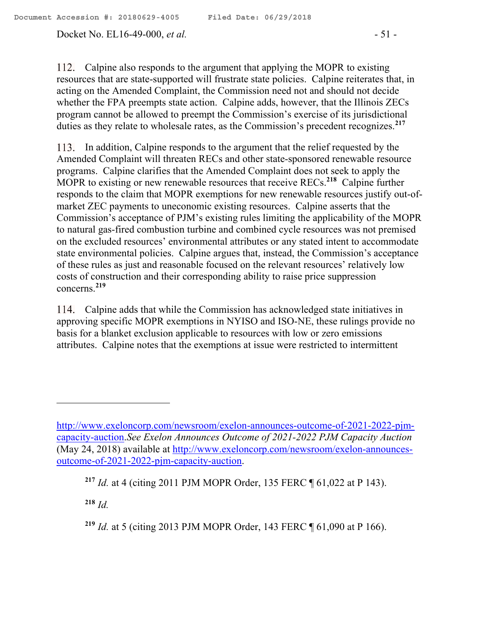112. Calpine also responds to the argument that applying the MOPR to existing resources that are state-supported will frustrate state policies. Calpine reiterates that, in acting on the Amended Complaint, the Commission need not and should not decide whether the FPA preempts state action. Calpine adds, however, that the Illinois ZECs program cannot be allowed to preempt the Commission's exercise of its jurisdictional duties as they relate to wholesale rates, as the Commission's precedent recognizes.**<sup>217</sup>**

In addition, Calpine responds to the argument that the relief requested by the Amended Complaint will threaten RECs and other state-sponsored renewable resource programs. Calpine clarifies that the Amended Complaint does not seek to apply the MOPR to existing or new renewable resources that receive RECs.**<sup>218</sup>** Calpine further responds to the claim that MOPR exemptions for new renewable resources justify out-ofmarket ZEC payments to uneconomic existing resources. Calpine asserts that the Commission's acceptance of PJM's existing rules limiting the applicability of the MOPR to natural gas-fired combustion turbine and combined cycle resources was not premised on the excluded resources' environmental attributes or any stated intent to accommodate state environmental policies. Calpine argues that, instead, the Commission's acceptance of these rules as just and reasonable focused on the relevant resources' relatively low costs of construction and their corresponding ability to raise price suppression concerns.**<sup>219</sup>**

Calpine adds that while the Commission has acknowledged state initiatives in approving specific MOPR exemptions in NYISO and ISO-NE, these rulings provide no basis for a blanket exclusion applicable to resources with low or zero emissions attributes. Calpine notes that the exemptions at issue were restricted to intermittent

**<sup>218</sup>** *Id.*

 $\overline{a}$ 

http://www.exeloncorp.com/newsroom/exelon-announces-outcome-of-2021-2022-pjmcapacity-auction.*See Exelon Announces Outcome of 2021-2022 PJM Capacity Auction*  (May 24, 2018) available at http://www.exeloncorp.com/newsroom/exelon-announcesoutcome-of-2021-2022-pjm-capacity-auction.

**<sup>217</sup>** *Id.* at 4 (citing 2011 PJM MOPR Order, 135 FERC ¶ 61,022 at P 143).

**<sup>219</sup>** *Id.* at 5 (citing 2013 PJM MOPR Order, 143 FERC ¶ 61,090 at P 166).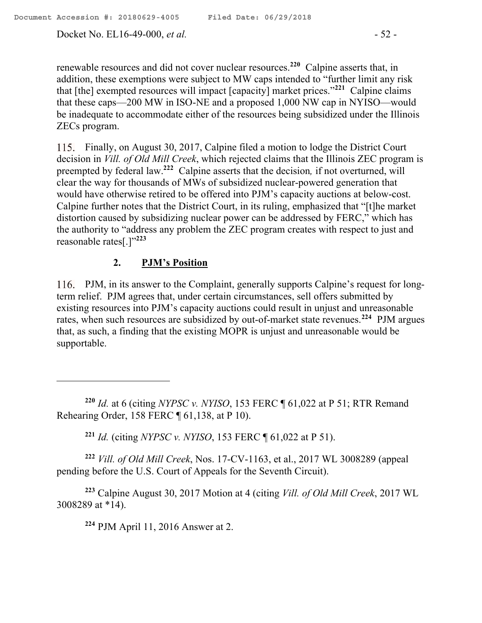$\overline{a}$ 

Docket No. EL16-49-000, *et al.* - 52 -

renewable resources and did not cover nuclear resources.**<sup>220</sup>** Calpine asserts that, in addition, these exemptions were subject to MW caps intended to "further limit any risk that [the] exempted resources will impact [capacity] market prices."**<sup>221</sup>** Calpine claims that these caps—200 MW in ISO-NE and a proposed 1,000 NW cap in NYISO—would be inadequate to accommodate either of the resources being subsidized under the Illinois ZECs program.

Finally, on August 30, 2017, Calpine filed a motion to lodge the District Court decision in *Vill. of Old Mill Creek*, which rejected claims that the Illinois ZEC program is preempted by federal law. **222** Calpine asserts that the decision*,* if not overturned, will clear the way for thousands of MWs of subsidized nuclear-powered generation that would have otherwise retired to be offered into PJM's capacity auctions at below-cost. Calpine further notes that the District Court, in its ruling, emphasized that "[t]he market distortion caused by subsidizing nuclear power can be addressed by FERC," which has the authority to "address any problem the ZEC program creates with respect to just and reasonable rates[.]"**<sup>223</sup>**

# **2. PJM's Position**

PJM, in its answer to the Complaint, generally supports Calpine's request for longterm relief. PJM agrees that, under certain circumstances, sell offers submitted by existing resources into PJM's capacity auctions could result in unjust and unreasonable rates, when such resources are subsidized by out-of-market state revenues.**<sup>224</sup>** PJM argues that, as such, a finding that the existing MOPR is unjust and unreasonable would be supportable.

**<sup>220</sup>** *Id.* at 6 (citing *NYPSC v. NYISO*, 153 FERC ¶ 61,022 at P 51; RTR Remand Rehearing Order, 158 FERC ¶ 61,138, at P 10).

**<sup>221</sup>** *Id.* (citing *NYPSC v. NYISO*, 153 FERC ¶ 61,022 at P 51).

**<sup>222</sup>** *Vill. of Old Mill Creek*, Nos. 17-CV-1163, et al., 2017 WL 3008289 (appeal pending before the U.S. Court of Appeals for the Seventh Circuit).

**<sup>223</sup>** Calpine August 30, 2017 Motion at 4 (citing *Vill. of Old Mill Creek*, 2017 WL 3008289 at \*14).

**<sup>224</sup>** PJM April 11, 2016 Answer at 2.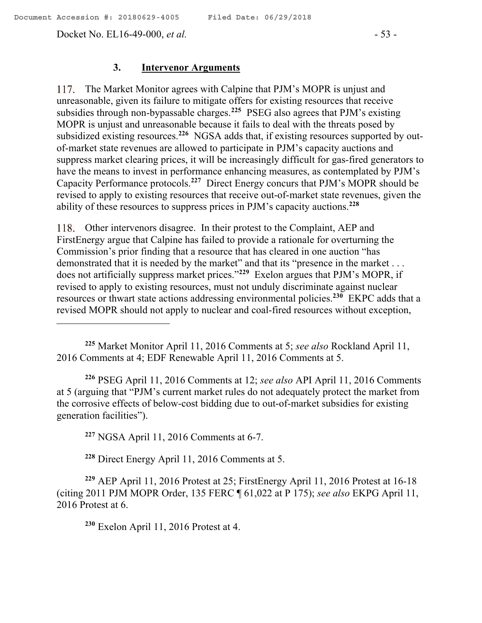Docket No. EL16-49-000, *et al.* - 53 -

#### **3. Intervenor Arguments**

117. The Market Monitor agrees with Calpine that PJM's MOPR is unjust and unreasonable, given its failure to mitigate offers for existing resources that receive subsidies through non-bypassable charges.**<sup>225</sup>** PSEG also agrees that PJM's existing MOPR is unjust and unreasonable because it fails to deal with the threats posed by subsidized existing resources.<sup>226</sup> NGSA adds that, if existing resources supported by outof-market state revenues are allowed to participate in PJM's capacity auctions and suppress market clearing prices, it will be increasingly difficult for gas-fired generators to have the means to invest in performance enhancing measures, as contemplated by PJM's Capacity Performance protocols.**<sup>227</sup>** Direct Energy concurs that PJM's MOPR should be revised to apply to existing resources that receive out-of-market state revenues, given the ability of these resources to suppress prices in PJM's capacity auctions.**<sup>228</sup>**

Other intervenors disagree. In their protest to the Complaint, AEP and FirstEnergy argue that Calpine has failed to provide a rationale for overturning the Commission's prior finding that a resource that has cleared in one auction "has demonstrated that it is needed by the market" and that its "presence in the market . . . does not artificially suppress market prices."**<sup>229</sup>** Exelon argues that PJM's MOPR, if revised to apply to existing resources, must not unduly discriminate against nuclear resources or thwart state actions addressing environmental policies.**<sup>230</sup>** EKPC adds that a revised MOPR should not apply to nuclear and coal-fired resources without exception,

**<sup>226</sup>** PSEG April 11, 2016 Comments at 12; *see also* API April 11, 2016 Comments at 5 (arguing that "PJM's current market rules do not adequately protect the market from the corrosive effects of below-cost bidding due to out-of-market subsidies for existing generation facilities").

**<sup>227</sup>** NGSA April 11, 2016 Comments at 6-7.

**<sup>228</sup>** Direct Energy April 11, 2016 Comments at 5.

**<sup>229</sup>** AEP April 11, 2016 Protest at 25; FirstEnergy April 11, 2016 Protest at 16-18 (citing 2011 PJM MOPR Order, 135 FERC ¶ 61,022 at P 175); *see also* EKPG April 11, 2016 Protest at 6.

**<sup>230</sup>** Exelon April 11, 2016 Protest at 4.

**<sup>225</sup>** Market Monitor April 11, 2016 Comments at 5; *see also* Rockland April 11, 2016 Comments at 4; EDF Renewable April 11, 2016 Comments at 5.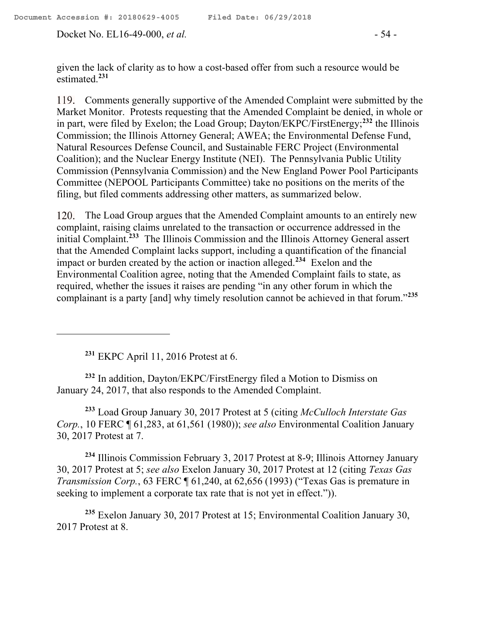Docket No. EL16-49-000, *et al.* - 54 -

given the lack of clarity as to how a cost-based offer from such a resource would be estimated.**<sup>231</sup>**

Comments generally supportive of the Amended Complaint were submitted by the Market Monitor. Protests requesting that the Amended Complaint be denied, in whole or in part, were filed by Exelon; the Load Group; Dayton/EKPC/FirstEnergy; **<sup>232</sup>** the Illinois Commission; the Illinois Attorney General; AWEA; the Environmental Defense Fund, Natural Resources Defense Council, and Sustainable FERC Project (Environmental Coalition); and the Nuclear Energy Institute (NEI). The Pennsylvania Public Utility Commission (Pennsylvania Commission) and the New England Power Pool Participants Committee (NEPOOL Participants Committee) take no positions on the merits of the filing, but filed comments addressing other matters, as summarized below.

120. The Load Group argues that the Amended Complaint amounts to an entirely new complaint, raising claims unrelated to the transaction or occurrence addressed in the initial Complaint.**<sup>233</sup>** The Illinois Commission and the Illinois Attorney General assert that the Amended Complaint lacks support, including a quantification of the financial impact or burden created by the action or inaction alleged.**<sup>234</sup>** Exelon and the Environmental Coalition agree, noting that the Amended Complaint fails to state, as required, whether the issues it raises are pending "in any other forum in which the complainant is a party [and] why timely resolution cannot be achieved in that forum."**<sup>235</sup>**

**<sup>231</sup>** EKPC April 11, 2016 Protest at 6.

**<sup>232</sup>** In addition, Dayton/EKPC/FirstEnergy filed a Motion to Dismiss on January 24, 2017, that also responds to the Amended Complaint.

**<sup>233</sup>** Load Group January 30, 2017 Protest at 5 (citing *McCulloch Interstate Gas Corp.*, 10 FERC ¶ 61,283, at 61,561 (1980)); *see also* Environmental Coalition January 30, 2017 Protest at 7.

**<sup>234</sup>** Illinois Commission February 3, 2017 Protest at 8-9; Illinois Attorney January 30, 2017 Protest at 5; *see also* Exelon January 30, 2017 Protest at 12 (citing *Texas Gas Transmission Corp.*, 63 FERC ¶ 61,240, at 62,656 (1993) ("Texas Gas is premature in seeking to implement a corporate tax rate that is not yet in effect.")).

**<sup>235</sup>** Exelon January 30, 2017 Protest at 15; Environmental Coalition January 30, 2017 Protest at 8.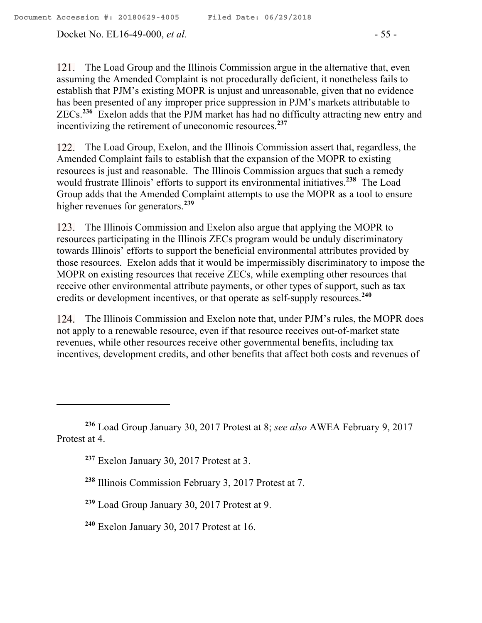Docket No. EL16-49-000, *et al.* - 55 -

121. The Load Group and the Illinois Commission argue in the alternative that, even assuming the Amended Complaint is not procedurally deficient, it nonetheless fails to establish that PJM's existing MOPR is unjust and unreasonable, given that no evidence has been presented of any improper price suppression in PJM's markets attributable to ZECs.**<sup>236</sup>** Exelon adds that the PJM market has had no difficulty attracting new entry and incentivizing the retirement of uneconomic resources.**<sup>237</sup>**

122. The Load Group, Exelon, and the Illinois Commission assert that, regardless, the Amended Complaint fails to establish that the expansion of the MOPR to existing resources is just and reasonable. The Illinois Commission argues that such a remedy would frustrate Illinois' efforts to support its environmental initiatives.**<sup>238</sup>** The Load Group adds that the Amended Complaint attempts to use the MOPR as a tool to ensure higher revenues for generators.**<sup>239</sup>**

123. The Illinois Commission and Exelon also argue that applying the MOPR to resources participating in the Illinois ZECs program would be unduly discriminatory towards Illinois' efforts to support the beneficial environmental attributes provided by those resources. Exelon adds that it would be impermissibly discriminatory to impose the MOPR on existing resources that receive ZECs, while exempting other resources that receive other environmental attribute payments, or other types of support, such as tax credits or development incentives, or that operate as self-supply resources.**<sup>240</sup>**

124. The Illinois Commission and Exelon note that, under PJM's rules, the MOPR does not apply to a renewable resource, even if that resource receives out-of-market state revenues, while other resources receive other governmental benefits, including tax incentives, development credits, and other benefits that affect both costs and revenues of

 $\overline{a}$ 

**<sup>236</sup>** Load Group January 30, 2017 Protest at 8; *see also* AWEA February 9, 2017 Protest at 4.

**<sup>237</sup>** Exelon January 30, 2017 Protest at 3.

**<sup>238</sup>** Illinois Commission February 3, 2017 Protest at 7.

**<sup>239</sup>** Load Group January 30, 2017 Protest at 9.

**<sup>240</sup>** Exelon January 30, 2017 Protest at 16.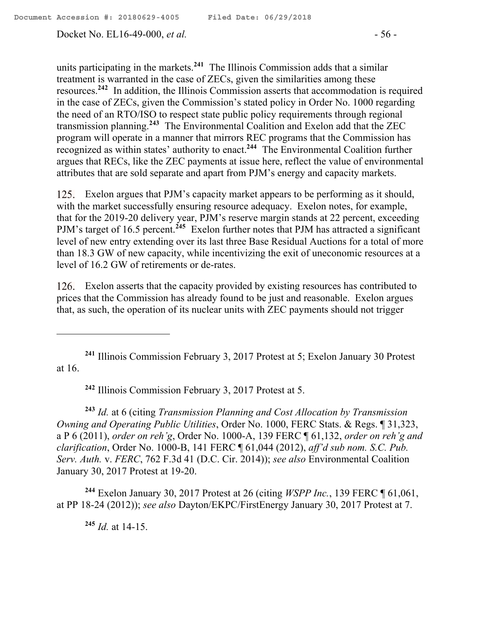Docket No. EL16-49-000, *et al.* - 56 -

units participating in the markets.**<sup>241</sup>** The Illinois Commission adds that a similar treatment is warranted in the case of ZECs, given the similarities among these resources.**<sup>242</sup>** In addition, the Illinois Commission asserts that accommodation is required in the case of ZECs, given the Commission's stated policy in Order No. 1000 regarding the need of an RTO/ISO to respect state public policy requirements through regional transmission planning.**<sup>243</sup>** The Environmental Coalition and Exelon add that the ZEC program will operate in a manner that mirrors REC programs that the Commission has recognized as within states' authority to enact.**<sup>244</sup>** The Environmental Coalition further argues that RECs, like the ZEC payments at issue here, reflect the value of environmental attributes that are sold separate and apart from PJM's energy and capacity markets.

Exelon argues that PJM's capacity market appears to be performing as it should, with the market successfully ensuring resource adequacy. Exelon notes, for example, that for the 2019-20 delivery year, PJM's reserve margin stands at 22 percent, exceeding PJM's target of 16.5 percent.<sup>245</sup> Exelon further notes that PJM has attracted a significant level of new entry extending over its last three Base Residual Auctions for a total of more than 18.3 GW of new capacity, while incentivizing the exit of uneconomic resources at a level of 16.2 GW of retirements or de-rates.

126. Exelon asserts that the capacity provided by existing resources has contributed to prices that the Commission has already found to be just and reasonable. Exelon argues that, as such, the operation of its nuclear units with ZEC payments should not trigger

**<sup>241</sup>** Illinois Commission February 3, 2017 Protest at 5; Exelon January 30 Protest at 16.

**<sup>242</sup>** Illinois Commission February 3, 2017 Protest at 5.

**<sup>243</sup>** *Id.* at 6 (citing *Transmission Planning and Cost Allocation by Transmission Owning and Operating Public Utilities*, Order No. 1000, FERC Stats. & Regs. ¶ 31,323, a P 6 (2011), *order on reh'g*, Order No. 1000-A, 139 FERC ¶ 61,132, *order on reh'g and clarification*, Order No. 1000-B, 141 FERC ¶ 61,044 (2012), *aff'd sub nom. S.C. Pub. Serv. Auth.* v. *FERC*, 762 F.3d 41 (D.C. Cir. 2014)); *see also* Environmental Coalition January 30, 2017 Protest at 19-20.

**<sup>244</sup>** Exelon January 30, 2017 Protest at 26 (citing *WSPP Inc.*, 139 FERC ¶ 61,061, at PP 18-24 (2012)); *see also* Dayton/EKPC/FirstEnergy January 30, 2017 Protest at 7.

**<sup>245</sup>** *Id.* at 14-15.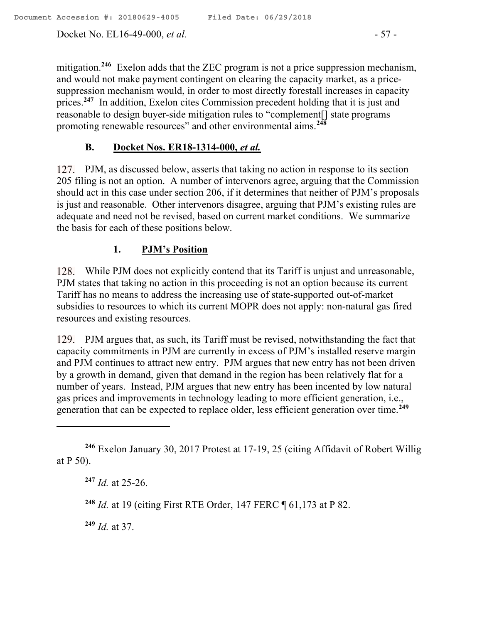Docket No. EL16-49-000, *et al.* - 57 -

mitigation.**<sup>246</sup>** Exelon adds that the ZEC program is not a price suppression mechanism, and would not make payment contingent on clearing the capacity market, as a pricesuppression mechanism would, in order to most directly forestall increases in capacity prices.<sup>247</sup> In addition, Exelon cites Commission precedent holding that it is just and reasonable to design buyer-side mitigation rules to "complement[] state programs promoting renewable resources" and other environmental aims.**<sup>248</sup>**

# **B. Docket Nos. ER18-1314-000,** *et al.*

127. PJM, as discussed below, asserts that taking no action in response to its section 205 filing is not an option. A number of intervenors agree, arguing that the Commission should act in this case under section 206, if it determines that neither of PJM's proposals is just and reasonable. Other intervenors disagree, arguing that PJM's existing rules are adequate and need not be revised, based on current market conditions. We summarize the basis for each of these positions below.

# **1. PJM's Position**

While PJM does not explicitly contend that its Tariff is unjust and unreasonable, PJM states that taking no action in this proceeding is not an option because its current Tariff has no means to address the increasing use of state-supported out-of-market subsidies to resources to which its current MOPR does not apply: non-natural gas fired resources and existing resources.

129. PJM argues that, as such, its Tariff must be revised, notwithstanding the fact that capacity commitments in PJM are currently in excess of PJM's installed reserve margin and PJM continues to attract new entry. PJM argues that new entry has not been driven by a growth in demand, given that demand in the region has been relatively flat for a number of years. Instead, PJM argues that new entry has been incented by low natural gas prices and improvements in technology leading to more efficient generation, i.e., generation that can be expected to replace older, less efficient generation over time.**<sup>249</sup>**

 $\overline{a}$ 

**<sup>249</sup>** *Id.* at 37.

**<sup>246</sup>** Exelon January 30, 2017 Protest at 17-19, 25 (citing Affidavit of Robert Willig at P 50).

**<sup>247</sup>** *Id.* at 25-26.

**<sup>248</sup>** *Id.* at 19 (citing First RTE Order, 147 FERC ¶ 61,173 at P 82.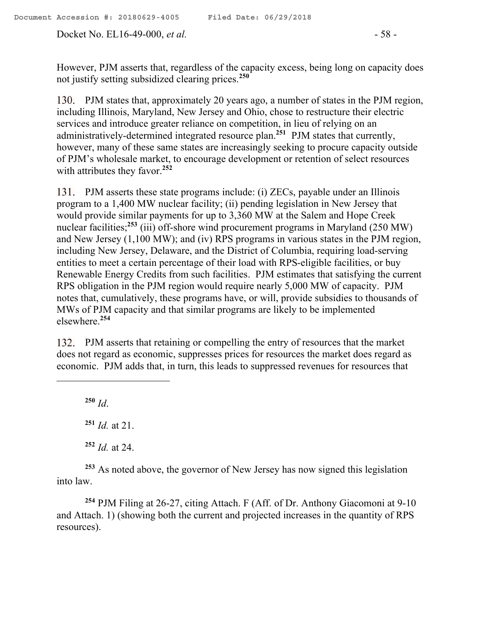Docket No. EL16-49-000, *et al.* - 58 -

However, PJM asserts that, regardless of the capacity excess, being long on capacity does not justify setting subsidized clearing prices.**<sup>250</sup>**

PJM states that, approximately 20 years ago, a number of states in the PJM region, including Illinois, Maryland, New Jersey and Ohio, chose to restructure their electric services and introduce greater reliance on competition, in lieu of relying on an administratively-determined integrated resource plan.**<sup>251</sup>** PJM states that currently, however, many of these same states are increasingly seeking to procure capacity outside of PJM's wholesale market, to encourage development or retention of select resources with attributes they favor.**<sup>252</sup>**

131. PJM asserts these state programs include: (i) ZECs, payable under an Illinois program to a 1,400 MW nuclear facility; (ii) pending legislation in New Jersey that would provide similar payments for up to 3,360 MW at the Salem and Hope Creek nuclear facilities;<sup>253</sup> (iii) off-shore wind procurement programs in Maryland (250 MW) and New Jersey (1,100 MW); and (iv) RPS programs in various states in the PJM region, including New Jersey, Delaware, and the District of Columbia, requiring load-serving entities to meet a certain percentage of their load with RPS-eligible facilities, or buy Renewable Energy Credits from such facilities. PJM estimates that satisfying the current RPS obligation in the PJM region would require nearly 5,000 MW of capacity. PJM notes that, cumulatively, these programs have, or will, provide subsidies to thousands of MWs of PJM capacity and that similar programs are likely to be implemented elsewhere. **254**

PJM asserts that retaining or compelling the entry of resources that the market does not regard as economic, suppresses prices for resources the market does regard as economic. PJM adds that, in turn, this leads to suppressed revenues for resources that

**<sup>250</sup>** *Id*.

 $\overline{a}$ 

**<sup>251</sup>** *Id.* at 21.

**<sup>252</sup>** *Id.* at 24.

**<sup>253</sup>** As noted above, the governor of New Jersey has now signed this legislation into law.

**<sup>254</sup>** PJM Filing at 26-27, citing Attach. F (Aff. of Dr. Anthony Giacomoni at 9-10 and Attach. 1) (showing both the current and projected increases in the quantity of RPS resources).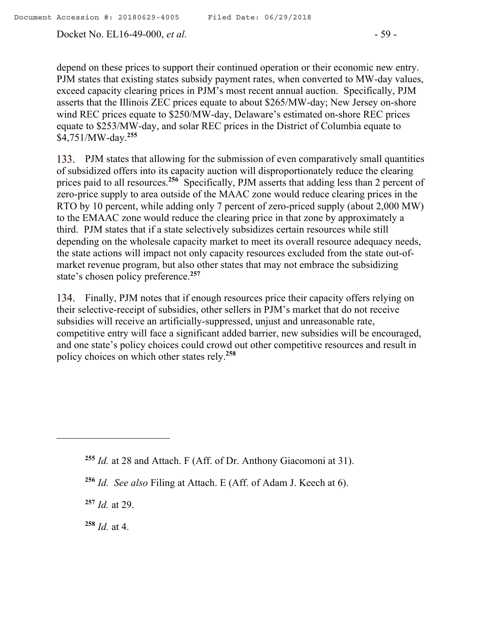Docket No. EL16-49-000, *et al.* - 59 -

depend on these prices to support their continued operation or their economic new entry. PJM states that existing states subsidy payment rates, when converted to MW-day values, exceed capacity clearing prices in PJM's most recent annual auction. Specifically, PJM asserts that the Illinois ZEC prices equate to about \$265/MW-day; New Jersey on-shore wind REC prices equate to \$250/MW-day, Delaware's estimated on-shore REC prices equate to \$253/MW-day, and solar REC prices in the District of Columbia equate to \$4,751/MW-day.**<sup>255</sup>**

133. PJM states that allowing for the submission of even comparatively small quantities of subsidized offers into its capacity auction will disproportionately reduce the clearing prices paid to all resources.**<sup>256</sup>** Specifically, PJM asserts that adding less than 2 percent of zero-price supply to area outside of the MAAC zone would reduce clearing prices in the RTO by 10 percent, while adding only 7 percent of zero-priced supply (about 2,000 MW) to the EMAAC zone would reduce the clearing price in that zone by approximately a third. PJM states that if a state selectively subsidizes certain resources while still depending on the wholesale capacity market to meet its overall resource adequacy needs, the state actions will impact not only capacity resources excluded from the state out-ofmarket revenue program, but also other states that may not embrace the subsidizing state's chosen policy preference.**<sup>257</sup>**

134. Finally, PJM notes that if enough resources price their capacity offers relying on their selective-receipt of subsidies, other sellers in PJM's market that do not receive subsidies will receive an artificially-suppressed, unjust and unreasonable rate, competitive entry will face a significant added barrier, new subsidies will be encouraged, and one state's policy choices could crowd out other competitive resources and result in policy choices on which other states rely.**<sup>258</sup>**

**<sup>257</sup>** *Id.* at 29.

 $\overline{a}$ 

**<sup>258</sup>** *Id.* at 4.

**<sup>255</sup>** *Id.* at 28 and Attach. F (Aff. of Dr. Anthony Giacomoni at 31).

**<sup>256</sup>** *Id. See also* Filing at Attach. E (Aff. of Adam J. Keech at 6).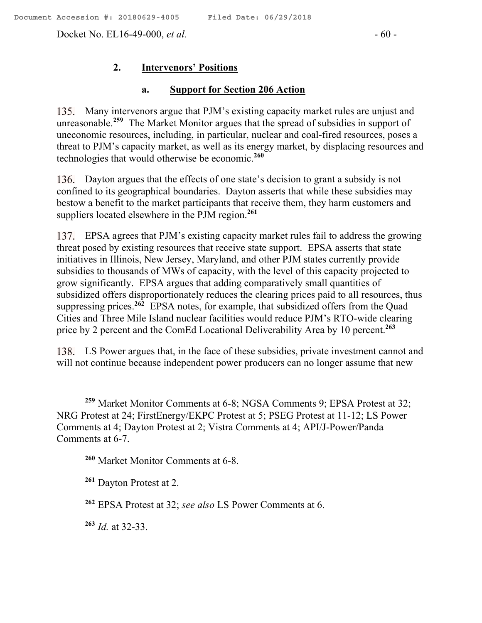Docket No. EL16-49-000, *et al.* - 60 -

## **2. Intervenors' Positions**

#### **a. Support for Section 206 Action**

135. Many intervenors argue that PJM's existing capacity market rules are unjust and unreasonable.**<sup>259</sup>** The Market Monitor argues that the spread of subsidies in support of uneconomic resources, including, in particular, nuclear and coal-fired resources, poses a threat to PJM's capacity market, as well as its energy market, by displacing resources and technologies that would otherwise be economic. **260**

Dayton argues that the effects of one state's decision to grant a subsidy is not confined to its geographical boundaries. Dayton asserts that while these subsidies may bestow a benefit to the market participants that receive them, they harm customers and suppliers located elsewhere in the PJM region. **261**

EPSA agrees that PJM's existing capacity market rules fail to address the growing threat posed by existing resources that receive state support. EPSA asserts that state initiatives in Illinois, New Jersey, Maryland, and other PJM states currently provide subsidies to thousands of MWs of capacity, with the level of this capacity projected to grow significantly. EPSA argues that adding comparatively small quantities of subsidized offers disproportionately reduces the clearing prices paid to all resources, thus suppressing prices. **<sup>262</sup>** EPSA notes, for example, that subsidized offers from the Quad Cities and Three Mile Island nuclear facilities would reduce PJM's RTO-wide clearing price by 2 percent and the ComEd Locational Deliverability Area by 10 percent.**<sup>263</sup>**

LS Power argues that, in the face of these subsidies, private investment cannot and will not continue because independent power producers can no longer assume that new

**<sup>260</sup>** Market Monitor Comments at 6-8.

**<sup>261</sup>** Dayton Protest at 2.

**<sup>263</sup>** *Id.* at 32-33.

 $\overline{a}$ 

**<sup>259</sup>** Market Monitor Comments at 6-8; NGSA Comments 9; EPSA Protest at 32; NRG Protest at 24; FirstEnergy/EKPC Protest at 5; PSEG Protest at 11-12; LS Power Comments at 4; Dayton Protest at 2; Vistra Comments at 4; API/J-Power/Panda Comments at 6-7.

**<sup>262</sup>** EPSA Protest at 32; *see also* LS Power Comments at 6.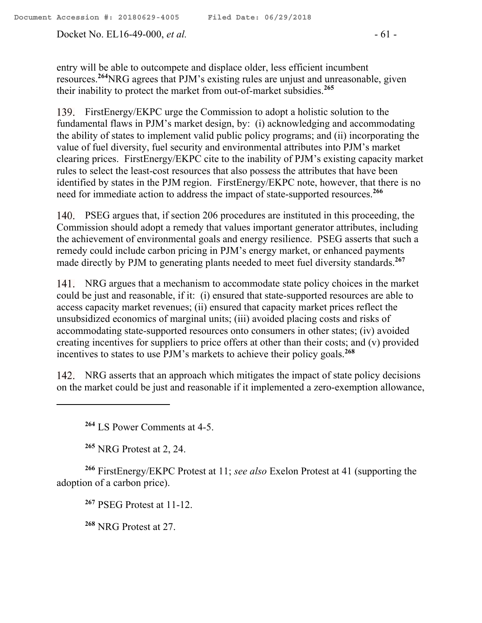Docket No. EL16-49-000, *et al.* - 61 -

entry will be able to outcompete and displace older, less efficient incumbent resources. **<sup>264</sup>**NRG agrees that PJM's existing rules are unjust and unreasonable, given their inability to protect the market from out-of-market subsidies. **265**

139. FirstEnergy/EKPC urge the Commission to adopt a holistic solution to the fundamental flaws in PJM's market design, by: (i) acknowledging and accommodating the ability of states to implement valid public policy programs; and (ii) incorporating the value of fuel diversity, fuel security and environmental attributes into PJM's market clearing prices. FirstEnergy/EKPC cite to the inability of PJM's existing capacity market rules to select the least-cost resources that also possess the attributes that have been identified by states in the PJM region. FirstEnergy/EKPC note, however, that there is no need for immediate action to address the impact of state-supported resources.**<sup>266</sup>**

140. PSEG argues that, if section 206 procedures are instituted in this proceeding, the Commission should adopt a remedy that values important generator attributes, including the achievement of environmental goals and energy resilience. PSEG asserts that such a remedy could include carbon pricing in PJM's energy market, or enhanced payments made directly by PJM to generating plants needed to meet fuel diversity standards. **267**

NRG argues that a mechanism to accommodate state policy choices in the market could be just and reasonable, if it: (i) ensured that state-supported resources are able to access capacity market revenues; (ii) ensured that capacity market prices reflect the unsubsidized economics of marginal units; (iii) avoided placing costs and risks of accommodating state-supported resources onto consumers in other states; (iv) avoided creating incentives for suppliers to price offers at other than their costs; and (v) provided incentives to states to use PJM's markets to achieve their policy goals.**<sup>268</sup>**

142. NRG asserts that an approach which mitigates the impact of state policy decisions on the market could be just and reasonable if it implemented a zero-exemption allowance,

**<sup>264</sup>** LS Power Comments at 4-5.

**<sup>265</sup>** NRG Protest at 2, 24.

 $\overline{a}$ 

**<sup>266</sup>** FirstEnergy/EKPC Protest at 11; *see also* Exelon Protest at 41 (supporting the adoption of a carbon price).

**<sup>267</sup>** PSEG Protest at 11-12.

**<sup>268</sup>** NRG Protest at 27.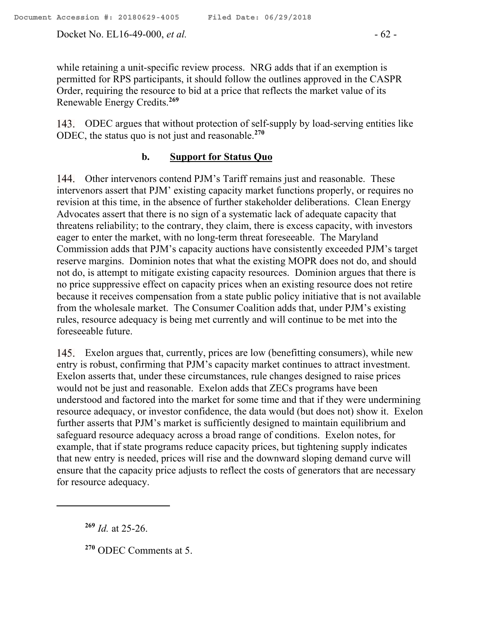Docket No. EL16-49-000, *et al.* - 62 -

while retaining a unit-specific review process. NRG adds that if an exemption is permitted for RPS participants, it should follow the outlines approved in the CASPR Order, requiring the resource to bid at a price that reflects the market value of its Renewable Energy Credits.**<sup>269</sup>**

ODEC argues that without protection of self-supply by load-serving entities like ODEC, the status quo is not just and reasonable. **270**

## **b. Support for Status Quo**

Other intervenors contend PJM's Tariff remains just and reasonable. These intervenors assert that PJM' existing capacity market functions properly, or requires no revision at this time, in the absence of further stakeholder deliberations. Clean Energy Advocates assert that there is no sign of a systematic lack of adequate capacity that threatens reliability; to the contrary, they claim, there is excess capacity, with investors eager to enter the market, with no long-term threat foreseeable. The Maryland Commission adds that PJM's capacity auctions have consistently exceeded PJM's target reserve margins. Dominion notes that what the existing MOPR does not do, and should not do, is attempt to mitigate existing capacity resources. Dominion argues that there is no price suppressive effect on capacity prices when an existing resource does not retire because it receives compensation from a state public policy initiative that is not available from the wholesale market. The Consumer Coalition adds that, under PJM's existing rules, resource adequacy is being met currently and will continue to be met into the foreseeable future.

Exelon argues that, currently, prices are low (benefitting consumers), while new entry is robust, confirming that PJM's capacity market continues to attract investment. Exelon asserts that, under these circumstances, rule changes designed to raise prices would not be just and reasonable. Exelon adds that ZECs programs have been understood and factored into the market for some time and that if they were undermining resource adequacy, or investor confidence, the data would (but does not) show it. Exelon further asserts that PJM's market is sufficiently designed to maintain equilibrium and safeguard resource adequacy across a broad range of conditions. Exelon notes, for example, that if state programs reduce capacity prices, but tightening supply indicates that new entry is needed, prices will rise and the downward sloping demand curve will ensure that the capacity price adjusts to reflect the costs of generators that are necessary for resource adequacy.

**<sup>269</sup>** *Id.* at 25-26.

 $\overline{a}$ 

**<sup>270</sup>** ODEC Comments at 5.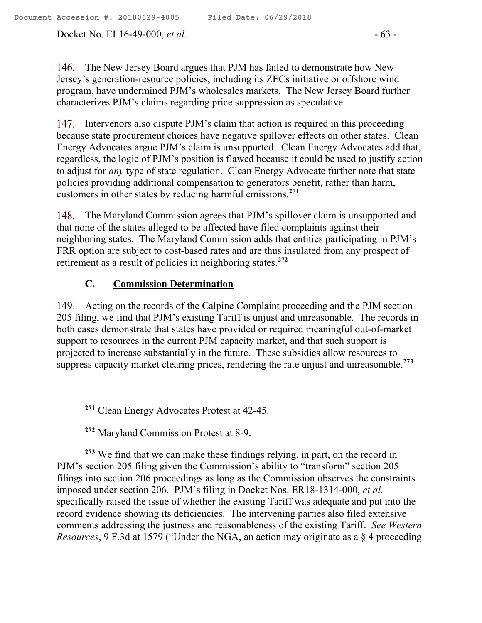Docket No. EL16-49-000, *et al.* - 63 -

146. The New Jersey Board argues that PJM has failed to demonstrate how New Jersey's generation-resource policies, including its ZECs initiative or offshore wind program, have undermined PJM's wholesales markets. The New Jersey Board further characterizes PJM's claims regarding price suppression as speculative.

Intervenors also dispute PJM's claim that action is required in this proceeding because state procurement choices have negative spillover effects on other states. Clean Energy Advocates argue PJM's claim is unsupported. Clean Energy Advocates add that, regardless, the logic of PJM's position is flawed because it could be used to justify action to adjust for *any* type of state regulation. Clean Energy Advocate further note that state policies providing additional compensation to generators benefit, rather than harm, customers in other states by reducing harmful emissions. **271**

The Maryland Commission agrees that PJM's spillover claim is unsupported and that none of the states alleged to be affected have filed complaints against their neighboring states. The Maryland Commission adds that entities participating in PJM's FRR option are subject to cost-based rates and are thus insulated from any prospect of retirement as a result of policies in neighboring states.**<sup>272</sup>**

# **C. Commission Determination**

Acting on the records of the Calpine Complaint proceeding and the PJM section 205 filing, we find that PJM's existing Tariff is unjust and unreasonable. The records in both cases demonstrate that states have provided or required meaningful out-of-market support to resources in the current PJM capacity market, and that such support is projected to increase substantially in the future. These subsidies allow resources to suppress capacity market clearing prices, rendering the rate unjust and unreasonable. **273**

**<sup>271</sup>** Clean Energy Advocates Protest at 42-45.

**<sup>272</sup>** Maryland Commission Protest at 8-9.

 $\overline{a}$ 

**<sup>273</sup>** We find that we can make these findings relying, in part, on the record in PJM's section 205 filing given the Commission's ability to "transform" section 205 filings into section 206 proceedings as long as the Commission observes the constraints imposed under section 206. PJM's filing in Docket Nos. ER18-1314-000, *et al.* specifically raised the issue of whether the existing Tariff was adequate and put into the record evidence showing its deficiencies. The intervening parties also filed extensive comments addressing the justness and reasonableness of the existing Tariff. *See Western Resources*, 9 F.3d at 1579 ("Under the NGA, an action may originate as a § 4 proceeding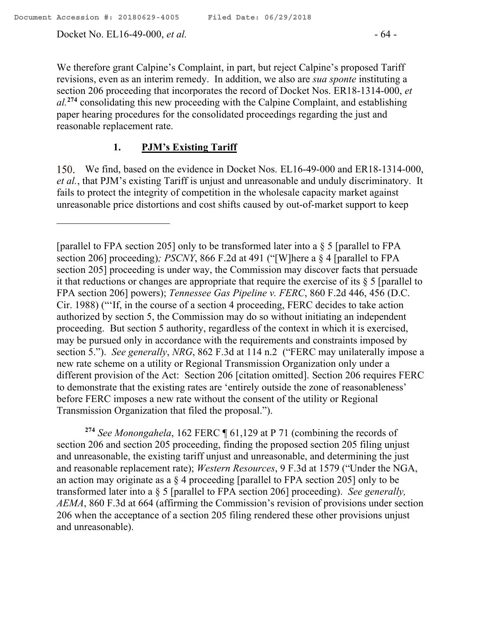$\overline{a}$ 

Docket No. EL16-49-000, *et al.* - 64 -

We therefore grant Calpine's Complaint, in part, but reject Calpine's proposed Tariff revisions, even as an interim remedy. In addition, we also are *sua sponte* instituting a section 206 proceeding that incorporates the record of Docket Nos. ER18-1314-000, *et al.***<sup>274</sup>** consolidating this new proceeding with the Calpine Complaint, and establishing paper hearing procedures for the consolidated proceedings regarding the just and reasonable replacement rate.

## **1. PJM's Existing Tariff**

We find, based on the evidence in Docket Nos. EL16-49-000 and ER18-1314-000, *et al.*, that PJM's existing Tariff is unjust and unreasonable and unduly discriminatory. It fails to protect the integrity of competition in the wholesale capacity market against unreasonable price distortions and cost shifts caused by out-of-market support to keep

**<sup>274</sup>** *See Monongahela*, 162 FERC ¶ 61,129 at P 71 (combining the records of section 206 and section 205 proceeding, finding the proposed section 205 filing unjust and unreasonable, the existing tariff unjust and unreasonable, and determining the just and reasonable replacement rate); *Western Resources*, 9 F.3d at 1579 ("Under the NGA, an action may originate as a § 4 proceeding [parallel to FPA section 205] only to be transformed later into a § 5 [parallel to FPA section 206] proceeding). *See generally, AEMA*, 860 F.3d at 664 (affirming the Commission's revision of provisions under section 206 when the acceptance of a section 205 filing rendered these other provisions unjust and unreasonable).

<sup>[</sup>parallel to FPA section 205] only to be transformed later into a  $\S$  5 [parallel to FPA section 206] proceeding)*; PSCNY*, 866 F.2d at 491 ("[W]here a § 4 [parallel to FPA section 205] proceeding is under way, the Commission may discover facts that persuade it that reductions or changes are appropriate that require the exercise of its § 5 [parallel to FPA section 206] powers); *Tennessee Gas Pipeline v. FERC*, 860 F.2d 446, 456 (D.C. Cir. 1988) ("'If, in the course of a section 4 proceeding, FERC decides to take action authorized by section 5, the Commission may do so without initiating an independent proceeding. But section 5 authority, regardless of the context in which it is exercised, may be pursued only in accordance with the requirements and constraints imposed by section 5."). *See generally*, *NRG*, 862 F.3d at 114 n.2 ("FERC may unilaterally impose a new rate scheme on a utility or Regional Transmission Organization only under a different provision of the Act: Section 206 [citation omitted]. Section 206 requires FERC to demonstrate that the existing rates are 'entirely outside the zone of reasonableness' before FERC imposes a new rate without the consent of the utility or Regional Transmission Organization that filed the proposal.").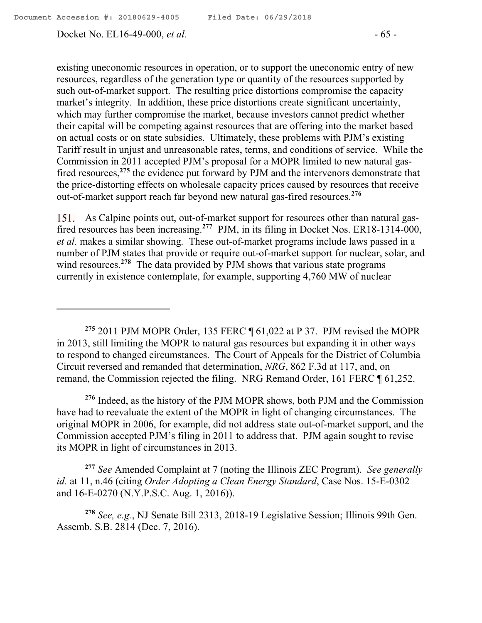Docket No. EL16-49-000, *et al.* - 65 -

existing uneconomic resources in operation, or to support the uneconomic entry of new resources, regardless of the generation type or quantity of the resources supported by such out-of-market support. The resulting price distortions compromise the capacity market's integrity. In addition, these price distortions create significant uncertainty, which may further compromise the market, because investors cannot predict whether their capital will be competing against resources that are offering into the market based on actual costs or on state subsidies. Ultimately, these problems with PJM's existing Tariff result in unjust and unreasonable rates, terms, and conditions of service. While the Commission in 2011 accepted PJM's proposal for a MOPR limited to new natural gasfired resources, **<sup>275</sup>** the evidence put forward by PJM and the intervenors demonstrate that the price-distorting effects on wholesale capacity prices caused by resources that receive out-of-market support reach far beyond new natural gas-fired resources.**<sup>276</sup>**

As Calpine points out, out-of-market support for resources other than natural gasfired resources has been increasing.**<sup>277</sup>** PJM, in its filing in Docket Nos. ER18-1314-000, *et al.* makes a similar showing. These out-of-market programs include laws passed in a number of PJM states that provide or require out-of-market support for nuclear, solar, and wind resources.<sup>278</sup> The data provided by PJM shows that various state programs currently in existence contemplate, for example, supporting 4,760 MW of nuclear

**<sup>275</sup>** 2011 PJM MOPR Order, 135 FERC ¶ 61,022 at P 37. PJM revised the MOPR in 2013, still limiting the MOPR to natural gas resources but expanding it in other ways to respond to changed circumstances. The Court of Appeals for the District of Columbia Circuit reversed and remanded that determination, *NRG*, 862 F.3d at 117, and, on remand, the Commission rejected the filing. NRG Remand Order, 161 FERC ¶ 61,252.

**<sup>276</sup>** Indeed, as the history of the PJM MOPR shows, both PJM and the Commission have had to reevaluate the extent of the MOPR in light of changing circumstances. The original MOPR in 2006, for example, did not address state out-of-market support, and the Commission accepted PJM's filing in 2011 to address that. PJM again sought to revise its MOPR in light of circumstances in 2013.

**<sup>277</sup>** *See* Amended Complaint at 7 (noting the Illinois ZEC Program). *See generally id.* at 11, n.46 (citing *Order Adopting a Clean Energy Standard*, Case Nos. 15-E-0302 and 16-E-0270 (N.Y.P.S.C. Aug. 1, 2016)).

**<sup>278</sup>** *See, e.g.*, NJ Senate Bill 2313, 2018-19 Legislative Session; Illinois 99th Gen. Assemb. S.B. 2814 (Dec. 7, 2016).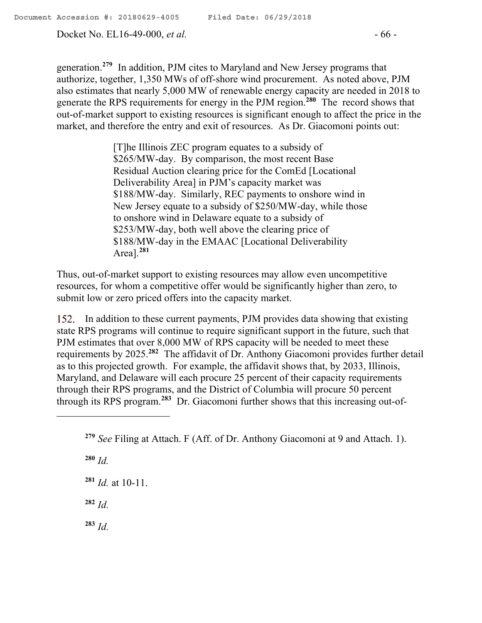Docket No. EL16-49-000, *et al.* - 66 -

generation.**<sup>279</sup>** In addition, PJM cites to Maryland and New Jersey programs that authorize, together, 1,350 MWs of off-shore wind procurement. As noted above, PJM also estimates that nearly 5,000 MW of renewable energy capacity are needed in 2018 to generate the RPS requirements for energy in the PJM region.**<sup>280</sup>** The record shows that out-of-market support to existing resources is significant enough to affect the price in the market, and therefore the entry and exit of resources. As Dr. Giacomoni points out:

> [T]he Illinois ZEC program equates to a subsidy of \$265/MW-day. By comparison, the most recent Base Residual Auction clearing price for the ComEd [Locational Deliverability Area] in PJM's capacity market was \$188/MW-day. Similarly, REC payments to onshore wind in New Jersey equate to a subsidy of \$250/MW-day, while those to onshore wind in Delaware equate to a subsidy of \$253/MW-day, both well above the clearing price of \$188/MW-day in the EMAAC [Locational Deliverability Area].**<sup>281</sup>**

Thus, out-of-market support to existing resources may allow even uncompetitive resources, for whom a competitive offer would be significantly higher than zero, to submit low or zero priced offers into the capacity market.

152. In addition to these current payments, PJM provides data showing that existing state RPS programs will continue to require significant support in the future, such that PJM estimates that over 8,000 MW of RPS capacity will be needed to meet these requirements by 2025.**<sup>282</sup>** The affidavit of Dr. Anthony Giacomoni provides further detail as to this projected growth. For example, the affidavit shows that, by 2033, Illinois, Maryland, and Delaware will each procure 25 percent of their capacity requirements through their RPS programs, and the District of Columbia will procure 50 percent through its RPS program.**<sup>283</sup>** Dr. Giacomoni further shows that this increasing out-of-

**<sup>280</sup>** *Id.*

 $\overline{a}$ 

**<sup>281</sup>** *Id.* at 10-11.

 $282$  *Id.* 

**<sup>283</sup>** *Id.* 

**<sup>279</sup>** *See* Filing at Attach. F (Aff. of Dr. Anthony Giacomoni at 9 and Attach. 1).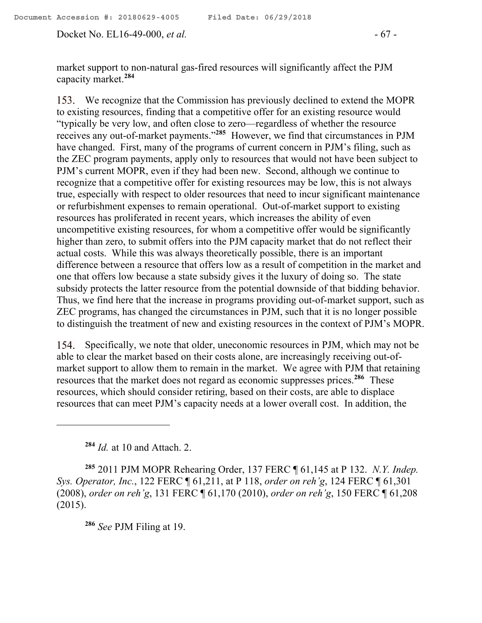Docket No. EL16-49-000, *et al.* - 67 -

market support to non-natural gas-fired resources will significantly affect the PJM capacity market.**<sup>284</sup>**

We recognize that the Commission has previously declined to extend the MOPR to existing resources, finding that a competitive offer for an existing resource would "typically be very low, and often close to zero—regardless of whether the resource receives any out-of-market payments."**<sup>285</sup>** However, we find that circumstances in PJM have changed. First, many of the programs of current concern in PJM's filing, such as the ZEC program payments, apply only to resources that would not have been subject to PJM's current MOPR, even if they had been new. Second, although we continue to recognize that a competitive offer for existing resources may be low, this is not always true, especially with respect to older resources that need to incur significant maintenance or refurbishment expenses to remain operational. Out-of-market support to existing resources has proliferated in recent years, which increases the ability of even uncompetitive existing resources, for whom a competitive offer would be significantly higher than zero, to submit offers into the PJM capacity market that do not reflect their actual costs. While this was always theoretically possible, there is an important difference between a resource that offers low as a result of competition in the market and one that offers low because a state subsidy gives it the luxury of doing so. The state subsidy protects the latter resource from the potential downside of that bidding behavior. Thus, we find here that the increase in programs providing out-of-market support, such as ZEC programs, has changed the circumstances in PJM, such that it is no longer possible to distinguish the treatment of new and existing resources in the context of PJM's MOPR.

154. Specifically, we note that older, uneconomic resources in PJM, which may not be able to clear the market based on their costs alone, are increasingly receiving out-ofmarket support to allow them to remain in the market. We agree with PJM that retaining resources that the market does not regard as economic suppresses prices. **286** These resources, which should consider retiring, based on their costs, are able to displace resources that can meet PJM's capacity needs at a lower overall cost. In addition, the

**<sup>284</sup>** *Id.* at 10 and Attach. 2.

 $\overline{a}$ 

**<sup>285</sup>** 2011 PJM MOPR Rehearing Order, 137 FERC ¶ 61,145 at P 132. *N.Y. Indep. Sys. Operator, Inc.*, 122 FERC ¶ 61,211, at P 118, *order on reh'g*, 124 FERC ¶ 61,301 (2008), *order on reh'g*, 131 FERC ¶ 61,170 (2010), *order on reh'g*, 150 FERC ¶ 61,208 (2015).

**<sup>286</sup>** *See* PJM Filing at 19.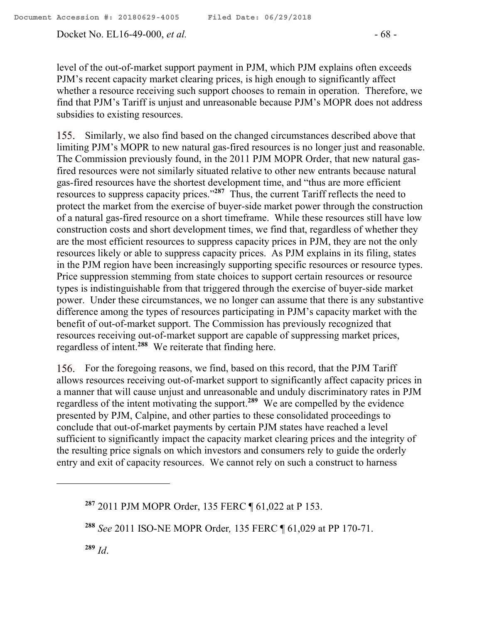Docket No. EL16-49-000, *et al.* - 68 -

level of the out-of-market support payment in PJM, which PJM explains often exceeds PJM's recent capacity market clearing prices, is high enough to significantly affect whether a resource receiving such support chooses to remain in operation. Therefore, we find that PJM's Tariff is unjust and unreasonable because PJM's MOPR does not address subsidies to existing resources.

155. Similarly, we also find based on the changed circumstances described above that limiting PJM's MOPR to new natural gas-fired resources is no longer just and reasonable. The Commission previously found, in the 2011 PJM MOPR Order, that new natural gasfired resources were not similarly situated relative to other new entrants because natural gas-fired resources have the shortest development time, and "thus are more efficient resources to suppress capacity prices."**<sup>287</sup>** Thus, the current Tariff reflects the need to protect the market from the exercise of buyer-side market power through the construction of a natural gas-fired resource on a short timeframe. While these resources still have low construction costs and short development times, we find that, regardless of whether they are the most efficient resources to suppress capacity prices in PJM, they are not the only resources likely or able to suppress capacity prices. As PJM explains in its filing, states in the PJM region have been increasingly supporting specific resources or resource types. Price suppression stemming from state choices to support certain resources or resource types is indistinguishable from that triggered through the exercise of buyer-side market power. Under these circumstances, we no longer can assume that there is any substantive difference among the types of resources participating in PJM's capacity market with the benefit of out-of-market support. The Commission has previously recognized that resources receiving out-of-market support are capable of suppressing market prices, regardless of intent. **288** We reiterate that finding here.

156. For the foregoing reasons, we find, based on this record, that the PJM Tariff allows resources receiving out-of-market support to significantly affect capacity prices in a manner that will cause unjust and unreasonable and unduly discriminatory rates in PJM regardless of the intent motivating the support. **<sup>289</sup>** We are compelled by the evidence presented by PJM, Calpine, and other parties to these consolidated proceedings to conclude that out-of-market payments by certain PJM states have reached a level sufficient to significantly impact the capacity market clearing prices and the integrity of the resulting price signals on which investors and consumers rely to guide the orderly entry and exit of capacity resources. We cannot rely on such a construct to harness

**<sup>289</sup>** *Id*.

 $\overline{a}$ 

**<sup>287</sup>** 2011 PJM MOPR Order, 135 FERC ¶ 61,022 at P 153.

**<sup>288</sup>** *See* 2011 ISO-NE MOPR Order*,* 135 FERC ¶ 61,029 at PP 170-71.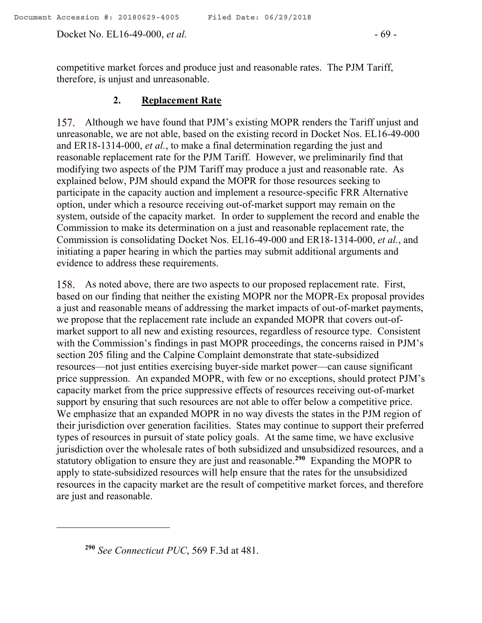Docket No. EL16-49-000, *et al.* - 69 -

competitive market forces and produce just and reasonable rates. The PJM Tariff, therefore, is unjust and unreasonable.

## **2. Replacement Rate**

157. Although we have found that PJM's existing MOPR renders the Tariff unjust and unreasonable, we are not able, based on the existing record in Docket Nos. EL16-49-000 and ER18-1314-000, *et al.*, to make a final determination regarding the just and reasonable replacement rate for the PJM Tariff. However, we preliminarily find that modifying two aspects of the PJM Tariff may produce a just and reasonable rate. As explained below, PJM should expand the MOPR for those resources seeking to participate in the capacity auction and implement a resource-specific FRR Alternative option, under which a resource receiving out-of-market support may remain on the system, outside of the capacity market. In order to supplement the record and enable the Commission to make its determination on a just and reasonable replacement rate, the Commission is consolidating Docket Nos. EL16-49-000 and ER18-1314-000, *et al.*, and initiating a paper hearing in which the parties may submit additional arguments and evidence to address these requirements.

As noted above, there are two aspects to our proposed replacement rate. First, based on our finding that neither the existing MOPR nor the MOPR-Ex proposal provides a just and reasonable means of addressing the market impacts of out-of-market payments, we propose that the replacement rate include an expanded MOPR that covers out-ofmarket support to all new and existing resources, regardless of resource type. Consistent with the Commission's findings in past MOPR proceedings, the concerns raised in PJM's section 205 filing and the Calpine Complaint demonstrate that state-subsidized resources—not just entities exercising buyer-side market power—can cause significant price suppression. An expanded MOPR, with few or no exceptions, should protect PJM's capacity market from the price suppressive effects of resources receiving out-of-market support by ensuring that such resources are not able to offer below a competitive price. We emphasize that an expanded MOPR in no way divests the states in the PJM region of their jurisdiction over generation facilities. States may continue to support their preferred types of resources in pursuit of state policy goals. At the same time, we have exclusive jurisdiction over the wholesale rates of both subsidized and unsubsidized resources, and a statutory obligation to ensure they are just and reasonable.**<sup>290</sup>** Expanding the MOPR to apply to state-subsidized resources will help ensure that the rates for the unsubsidized resources in the capacity market are the result of competitive market forces, and therefore are just and reasonable.

 $\overline{a}$ 

**<sup>290</sup>** *See Connecticut PUC*, 569 F.3d at 481.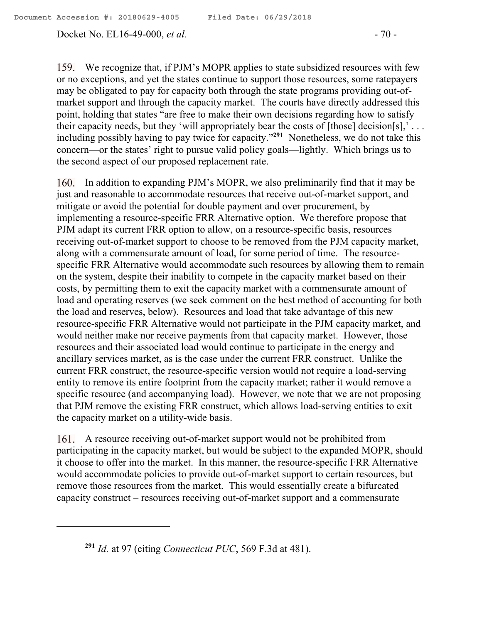$\overline{a}$ 

Docket No. EL16-49-000, *et al.* - 70 -

We recognize that, if PJM's MOPR applies to state subsidized resources with few or no exceptions, and yet the states continue to support those resources, some ratepayers may be obligated to pay for capacity both through the state programs providing out-ofmarket support and through the capacity market. The courts have directly addressed this point, holding that states "are free to make their own decisions regarding how to satisfy their capacity needs, but they 'will appropriately bear the costs of [those] decision[s],'... including possibly having to pay twice for capacity."**<sup>291</sup>** Nonetheless, we do not take this concern—or the states' right to pursue valid policy goals—lightly. Which brings us to the second aspect of our proposed replacement rate.

160. In addition to expanding PJM's MOPR, we also preliminarily find that it may be just and reasonable to accommodate resources that receive out-of-market support, and mitigate or avoid the potential for double payment and over procurement, by implementing a resource-specific FRR Alternative option. We therefore propose that PJM adapt its current FRR option to allow, on a resource-specific basis, resources receiving out-of-market support to choose to be removed from the PJM capacity market, along with a commensurate amount of load, for some period of time. The resourcespecific FRR Alternative would accommodate such resources by allowing them to remain on the system, despite their inability to compete in the capacity market based on their costs, by permitting them to exit the capacity market with a commensurate amount of load and operating reserves (we seek comment on the best method of accounting for both the load and reserves, below). Resources and load that take advantage of this new resource-specific FRR Alternative would not participate in the PJM capacity market, and would neither make nor receive payments from that capacity market. However, those resources and their associated load would continue to participate in the energy and ancillary services market, as is the case under the current FRR construct. Unlike the current FRR construct, the resource-specific version would not require a load-serving entity to remove its entire footprint from the capacity market; rather it would remove a specific resource (and accompanying load). However, we note that we are not proposing that PJM remove the existing FRR construct, which allows load-serving entities to exit the capacity market on a utility-wide basis.

161. A resource receiving out-of-market support would not be prohibited from participating in the capacity market, but would be subject to the expanded MOPR, should it choose to offer into the market. In this manner, the resource-specific FRR Alternative would accommodate policies to provide out-of-market support to certain resources, but remove those resources from the market. This would essentially create a bifurcated capacity construct – resources receiving out-of-market support and a commensurate

**<sup>291</sup>** *Id.* at 97 (citing *Connecticut PUC*, 569 F.3d at 481).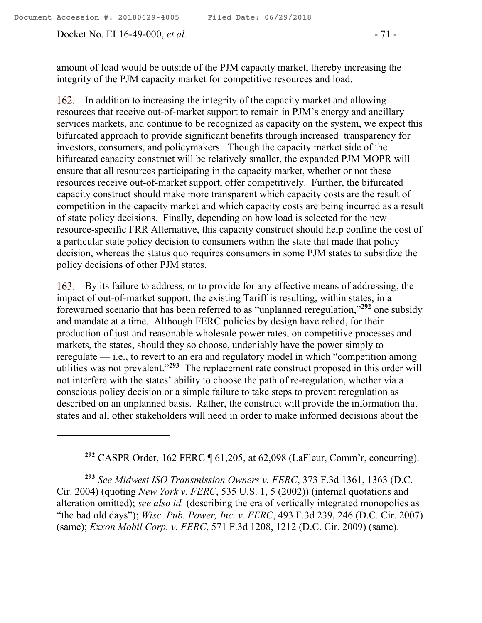Docket No. EL16-49-000, *et al.* - 71 -

 $\overline{a}$ 

amount of load would be outside of the PJM capacity market, thereby increasing the integrity of the PJM capacity market for competitive resources and load.

162. In addition to increasing the integrity of the capacity market and allowing resources that receive out-of-market support to remain in PJM's energy and ancillary services markets, and continue to be recognized as capacity on the system, we expect this bifurcated approach to provide significant benefits through increased transparency for investors, consumers, and policymakers. Though the capacity market side of the bifurcated capacity construct will be relatively smaller, the expanded PJM MOPR will ensure that all resources participating in the capacity market, whether or not these resources receive out-of-market support, offer competitively. Further, the bifurcated capacity construct should make more transparent which capacity costs are the result of competition in the capacity market and which capacity costs are being incurred as a result of state policy decisions. Finally, depending on how load is selected for the new resource-specific FRR Alternative, this capacity construct should help confine the cost of a particular state policy decision to consumers within the state that made that policy decision, whereas the status quo requires consumers in some PJM states to subsidize the policy decisions of other PJM states.

163. By its failure to address, or to provide for any effective means of addressing, the impact of out-of-market support, the existing Tariff is resulting, within states, in a forewarned scenario that has been referred to as "unplanned reregulation,"**<sup>292</sup>** one subsidy and mandate at a time. Although FERC policies by design have relied, for their production of just and reasonable wholesale power rates, on competitive processes and markets, the states, should they so choose, undeniably have the power simply to reregulate — i.e., to revert to an era and regulatory model in which "competition among utilities was not prevalent."**<sup>293</sup>** The replacement rate construct proposed in this order will not interfere with the states' ability to choose the path of re-regulation, whether via a conscious policy decision or a simple failure to take steps to prevent reregulation as described on an unplanned basis. Rather, the construct will provide the information that states and all other stakeholders will need in order to make informed decisions about the

**<sup>292</sup>** CASPR Order, 162 FERC ¶ 61,205, at 62,098 (LaFleur, Comm'r, concurring).

**<sup>293</sup>** *See Midwest ISO Transmission Owners v. FERC*, 373 F.3d 1361, 1363 (D.C. Cir. 2004) (quoting *New York v. FERC*, 535 U.S. 1, 5 (2002)) (internal quotations and alteration omitted); *see also id.* (describing the era of vertically integrated monopolies as "the bad old days"); *Wisc. Pub. Power, Inc. v. FERC*, 493 F.3d 239, 246 (D.C. Cir. 2007) (same); *Exxon Mobil Corp. v. FERC*, 571 F.3d 1208, 1212 (D.C. Cir. 2009) (same).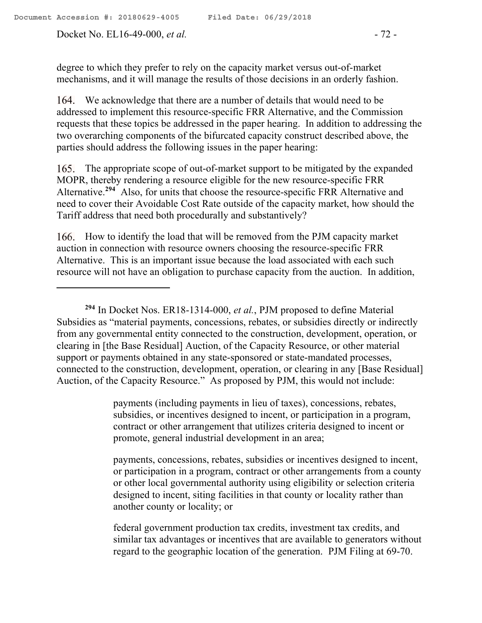Docket No. EL16-49-000, *et al.* - 72 -

 $\overline{a}$ 

degree to which they prefer to rely on the capacity market versus out-of-market mechanisms, and it will manage the results of those decisions in an orderly fashion.

We acknowledge that there are a number of details that would need to be addressed to implement this resource-specific FRR Alternative, and the Commission requests that these topics be addressed in the paper hearing. In addition to addressing the two overarching components of the bifurcated capacity construct described above, the parties should address the following issues in the paper hearing:

165. The appropriate scope of out-of-market support to be mitigated by the expanded MOPR, thereby rendering a resource eligible for the new resource-specific FRR Alternative.<sup>294</sup> Also, for units that choose the resource-specific FRR Alternative and need to cover their Avoidable Cost Rate outside of the capacity market, how should the Tariff address that need both procedurally and substantively?

166. How to identify the load that will be removed from the PJM capacity market auction in connection with resource owners choosing the resource-specific FRR Alternative. This is an important issue because the load associated with each such resource will not have an obligation to purchase capacity from the auction. In addition,

payments (including payments in lieu of taxes), concessions, rebates, subsidies, or incentives designed to incent, or participation in a program, contract or other arrangement that utilizes criteria designed to incent or promote, general industrial development in an area;

payments, concessions, rebates, subsidies or incentives designed to incent, or participation in a program, contract or other arrangements from a county or other local governmental authority using eligibility or selection criteria designed to incent, siting facilities in that county or locality rather than another county or locality; or

federal government production tax credits, investment tax credits, and similar tax advantages or incentives that are available to generators without regard to the geographic location of the generation. PJM Filing at 69-70.

**<sup>294</sup>** In Docket Nos. ER18-1314-000, *et al.*, PJM proposed to define Material Subsidies as "material payments, concessions, rebates, or subsidies directly or indirectly from any governmental entity connected to the construction, development, operation, or clearing in [the Base Residual] Auction, of the Capacity Resource, or other material support or payments obtained in any state-sponsored or state-mandated processes, connected to the construction, development, operation, or clearing in any [Base Residual] Auction, of the Capacity Resource." As proposed by PJM, this would not include: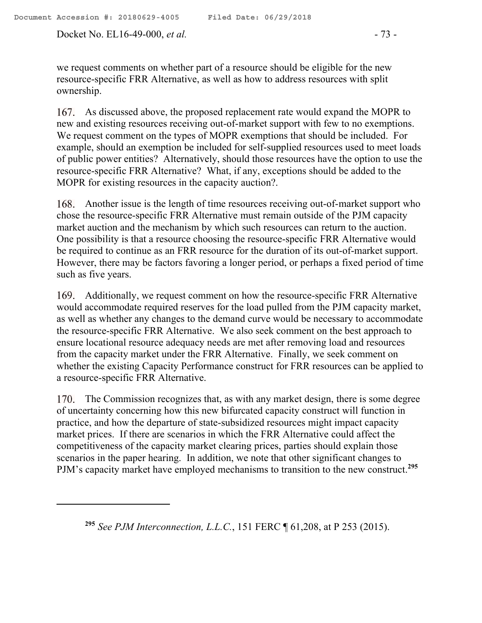we request comments on whether part of a resource should be eligible for the new resource-specific FRR Alternative, as well as how to address resources with split ownership.

167. As discussed above, the proposed replacement rate would expand the MOPR to new and existing resources receiving out-of-market support with few to no exemptions. We request comment on the types of MOPR exemptions that should be included. For example, should an exemption be included for self-supplied resources used to meet loads of public power entities? Alternatively, should those resources have the option to use the resource-specific FRR Alternative? What, if any, exceptions should be added to the MOPR for existing resources in the capacity auction?.

168. Another issue is the length of time resources receiving out-of-market support who chose the resource-specific FRR Alternative must remain outside of the PJM capacity market auction and the mechanism by which such resources can return to the auction. One possibility is that a resource choosing the resource-specific FRR Alternative would be required to continue as an FRR resource for the duration of its out-of-market support. However, there may be factors favoring a longer period, or perhaps a fixed period of time such as five years.

Additionally, we request comment on how the resource-specific FRR Alternative would accommodate required reserves for the load pulled from the PJM capacity market, as well as whether any changes to the demand curve would be necessary to accommodate the resource-specific FRR Alternative. We also seek comment on the best approach to ensure locational resource adequacy needs are met after removing load and resources from the capacity market under the FRR Alternative. Finally, we seek comment on whether the existing Capacity Performance construct for FRR resources can be applied to a resource-specific FRR Alternative.

170. The Commission recognizes that, as with any market design, there is some degree of uncertainty concerning how this new bifurcated capacity construct will function in practice, and how the departure of state-subsidized resources might impact capacity market prices. If there are scenarios in which the FRR Alternative could affect the competitiveness of the capacity market clearing prices, parties should explain those scenarios in the paper hearing. In addition, we note that other significant changes to PJM's capacity market have employed mechanisms to transition to the new construct.**<sup>295</sup>**

**<sup>295</sup>** *See PJM Interconnection, L.L.C.*, 151 FERC ¶ 61,208, at P 253 (2015).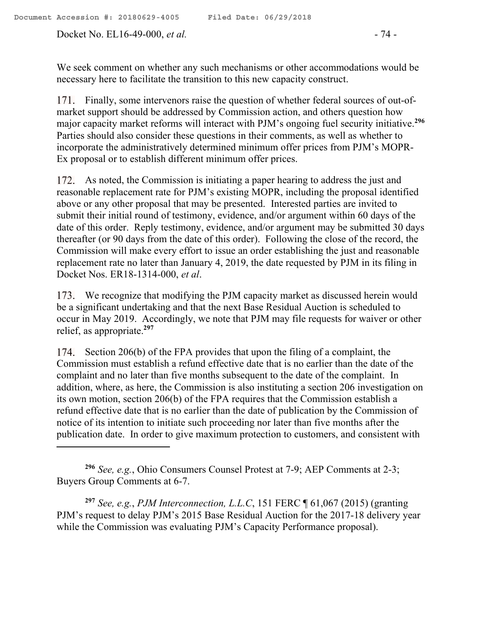Docket No. EL16-49-000, *et al.* - 74 -

 $\overline{a}$ 

We seek comment on whether any such mechanisms or other accommodations would be necessary here to facilitate the transition to this new capacity construct.

171. Finally, some intervenors raise the question of whether federal sources of out-ofmarket support should be addressed by Commission action, and others question how major capacity market reforms will interact with PJM's ongoing fuel security initiative. **296** Parties should also consider these questions in their comments, as well as whether to incorporate the administratively determined minimum offer prices from PJM's MOPR-Ex proposal or to establish different minimum offer prices.

172. As noted, the Commission is initiating a paper hearing to address the just and reasonable replacement rate for PJM's existing MOPR, including the proposal identified above or any other proposal that may be presented. Interested parties are invited to submit their initial round of testimony, evidence, and/or argument within 60 days of the date of this order. Reply testimony, evidence, and/or argument may be submitted 30 days thereafter (or 90 days from the date of this order). Following the close of the record, the Commission will make every effort to issue an order establishing the just and reasonable replacement rate no later than January 4, 2019, the date requested by PJM in its filing in Docket Nos. ER18-1314-000, *et al*.

173. We recognize that modifying the PJM capacity market as discussed herein would be a significant undertaking and that the next Base Residual Auction is scheduled to occur in May 2019. Accordingly, we note that PJM may file requests for waiver or other relief, as appropriate. **297**

174. Section 206(b) of the FPA provides that upon the filing of a complaint, the Commission must establish a refund effective date that is no earlier than the date of the complaint and no later than five months subsequent to the date of the complaint. In addition, where, as here, the Commission is also instituting a section 206 investigation on its own motion, section 206(b) of the FPA requires that the Commission establish a refund effective date that is no earlier than the date of publication by the Commission of notice of its intention to initiate such proceeding nor later than five months after the publication date. In order to give maximum protection to customers, and consistent with

**<sup>297</sup>** *See, e.g.*, *PJM Interconnection, L.L.C*, 151 FERC ¶ 61,067 (2015) (granting PJM's request to delay PJM's 2015 Base Residual Auction for the 2017-18 delivery year while the Commission was evaluating PJM's Capacity Performance proposal).

**<sup>296</sup>** *See, e.g.*, Ohio Consumers Counsel Protest at 7-9; AEP Comments at 2-3; Buyers Group Comments at 6-7.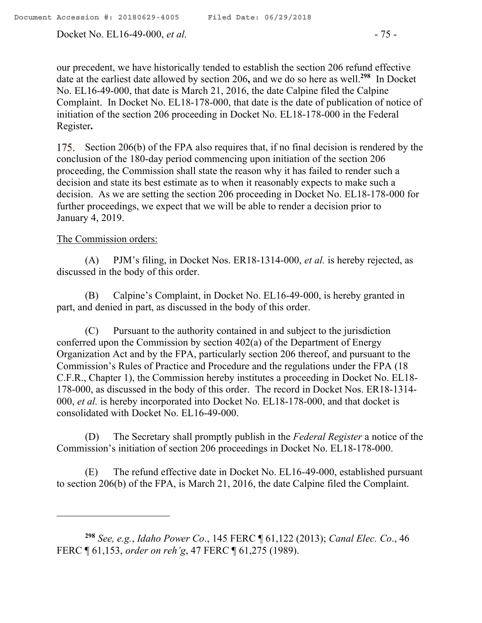Docket No. EL16-49-000, *et al.* - 75 -

our precedent, we have historically tended to establish the section 206 refund effective date at the earliest date allowed by section 206**,** and we do so here as well.**<sup>298</sup>** In Docket No. EL16-49-000, that date is March 21, 2016, the date Calpine filed the Calpine Complaint. In Docket No. EL18-178-000, that date is the date of publication of notice of initiation of the section 206 proceeding in Docket No. EL18-178-000 in the Federal Register**.**

175. Section 206(b) of the FPA also requires that, if no final decision is rendered by the conclusion of the 180-day period commencing upon initiation of the section 206 proceeding, the Commission shall state the reason why it has failed to render such a decision and state its best estimate as to when it reasonably expects to make such a decision. As we are setting the section 206 proceeding in Docket No. EL18-178-000 for further proceedings, we expect that we will be able to render a decision prior to January 4, 2019.

### The Commission orders:

(A) PJM's filing, in Docket Nos. ER18-1314-000, *et al.* is hereby rejected, as discussed in the body of this order.

(B) Calpine's Complaint, in Docket No. EL16-49-000, is hereby granted in part, and denied in part, as discussed in the body of this order.

(C) Pursuant to the authority contained in and subject to the jurisdiction conferred upon the Commission by section 402(a) of the Department of Energy Organization Act and by the FPA, particularly section 206 thereof, and pursuant to the Commission's Rules of Practice and Procedure and the regulations under the FPA (18 C.F.R., Chapter 1), the Commission hereby institutes a proceeding in Docket No. EL18- 178-000, as discussed in the body of this order. The record in Docket Nos. ER18-1314- 000, *et al.* is hereby incorporated into Docket No. EL18-178-000, and that docket is consolidated with Docket No. EL16-49-000.

(D) The Secretary shall promptly publish in the *Federal Register* a notice of the Commission's initiation of section 206 proceedings in Docket No. EL18-178-000.

(E) The refund effective date in Docket No. EL16-49-000, established pursuant to section 206(b) of the FPA, is March 21, 2016, the date Calpine filed the Complaint.

**<sup>298</sup>** *See, e.g.*, *Idaho Power Co*., 145 FERC ¶ 61,122 (2013); *Canal Elec. Co*., 46 FERC ¶ 61,153, *order on reh'g*, 47 FERC ¶ 61,275 (1989).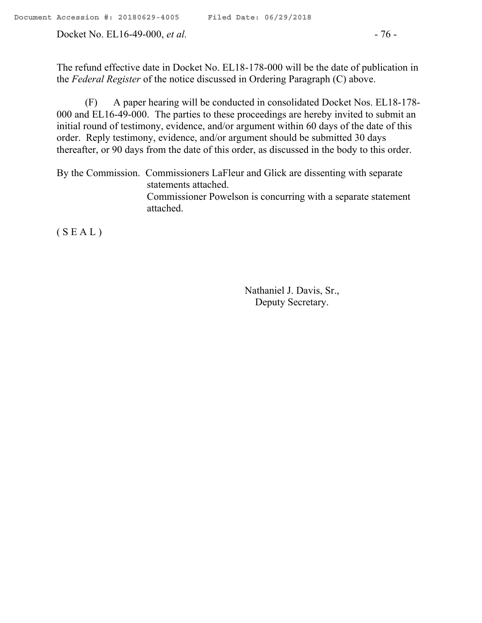Docket No. EL16-49-000, *et al.* - 76 -

The refund effective date in Docket No. EL18-178-000 will be the date of publication in the *Federal Register* of the notice discussed in Ordering Paragraph (C) above.

(F) A paper hearing will be conducted in consolidated Docket Nos. EL18-178- 000 and EL16-49-000. The parties to these proceedings are hereby invited to submit an initial round of testimony, evidence, and/or argument within 60 days of the date of this order. Reply testimony, evidence, and/or argument should be submitted 30 days thereafter, or 90 days from the date of this order, as discussed in the body to this order.

By the Commission. Commissioners LaFleur and Glick are dissenting with separate statements attached. Commissioner Powelson is concurring with a separate statement attached.

 $(S E A L)$ 

Nathaniel J. Davis, Sr., Deputy Secretary.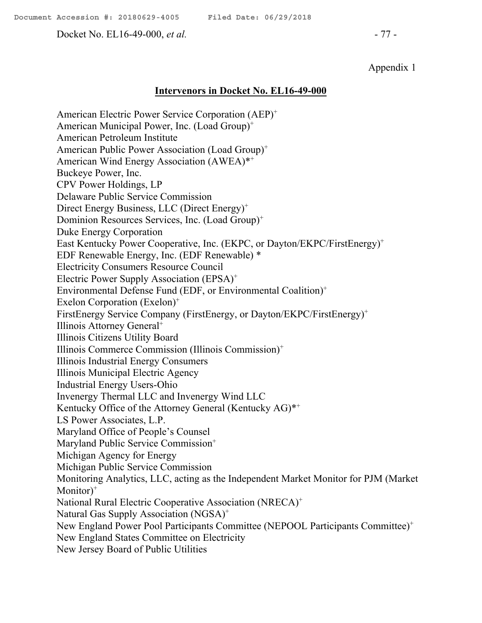Docket No. EL16-49-000, *et al.* - 77 -

### Appendix 1

#### **Intervenors in Docket No. EL16-49-000**

American Electric Power Service Corporation (AEP)<sup>+</sup> American Municipal Power, Inc. (Load Group)<sup>+</sup> American Petroleum Institute American Public Power Association (Load Group)<sup>+</sup> American Wind Energy Association (AWEA)\*<sup>+</sup> Buckeye Power, Inc. CPV Power Holdings, LP Delaware Public Service Commission Direct Energy Business, LLC (Direct Energy)<sup>+</sup> Dominion Resources Services, Inc. (Load Group)<sup>+</sup> Duke Energy Corporation East Kentucky Power Cooperative, Inc. (EKPC, or Dayton/EKPC/FirstEnergy)<sup>+</sup> EDF Renewable Energy, Inc. (EDF Renewable) \* Electricity Consumers Resource Council Electric Power Supply Association (EPSA)<sup>+</sup> Environmental Defense Fund (EDF, or Environmental Coalition)<sup>+</sup> Exelon Corporation (Exelon)<sup>+</sup> FirstEnergy Service Company (FirstEnergy, or Dayton/EKPC/FirstEnergy)<sup>+</sup> Illinois Attorney General<sup>+</sup> Illinois Citizens Utility Board Illinois Commerce Commission (Illinois Commission)<sup>+</sup> Illinois Industrial Energy Consumers Illinois Municipal Electric Agency Industrial Energy Users-Ohio Invenergy Thermal LLC and Invenergy Wind LLC Kentucky Office of the Attorney General (Kentucky AG)\*<sup>+</sup> LS Power Associates, L.P. Maryland Office of People's Counsel Maryland Public Service Commission<sup>+</sup> Michigan Agency for Energy Michigan Public Service Commission Monitoring Analytics, LLC, acting as the Independent Market Monitor for PJM (Market Monitor)<sup>+</sup> National Rural Electric Cooperative Association (NRECA)<sup>+</sup> Natural Gas Supply Association (NGSA)<sup>+</sup> New England Power Pool Participants Committee (NEPOOL Participants Committee)<sup>+</sup> New England States Committee on Electricity New Jersey Board of Public Utilities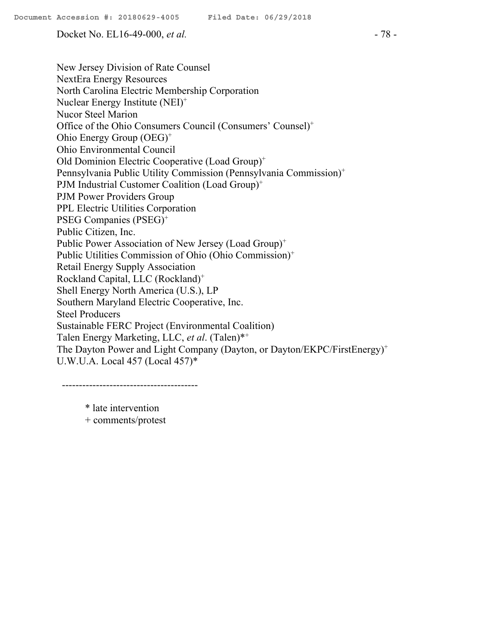Docket No. EL16-49-000, *et al.* - 78 -

New Jersey Division of Rate Counsel NextEra Energy Resources North Carolina Electric Membership Corporation Nuclear Energy Institute (NEI)<sup>+</sup> Nucor Steel Marion Office of the Ohio Consumers Council (Consumers' Counsel)<sup>+</sup> Ohio Energy Group (OEG)<sup>+</sup> Ohio Environmental Council Old Dominion Electric Cooperative (Load Group)<sup>+</sup> Pennsylvania Public Utility Commission (Pennsylvania Commission)<sup>+</sup> PJM Industrial Customer Coalition (Load Group)<sup>+</sup> PJM Power Providers Group PPL Electric Utilities Corporation PSEG Companies (PSEG)<sup>+</sup> Public Citizen, Inc. Public Power Association of New Jersey (Load Group)<sup>+</sup> Public Utilities Commission of Ohio (Ohio Commission)<sup>+</sup> Retail Energy Supply Association Rockland Capital, LLC (Rockland)<sup>+</sup> Shell Energy North America (U.S.), LP Southern Maryland Electric Cooperative, Inc. Steel Producers Sustainable FERC Project (Environmental Coalition) Talen Energy Marketing, LLC, *et al*. (Talen)\*<sup>+</sup> The Dayton Power and Light Company (Dayton, or Dayton/EKPC/FirstEnergy)<sup>+</sup> U.W.U.A. Local 457 (Local 457)\*

----------------------------------------

\* late intervention + comments/protest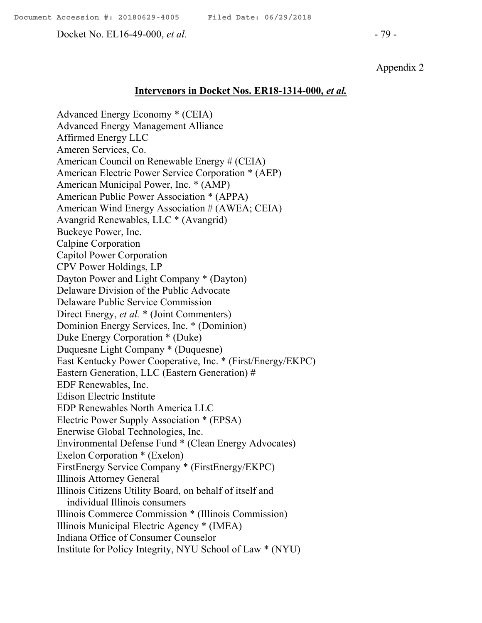Docket No. EL16-49-000, *et al.* - 79 -

Appendix 2

#### **Intervenors in Docket Nos. ER18-1314-000,** *et al.*

Advanced Energy Economy \* (CEIA) Advanced Energy Management Alliance Affirmed Energy LLC Ameren Services, Co. American Council on Renewable Energy # (CEIA) American Electric Power Service Corporation \* (AEP) American Municipal Power, Inc. \* (AMP) American Public Power Association \* (APPA) American Wind Energy Association # (AWEA; CEIA) Avangrid Renewables, LLC \* (Avangrid) Buckeye Power, Inc. Calpine Corporation Capitol Power Corporation CPV Power Holdings, LP Dayton Power and Light Company \* (Dayton) Delaware Division of the Public Advocate Delaware Public Service Commission Direct Energy, *et al.* \* (Joint Commenters) Dominion Energy Services, Inc. \* (Dominion) Duke Energy Corporation \* (Duke) Duquesne Light Company \* (Duquesne) East Kentucky Power Cooperative, Inc. \* (First/Energy/EKPC) Eastern Generation, LLC (Eastern Generation) # EDF Renewables, Inc. Edison Electric Institute EDP Renewables North America LLC Electric Power Supply Association \* (EPSA) Enerwise Global Technologies, Inc. Environmental Defense Fund \* (Clean Energy Advocates) Exelon Corporation \* (Exelon) FirstEnergy Service Company \* (FirstEnergy/EKPC) Illinois Attorney General Illinois Citizens Utility Board, on behalf of itself and individual Illinois consumers Illinois Commerce Commission \* (Illinois Commission) Illinois Municipal Electric Agency \* (IMEA) Indiana Office of Consumer Counselor Institute for Policy Integrity, NYU School of Law \* (NYU)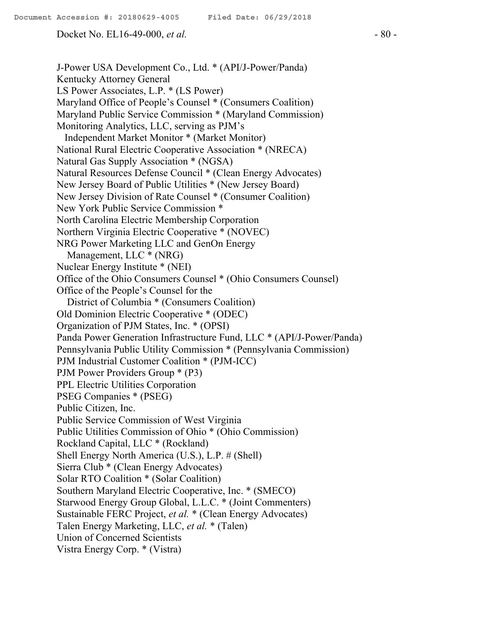Docket No. EL16-49-000, *et al.* - 80 -

J-Power USA Development Co., Ltd. \* (API/J-Power/Panda) Kentucky Attorney General LS Power Associates, L.P. \* (LS Power) Maryland Office of People's Counsel \* (Consumers Coalition) Maryland Public Service Commission \* (Maryland Commission) Monitoring Analytics, LLC, serving as PJM's Independent Market Monitor \* (Market Monitor) National Rural Electric Cooperative Association \* (NRECA) Natural Gas Supply Association \* (NGSA) Natural Resources Defense Council \* (Clean Energy Advocates) New Jersey Board of Public Utilities \* (New Jersey Board) New Jersey Division of Rate Counsel \* (Consumer Coalition) New York Public Service Commission \* North Carolina Electric Membership Corporation Northern Virginia Electric Cooperative \* (NOVEC) NRG Power Marketing LLC and GenOn Energy Management, LLC \* (NRG) Nuclear Energy Institute \* (NEI) Office of the Ohio Consumers Counsel \* (Ohio Consumers Counsel) Office of the People's Counsel for the District of Columbia \* (Consumers Coalition) Old Dominion Electric Cooperative \* (ODEC) Organization of PJM States, Inc. \* (OPSI) Panda Power Generation Infrastructure Fund, LLC \* (API/J-Power/Panda) Pennsylvania Public Utility Commission \* (Pennsylvania Commission) PJM Industrial Customer Coalition \* (PJM-ICC) PJM Power Providers Group \* (P3) PPL Electric Utilities Corporation PSEG Companies \* (PSEG) Public Citizen, Inc. Public Service Commission of West Virginia Public Utilities Commission of Ohio \* (Ohio Commission) Rockland Capital, LLC \* (Rockland) Shell Energy North America (U.S.), L.P. # (Shell) Sierra Club \* (Clean Energy Advocates) Solar RTO Coalition \* (Solar Coalition) Southern Maryland Electric Cooperative, Inc. \* (SMECO) Starwood Energy Group Global, L.L.C. \* (Joint Commenters) Sustainable FERC Project, *et al.* \* (Clean Energy Advocates) Talen Energy Marketing, LLC, *et al.* \* (Talen) Union of Concerned Scientists Vistra Energy Corp. \* (Vistra)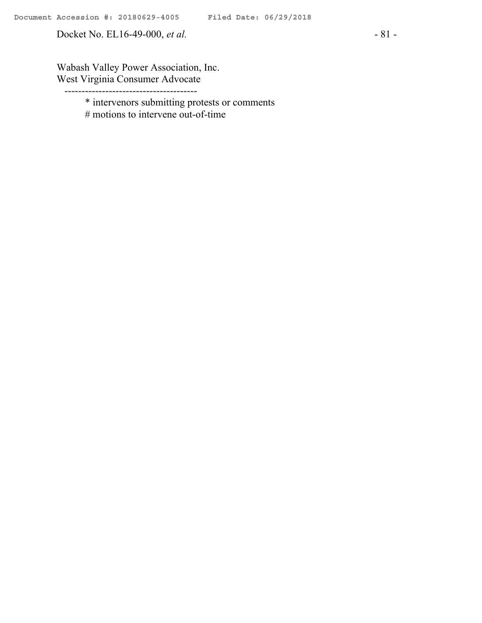Docket No. EL16-49-000, *et al.* - 81 -

Wabash Valley Power Association, Inc. West Virginia Consumer Advocate

---------------------------------------

\* intervenors submitting protests or comments

# motions to intervene out-of-time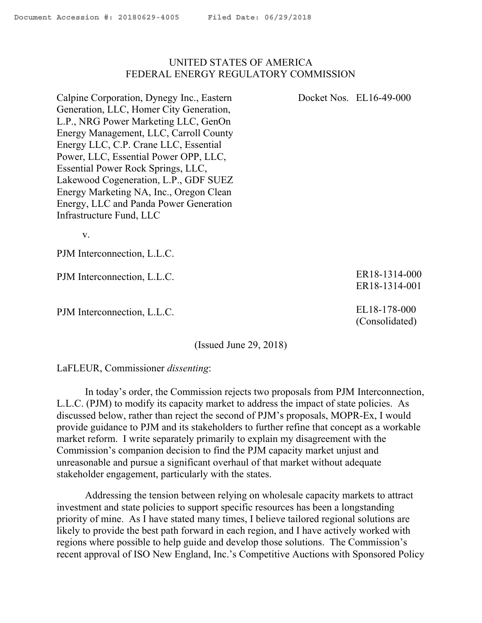### UNITED STATES OF AMERICA FEDERAL ENERGY REGULATORY COMMISSION

Calpine Corporation, Dynegy Inc., Eastern Generation, LLC, Homer City Generation, L.P., NRG Power Marketing LLC, GenOn Energy Management, LLC, Carroll County Energy LLC, C.P. Crane LLC, Essential Power, LLC, Essential Power OPP, LLC, Essential Power Rock Springs, LLC, Lakewood Cogeneration, L.P., GDF SUEZ Energy Marketing NA, Inc., Oregon Clean Energy, LLC and Panda Power Generation Infrastructure Fund, LLC

v.

PJM Interconnection, L.L.C.

PJM Interconnection, L.L.C.

PJM Interconnection, L.L.C.

(Issued June 29, 2018)

LaFLEUR, Commissioner *dissenting*:

In today's order, the Commission rejects two proposals from PJM Interconnection, L.L.C. (PJM) to modify its capacity market to address the impact of state policies. As discussed below, rather than reject the second of PJM's proposals, MOPR-Ex, I would provide guidance to PJM and its stakeholders to further refine that concept as a workable market reform. I write separately primarily to explain my disagreement with the Commission's companion decision to find the PJM capacity market unjust and unreasonable and pursue a significant overhaul of that market without adequate stakeholder engagement, particularly with the states.

Addressing the tension between relying on wholesale capacity markets to attract investment and state policies to support specific resources has been a longstanding priority of mine. As I have stated many times, I believe tailored regional solutions are likely to provide the best path forward in each region, and I have actively worked with regions where possible to help guide and develop those solutions. The Commission's recent approval of ISO New England, Inc.'s Competitive Auctions with Sponsored Policy

ER18-1314-000 ER18-1314-001

EL18-178-000 (Consolidated)

Docket Nos. EL16-49-000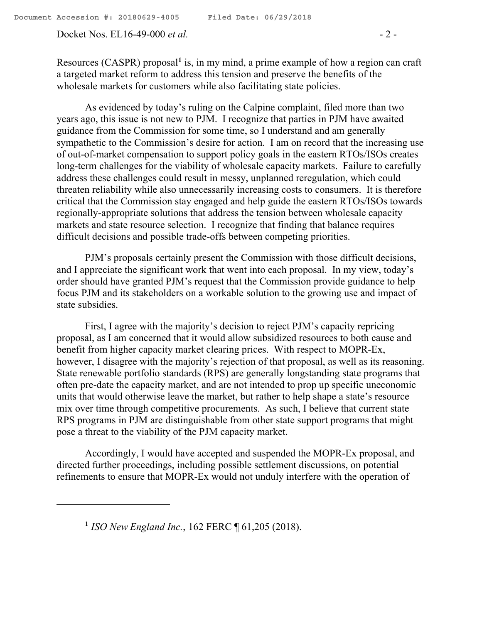Docket Nos. EL16-49-000 *et al.* - 2 -

Resources (CASPR) proposal**<sup>1</sup>** is, in my mind, a prime example of how a region can craft a targeted market reform to address this tension and preserve the benefits of the wholesale markets for customers while also facilitating state policies.

As evidenced by today's ruling on the Calpine complaint, filed more than two years ago, this issue is not new to PJM. I recognize that parties in PJM have awaited guidance from the Commission for some time, so I understand and am generally sympathetic to the Commission's desire for action. I am on record that the increasing use of out-of-market compensation to support policy goals in the eastern RTOs/ISOs creates long-term challenges for the viability of wholesale capacity markets. Failure to carefully address these challenges could result in messy, unplanned reregulation, which could threaten reliability while also unnecessarily increasing costs to consumers. It is therefore critical that the Commission stay engaged and help guide the eastern RTOs/ISOs towards regionally-appropriate solutions that address the tension between wholesale capacity markets and state resource selection. I recognize that finding that balance requires difficult decisions and possible trade-offs between competing priorities.

PJM's proposals certainly present the Commission with those difficult decisions, and I appreciate the significant work that went into each proposal. In my view, today's order should have granted PJM's request that the Commission provide guidance to help focus PJM and its stakeholders on a workable solution to the growing use and impact of state subsidies.

First, I agree with the majority's decision to reject PJM's capacity repricing proposal, as I am concerned that it would allow subsidized resources to both cause and benefit from higher capacity market clearing prices. With respect to MOPR-Ex, however, I disagree with the majority's rejection of that proposal, as well as its reasoning. State renewable portfolio standards (RPS) are generally longstanding state programs that often pre-date the capacity market, and are not intended to prop up specific uneconomic units that would otherwise leave the market, but rather to help shape a state's resource mix over time through competitive procurements. As such, I believe that current state RPS programs in PJM are distinguishable from other state support programs that might pose a threat to the viability of the PJM capacity market.

Accordingly, I would have accepted and suspended the MOPR-Ex proposal, and directed further proceedings, including possible settlement discussions, on potential refinements to ensure that MOPR-Ex would not unduly interfere with the operation of

 $\overline{a}$ 

**<sup>1</sup>** *ISO New England Inc.*, 162 FERC ¶ 61,205 (2018).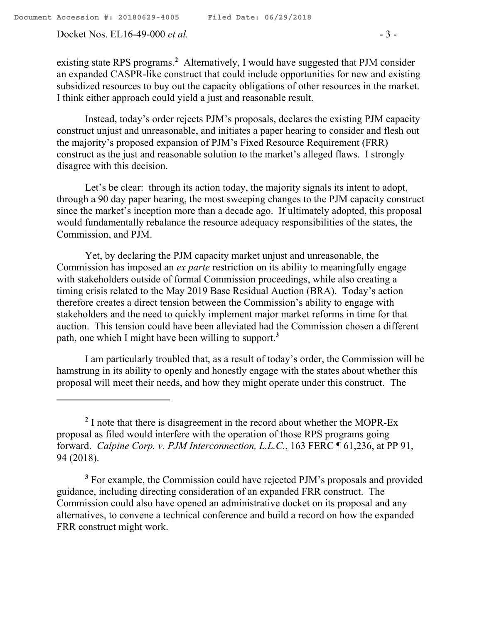Docket Nos. EL16-49-000 *et al.* - 3 -

Instead, today's order rejects PJM's proposals, declares the existing PJM capacity construct unjust and unreasonable, and initiates a paper hearing to consider and flesh out the majority's proposed expansion of PJM's Fixed Resource Requirement (FRR) construct as the just and reasonable solution to the market's alleged flaws. I strongly disagree with this decision.

Let's be clear: through its action today, the majority signals its intent to adopt, through a 90 day paper hearing, the most sweeping changes to the PJM capacity construct since the market's inception more than a decade ago. If ultimately adopted, this proposal would fundamentally rebalance the resource adequacy responsibilities of the states, the Commission, and PJM.

Yet, by declaring the PJM capacity market unjust and unreasonable, the Commission has imposed an *ex parte* restriction on its ability to meaningfully engage with stakeholders outside of formal Commission proceedings, while also creating a timing crisis related to the May 2019 Base Residual Auction (BRA). Today's action therefore creates a direct tension between the Commission's ability to engage with stakeholders and the need to quickly implement major market reforms in time for that auction. This tension could have been alleviated had the Commission chosen a different path, one which I might have been willing to support.**<sup>3</sup>**

I am particularly troubled that, as a result of today's order, the Commission will be hamstrung in its ability to openly and honestly engage with the states about whether this proposal will meet their needs, and how they might operate under this construct. The

<sup>3</sup> For example, the Commission could have rejected PJM's proposals and provided guidance, including directing consideration of an expanded FRR construct. The Commission could also have opened an administrative docket on its proposal and any alternatives, to convene a technical conference and build a record on how the expanded FRR construct might work.

<sup>&</sup>lt;sup>2</sup> I note that there is disagreement in the record about whether the MOPR-Ex proposal as filed would interfere with the operation of those RPS programs going forward. *Calpine Corp. v. PJM Interconnection, L.L.C.*, 163 FERC ¶ 61,236, at PP 91, 94 (2018).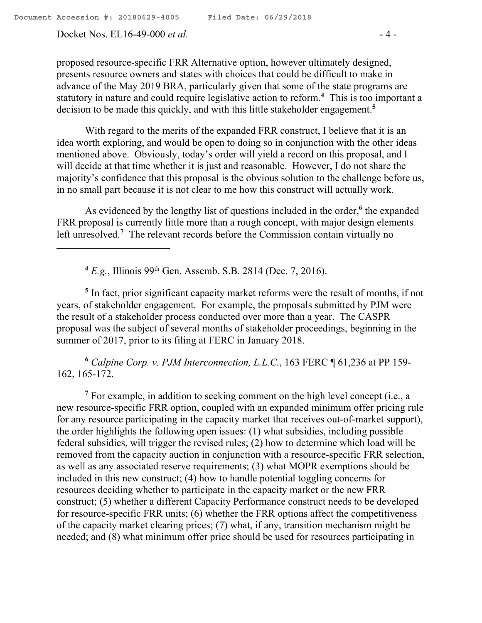Docket Nos. EL16-49-000 *et al.* - 4 -

proposed resource-specific FRR Alternative option, however ultimately designed, presents resource owners and states with choices that could be difficult to make in advance of the May 2019 BRA, particularly given that some of the state programs are statutory in nature and could require legislative action to reform.**<sup>4</sup>** This is too important a decision to be made this quickly, and with this little stakeholder engagement.**<sup>5</sup>**

With regard to the merits of the expanded FRR construct, I believe that it is an idea worth exploring, and would be open to doing so in conjunction with the other ideas mentioned above. Obviously, today's order will yield a record on this proposal, and I will decide at that time whether it is just and reasonable. However, I do not share the majority's confidence that this proposal is the obvious solution to the challenge before us, in no small part because it is not clear to me how this construct will actually work.

As evidenced by the lengthy list of questions included in the order,**<sup>6</sup>** the expanded FRR proposal is currently little more than a rough concept, with major design elements left unresolved.**<sup>7</sup>** The relevant records before the Commission contain virtually no

**<sup>4</sup>** *E.g.*, Illinois 99th Gen. Assemb. S.B. 2814 (Dec. 7, 2016).

<sup>5</sup> In fact, prior significant capacity market reforms were the result of months, if not years, of stakeholder engagement. For example, the proposals submitted by PJM were the result of a stakeholder process conducted over more than a year. The CASPR proposal was the subject of several months of stakeholder proceedings, beginning in the summer of 2017, prior to its filing at FERC in January 2018.

**<sup>6</sup>** *Calpine Corp. v. PJM Interconnection, L.L.C.*, 163 FERC ¶ 61,236 at PP 159- 162, 165-172.

**<sup>7</sup>** For example, in addition to seeking comment on the high level concept (i.e., a new resource-specific FRR option, coupled with an expanded minimum offer pricing rule for any resource participating in the capacity market that receives out-of-market support), the order highlights the following open issues: (1) what subsidies, including possible federal subsidies, will trigger the revised rules; (2) how to determine which load will be removed from the capacity auction in conjunction with a resource-specific FRR selection, as well as any associated reserve requirements; (3) what MOPR exemptions should be included in this new construct; (4) how to handle potential toggling concerns for resources deciding whether to participate in the capacity market or the new FRR construct; (5) whether a different Capacity Performance construct needs to be developed for resource-specific FRR units; (6) whether the FRR options affect the competitiveness of the capacity market clearing prices; (7) what, if any, transition mechanism might be needed; and (8) what minimum offer price should be used for resources participating in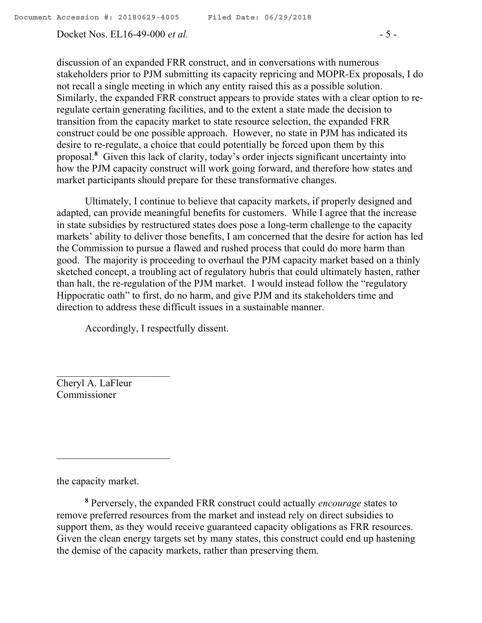Docket Nos. EL16-49-000 *et al.* - 5 -

discussion of an expanded FRR construct, and in conversations with numerous stakeholders prior to PJM submitting its capacity repricing and MOPR-Ex proposals, I do not recall a single meeting in which any entity raised this as a possible solution. Similarly, the expanded FRR construct appears to provide states with a clear option to reregulate certain generating facilities, and to the extent a state made the decision to transition from the capacity market to state resource selection, the expanded FRR construct could be one possible approach. However, no state in PJM has indicated its desire to re-regulate, a choice that could potentially be forced upon them by this proposal.**<sup>8</sup>** Given this lack of clarity, today's order injects significant uncertainty into how the PJM capacity construct will work going forward, and therefore how states and market participants should prepare for these transformative changes.

Ultimately, I continue to believe that capacity markets, if properly designed and adapted, can provide meaningful benefits for customers. While I agree that the increase in state subsidies by restructured states does pose a long-term challenge to the capacity markets' ability to deliver those benefits, I am concerned that the desire for action has led the Commission to pursue a flawed and rushed process that could do more harm than good. The majority is proceeding to overhaul the PJM capacity market based on a thinly sketched concept, a troubling act of regulatory hubris that could ultimately hasten, rather than halt, the re-regulation of the PJM market. I would instead follow the "regulatory Hippocratic oath" to first, do no harm, and give PJM and its stakeholders time and direction to address these difficult issues in a sustainable manner.

Accordingly, I respectfully dissent.

Cheryl A. LaFleur Commissioner

the capacity market.

 $\overline{a}$ 

**<sup>8</sup>** Perversely, the expanded FRR construct could actually *encourage* states to remove preferred resources from the market and instead rely on direct subsidies to support them, as they would receive guaranteed capacity obligations as FRR resources. Given the clean energy targets set by many states, this construct could end up hastening the demise of the capacity markets, rather than preserving them.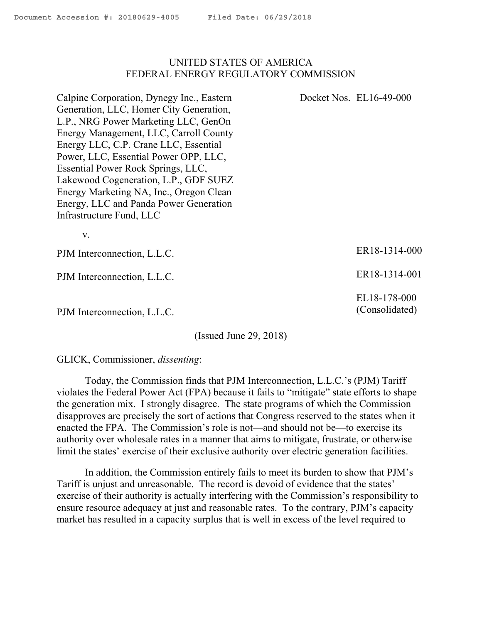### UNITED STATES OF AMERICA FEDERAL ENERGY REGULATORY COMMISSION

Calpine Corporation, Dynegy Inc., Eastern Generation, LLC, Homer City Generation, L.P., NRG Power Marketing LLC, GenOn Energy Management, LLC, Carroll County Energy LLC, C.P. Crane LLC, Essential Power, LLC, Essential Power OPP, LLC, Essential Power Rock Springs, LLC, Lakewood Cogeneration, L.P., GDF SUEZ Energy Marketing NA, Inc., Oregon Clean Energy, LLC and Panda Power Generation Infrastructure Fund, LLC

v.

PJM Interconnection, L.L.C.

PJM Interconnection, L.L.C.

PJM Interconnection, L.L.C.

(Issued June 29, 2018)

GLICK, Commissioner, *dissenting*:

Today, the Commission finds that PJM Interconnection, L.L.C.'s (PJM) Tariff violates the Federal Power Act (FPA) because it fails to "mitigate" state efforts to shape the generation mix. I strongly disagree. The state programs of which the Commission disapproves are precisely the sort of actions that Congress reserved to the states when it enacted the FPA. The Commission's role is not—and should not be—to exercise its authority over wholesale rates in a manner that aims to mitigate, frustrate, or otherwise limit the states' exercise of their exclusive authority over electric generation facilities.

In addition, the Commission entirely fails to meet its burden to show that PJM's Tariff is unjust and unreasonable. The record is devoid of evidence that the states' exercise of their authority is actually interfering with the Commission's responsibility to ensure resource adequacy at just and reasonable rates. To the contrary, PJM's capacity market has resulted in a capacity surplus that is well in excess of the level required to

ER18-1314-000

Docket Nos. EL16-49-000

ER18-1314-001

EL18-178-000 (Consolidated)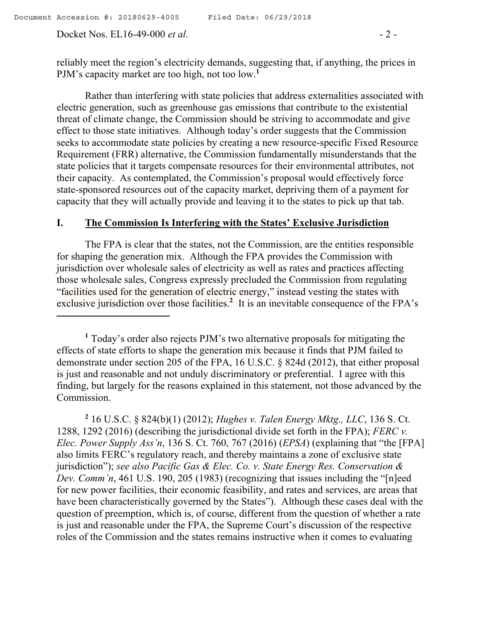Rather than interfering with state policies that address externalities associated with electric generation, such as greenhouse gas emissions that contribute to the existential threat of climate change, the Commission should be striving to accommodate and give effect to those state initiatives. Although today's order suggests that the Commission seeks to accommodate state policies by creating a new resource-specific Fixed Resource Requirement (FRR) alternative, the Commission fundamentally misunderstands that the state policies that it targets compensate resources for their environmental attributes, not their capacity. As contemplated, the Commission's proposal would effectively force state-sponsored resources out of the capacity market, depriving them of a payment for capacity that they will actually provide and leaving it to the states to pick up that tab.

### **I. The Commission Is Interfering with the States' Exclusive Jurisdiction**

The FPA is clear that the states, not the Commission, are the entities responsible for shaping the generation mix. Although the FPA provides the Commission with jurisdiction over wholesale sales of electricity as well as rates and practices affecting those wholesale sales, Congress expressly precluded the Commission from regulating "facilities used for the generation of electric energy," instead vesting the states with exclusive jurisdiction over those facilities.<sup>2</sup> It is an inevitable consequence of the FPA's

**2** 16 U.S.C. § 824(b)(1) (2012); *Hughes v. Talen Energy Mktg., LLC*, 136 S. Ct. 1288, 1292 (2016) (describing the jurisdictional divide set forth in the FPA); *FERC v. Elec. Power Supply Ass'n*, 136 S. Ct. 760, 767 (2016) (*EPSA*) (explaining that "the [FPA] also limits FERC's regulatory reach, and thereby maintains a zone of exclusive state jurisdiction"); *see also Pacific Gas & Elec. Co. v. State Energy Res. Conservation & Dev. Comm'n,* 461 U.S. 190, 205 (1983) (recognizing that issues including the "[n]eed for new power facilities, their economic feasibility, and rates and services, are areas that have been characteristically governed by the States"). Although these cases deal with the question of preemption, which is, of course, different from the question of whether a rate is just and reasonable under the FPA, the Supreme Court's discussion of the respective roles of the Commission and the states remains instructive when it comes to evaluating

**<sup>1</sup>** Today's order also rejects PJM's two alternative proposals for mitigating the effects of state efforts to shape the generation mix because it finds that PJM failed to demonstrate under section 205 of the FPA, 16 U.S.C. § 824d (2012), that either proposal is just and reasonable and not unduly discriminatory or preferential. I agree with this finding, but largely for the reasons explained in this statement, not those advanced by the Commission.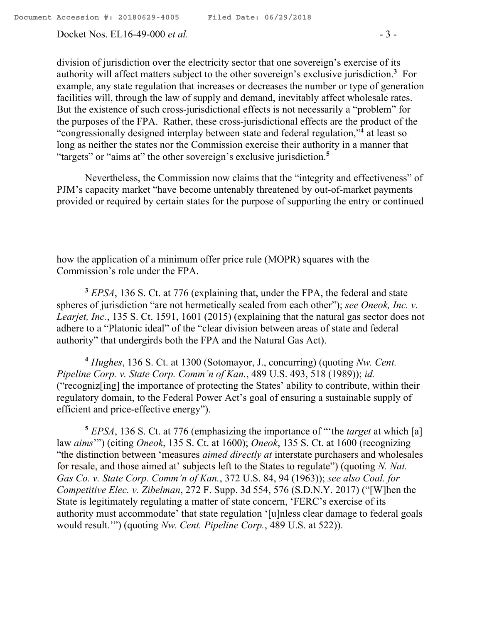Docket Nos. EL16-49-000 *et al.* - 3 -

division of jurisdiction over the electricity sector that one sovereign's exercise of its authority will affect matters subject to the other sovereign's exclusive jurisdiction.**<sup>3</sup>** For example, any state regulation that increases or decreases the number or type of generation facilities will, through the law of supply and demand, inevitably affect wholesale rates. But the existence of such cross-jurisdictional effects is not necessarily a "problem" for the purposes of the FPA. Rather, these cross-jurisdictional effects are the product of the "congressionally designed interplay between state and federal regulation,"**<sup>4</sup>** at least so long as neither the states nor the Commission exercise their authority in a manner that "targets" or "aims at" the other sovereign's exclusive jurisdiction.**<sup>5</sup>**

Nevertheless, the Commission now claims that the "integrity and effectiveness" of PJM's capacity market "have become untenably threatened by out-of-market payments provided or required by certain states for the purpose of supporting the entry or continued

how the application of a minimum offer price rule (MOPR) squares with the Commission's role under the FPA.

**<sup>3</sup>** *EPSA*, 136 S. Ct. at 776 (explaining that, under the FPA, the federal and state spheres of jurisdiction "are not hermetically sealed from each other"); *see Oneok, Inc. v. Learjet, Inc.*, 135 S. Ct. 1591, 1601 (2015) (explaining that the natural gas sector does not adhere to a "Platonic ideal" of the "clear division between areas of state and federal authority" that undergirds both the FPA and the Natural Gas Act).

**<sup>4</sup>** *Hughes*, 136 S. Ct. at 1300 (Sotomayor, J., concurring) (quoting *Nw. Cent. Pipeline Corp. v. State Corp. Comm'n of Kan.*, 489 U.S. 493, 518 (1989)); *id.*  ("recogniz[ing] the importance of protecting the States' ability to contribute, within their regulatory domain, to the Federal Power Act's goal of ensuring a sustainable supply of efficient and price-effective energy").

**<sup>5</sup>** *EPSA*, 136 S. Ct. at 776 (emphasizing the importance of "'the *target* at which [a] law *aims*'") (citing *Oneok*, 135 S. Ct. at 1600); *Oneok*, 135 S. Ct. at 1600 (recognizing "the distinction between 'measures *aimed directly at* interstate purchasers and wholesales for resale, and those aimed at' subjects left to the States to regulate") (quoting *N. Nat. Gas Co. v. State Corp. Comm'n of Kan.*, 372 U.S. 84, 94 (1963)); *see also Coal. for Competitive Elec. v. Zibelman*, 272 F. Supp. 3d 554, 576 (S.D.N.Y. 2017) ("[W]hen the State is legitimately regulating a matter of state concern, 'FERC's exercise of its authority must accommodate' that state regulation '[u]nless clear damage to federal goals would result.'") (quoting *Nw. Cent. Pipeline Corp.*, 489 U.S. at 522)).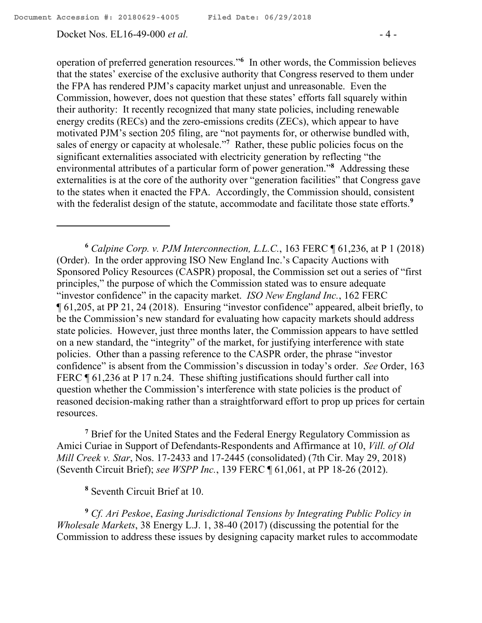#### Docket Nos. EL16-49-000 *et al.* - 4 -

operation of preferred generation resources."**<sup>6</sup>** In other words, the Commission believes that the states' exercise of the exclusive authority that Congress reserved to them under the FPA has rendered PJM's capacity market unjust and unreasonable. Even the Commission, however, does not question that these states' efforts fall squarely within their authority: It recently recognized that many state policies, including renewable energy credits (RECs) and the zero-emissions credits (ZECs), which appear to have motivated PJM's section 205 filing, are "not payments for, or otherwise bundled with, sales of energy or capacity at wholesale."**<sup>7</sup>** Rather, these public policies focus on the significant externalities associated with electricity generation by reflecting "the environmental attributes of a particular form of power generation."**<sup>8</sup>** Addressing these externalities is at the core of the authority over "generation facilities" that Congress gave to the states when it enacted the FPA. Accordingly, the Commission should, consistent with the federalist design of the statute, accommodate and facilitate those state efforts.<sup>9</sup>

**<sup>6</sup>** *Calpine Corp. v. PJM Interconnection, L.L.C.*, 163 FERC ¶ 61,236, at P 1 (2018) (Order). In the order approving ISO New England Inc.'s Capacity Auctions with Sponsored Policy Resources (CASPR) proposal, the Commission set out a series of "first principles," the purpose of which the Commission stated was to ensure adequate "investor confidence" in the capacity market. *ISO New England Inc.*, 162 FERC ¶ 61,205, at PP 21, 24 (2018). Ensuring "investor confidence" appeared, albeit briefly, to be the Commission's new standard for evaluating how capacity markets should address state policies. However, just three months later, the Commission appears to have settled on a new standard, the "integrity" of the market, for justifying interference with state policies. Other than a passing reference to the CASPR order, the phrase "investor confidence" is absent from the Commission's discussion in today's order. *See* Order, 163 FERC  $\parallel$  61,236 at P 17 n.24. These shifting justifications should further call into question whether the Commission's interference with state policies is the product of reasoned decision-making rather than a straightforward effort to prop up prices for certain resources.

**<sup>7</sup>** Brief for the United States and the Federal Energy Regulatory Commission as Amici Curiae in Support of Defendants-Respondents and Affirmance at 10, *Vill. of Old Mill Creek v. Star*, Nos. 17-2433 and 17-2445 (consolidated) (7th Cir. May 29, 2018) (Seventh Circuit Brief); *see WSPP Inc.*, 139 FERC ¶ 61,061, at PP 18-26 (2012).

**<sup>8</sup>** Seventh Circuit Brief at 10.

**<sup>9</sup>** *Cf. Ari Peskoe*, *Easing Jurisdictional Tensions by Integrating Public Policy in Wholesale Markets*, 38 Energy L.J. 1, 38-40 (2017) (discussing the potential for the Commission to address these issues by designing capacity market rules to accommodate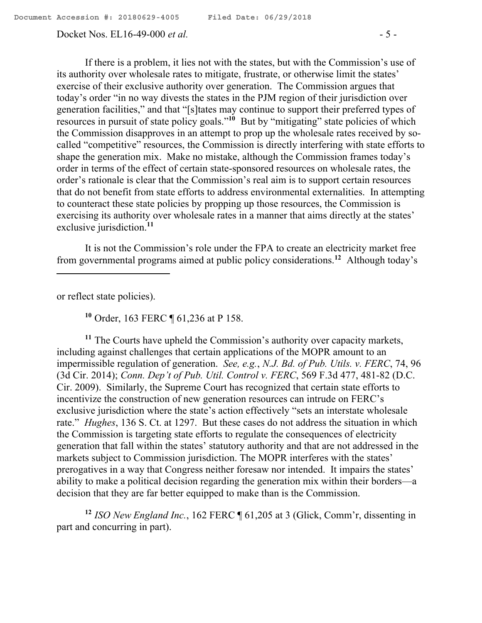#### Docket Nos. EL16-49-000 *et al.* - 5 -

If there is a problem, it lies not with the states, but with the Commission's use of its authority over wholesale rates to mitigate, frustrate, or otherwise limit the states' exercise of their exclusive authority over generation. The Commission argues that today's order "in no way divests the states in the PJM region of their jurisdiction over generation facilities," and that "[s]tates may continue to support their preferred types of resources in pursuit of state policy goals."<sup>10</sup> But by "mitigating" state policies of which the Commission disapproves in an attempt to prop up the wholesale rates received by socalled "competitive" resources, the Commission is directly interfering with state efforts to shape the generation mix. Make no mistake, although the Commission frames today's order in terms of the effect of certain state-sponsored resources on wholesale rates, the order's rationale is clear that the Commission's real aim is to support certain resources that do not benefit from state efforts to address environmental externalities. In attempting to counteract these state policies by propping up those resources, the Commission is exercising its authority over wholesale rates in a manner that aims directly at the states' exclusive jurisdiction.**<sup>11</sup>**

It is not the Commission's role under the FPA to create an electricity market free from governmental programs aimed at public policy considerations.**<sup>12</sup>** Although today's

or reflect state policies).

 $\overline{a}$ 

**<sup>10</sup>** Order, 163 FERC ¶ 61,236 at P 158.

**<sup>11</sup>** The Courts have upheld the Commission's authority over capacity markets, including against challenges that certain applications of the MOPR amount to an impermissible regulation of generation. *See, e.g.*, *N.J. Bd. of Pub. Utils. v. FERC*, 74, 96 (3d Cir. 2014); *Conn. Dep't of Pub. Util. Control v. FERC*, 569 F.3d 477, 481-82 (D.C. Cir. 2009). Similarly, the Supreme Court has recognized that certain state efforts to incentivize the construction of new generation resources can intrude on FERC's exclusive jurisdiction where the state's action effectively "sets an interstate wholesale rate." *Hughes*, 136 S. Ct. at 1297. But these cases do not address the situation in which the Commission is targeting state efforts to regulate the consequences of electricity generation that fall within the states' statutory authority and that are not addressed in the markets subject to Commission jurisdiction. The MOPR interferes with the states' prerogatives in a way that Congress neither foresaw nor intended. It impairs the states' ability to make a political decision regarding the generation mix within their borders—a decision that they are far better equipped to make than is the Commission.

**<sup>12</sup>** *ISO New England Inc.*, 162 FERC ¶ 61,205 at 3 (Glick, Comm'r, dissenting in part and concurring in part).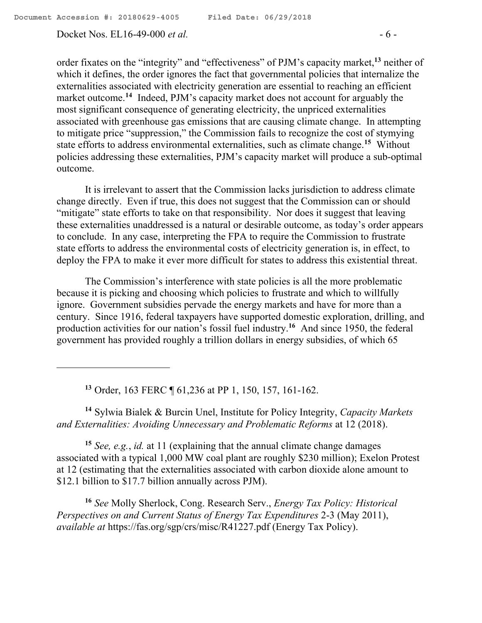order fixates on the "integrity" and "effectiveness" of PJM's capacity market,**<sup>13</sup>** neither of which it defines, the order ignores the fact that governmental policies that internalize the externalities associated with electricity generation are essential to reaching an efficient market outcome.**<sup>14</sup>** Indeed, PJM's capacity market does not account for arguably the most significant consequence of generating electricity, the unpriced externalities associated with greenhouse gas emissions that are causing climate change. In attempting to mitigate price "suppression," the Commission fails to recognize the cost of stymying state efforts to address environmental externalities, such as climate change.**<sup>15</sup>** Without policies addressing these externalities, PJM's capacity market will produce a sub-optimal outcome.

It is irrelevant to assert that the Commission lacks jurisdiction to address climate change directly. Even if true, this does not suggest that the Commission can or should "mitigate" state efforts to take on that responsibility. Nor does it suggest that leaving these externalities unaddressed is a natural or desirable outcome, as today's order appears to conclude. In any case, interpreting the FPA to require the Commission to frustrate state efforts to address the environmental costs of electricity generation is, in effect, to deploy the FPA to make it ever more difficult for states to address this existential threat.

The Commission's interference with state policies is all the more problematic because it is picking and choosing which policies to frustrate and which to willfully ignore. Government subsidies pervade the energy markets and have for more than a century. Since 1916, federal taxpayers have supported domestic exploration, drilling, and production activities for our nation's fossil fuel industry.<sup>16</sup> And since 1950, the federal government has provided roughly a trillion dollars in energy subsidies, of which 65

**<sup>13</sup>** Order, 163 FERC ¶ 61,236 at PP 1, 150, 157, 161-162.

**<sup>14</sup>** Sylwia Bialek & Burcin Unel, Institute for Policy Integrity, *Capacity Markets and Externalities: Avoiding Unnecessary and Problematic Reforms* at 12 (2018).

**<sup>15</sup>** *See, e.g.*, *id.* at 11 (explaining that the annual climate change damages associated with a typical 1,000 MW coal plant are roughly \$230 million); Exelon Protest at 12 (estimating that the externalities associated with carbon dioxide alone amount to \$12.1 billion to \$17.7 billion annually across PJM).

**<sup>16</sup>** *See* Molly Sherlock, Cong. Research Serv., *Energy Tax Policy: Historical Perspectives on and Current Status of Energy Tax Expenditures* 2-3 (May 2011), *available at* https://fas.org/sgp/crs/misc/R41227.pdf (Energy Tax Policy).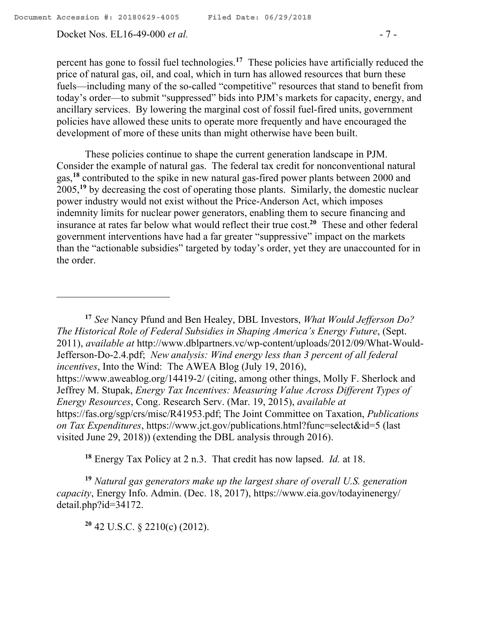Docket Nos. EL16-49-000 *et al.* - 7 -

percent has gone to fossil fuel technologies. **17** These policies have artificially reduced the price of natural gas, oil, and coal, which in turn has allowed resources that burn these fuels—including many of the so-called "competitive" resources that stand to benefit from today's order—to submit "suppressed" bids into PJM's markets for capacity, energy, and ancillary services. By lowering the marginal cost of fossil fuel-fired units, government policies have allowed these units to operate more frequently and have encouraged the development of more of these units than might otherwise have been built.

These policies continue to shape the current generation landscape in PJM. Consider the example of natural gas. The federal tax credit for nonconventional natural gas, **<sup>18</sup>** contributed to the spike in new natural gas-fired power plants between 2000 and 2005,**<sup>19</sup>** by decreasing the cost of operating those plants. Similarly, the domestic nuclear power industry would not exist without the Price-Anderson Act, which imposes indemnity limits for nuclear power generators, enabling them to secure financing and insurance at rates far below what would reflect their true cost.**<sup>20</sup>** These and other federal government interventions have had a far greater "suppressive" impact on the markets than the "actionable subsidies" targeted by today's order, yet they are unaccounted for in the order.

**<sup>17</sup>** *See* Nancy Pfund and Ben Healey, DBL Investors, *What Would Jefferson Do? The Historical Role of Federal Subsidies in Shaping America's Energy Future*, (Sept. 2011), *available at* http://www.dblpartners.vc/wp-content/uploads/2012/09/What-Would-Jefferson-Do-2.4.pdf; *New analysis: Wind energy less than 3 percent of all federal incentives*, Into the Wind: The AWEA Blog (July 19, 2016), https://www.aweablog.org/14419-2/ (citing, among other things, Molly F. Sherlock and Jeffrey M. Stupak, *Energy Tax Incentives: Measuring Value Across Different Types of Energy Resources*, Cong. Research Serv. (Mar. 19, 2015), *available at* https://fas.org/sgp/crs/misc/R41953.pdf; The Joint Committee on Taxation, *Publications on Tax Expenditures*, https://www.jct.gov/publications.html?func=select&id=5 (last visited June 29, 2018)) (extending the DBL analysis through 2016).

**<sup>18</sup>** Energy Tax Policy at 2 n.3. That credit has now lapsed. *Id.* at 18.

**<sup>19</sup>** *Natural gas generators make up the largest share of overall U.S. generation capacity*, Energy Info. Admin. (Dec. 18, 2017), https://www.eia.gov/todayinenergy/ detail.php?id=34172.

**<sup>20</sup>** 42 U.S.C. § 2210(c) (2012).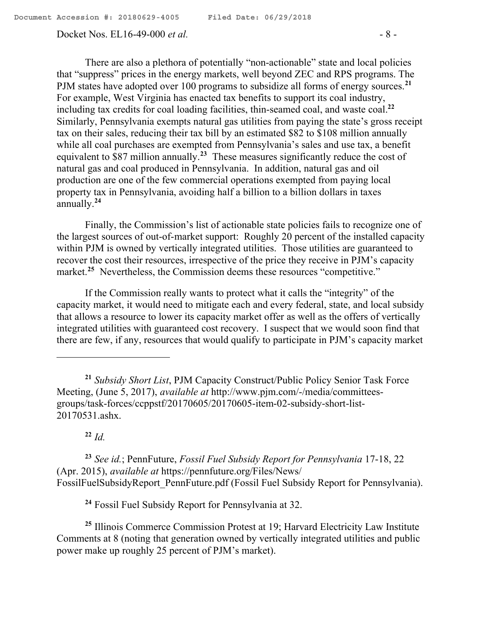### Docket Nos. EL16-49-000 *et al.* - 8 -

There are also a plethora of potentially "non-actionable" state and local policies that "suppress" prices in the energy markets, well beyond ZEC and RPS programs. The PJM states have adopted over 100 programs to subsidize all forms of energy sources.**<sup>21</sup>** For example, West Virginia has enacted tax benefits to support its coal industry, including tax credits for coal loading facilities, thin-seamed coal, and waste coal.**<sup>22</sup>** Similarly, Pennsylvania exempts natural gas utilities from paying the state's gross receipt tax on their sales, reducing their tax bill by an estimated \$82 to \$108 million annually while all coal purchases are exempted from Pennsylvania's sales and use tax, a benefit equivalent to \$87 million annually.<sup>23</sup> These measures significantly reduce the cost of natural gas and coal produced in Pennsylvania. In addition, natural gas and oil production are one of the few commercial operations exempted from paying local property tax in Pennsylvania, avoiding half a billion to a billion dollars in taxes annually. **24**

Finally, the Commission's list of actionable state policies fails to recognize one of the largest sources of out-of-market support: Roughly 20 percent of the installed capacity within PJM is owned by vertically integrated utilities. Those utilities are guaranteed to recover the cost their resources, irrespective of the price they receive in PJM's capacity market.<sup>25</sup> Nevertheless, the Commission deems these resources "competitive."

If the Commission really wants to protect what it calls the "integrity" of the capacity market, it would need to mitigate each and every federal, state, and local subsidy that allows a resource to lower its capacity market offer as well as the offers of vertically integrated utilities with guaranteed cost recovery. I suspect that we would soon find that there are few, if any, resources that would qualify to participate in PJM's capacity market

**<sup>22</sup>** *Id.*

 $\overline{a}$ 

**<sup>23</sup>** *See id.*; PennFuture, *Fossil Fuel Subsidy Report for Pennsylvania* 17-18, 22 (Apr. 2015), *available at* https://pennfuture.org/Files/News/ FossilFuelSubsidyReport\_PennFuture.pdf (Fossil Fuel Subsidy Report for Pennsylvania).

**<sup>24</sup>** Fossil Fuel Subsidy Report for Pennsylvania at 32.

**<sup>25</sup>** Illinois Commerce Commission Protest at 19; Harvard Electricity Law Institute Comments at 8 (noting that generation owned by vertically integrated utilities and public power make up roughly 25 percent of PJM's market).

**<sup>21</sup>** *Subsidy Short List*, PJM Capacity Construct/Public Policy Senior Task Force Meeting, (June 5, 2017), *available at* http://www.pjm.com/-/media/committeesgroups/task-forces/ccppstf/20170605/20170605-item-02-subsidy-short-list-20170531.ashx.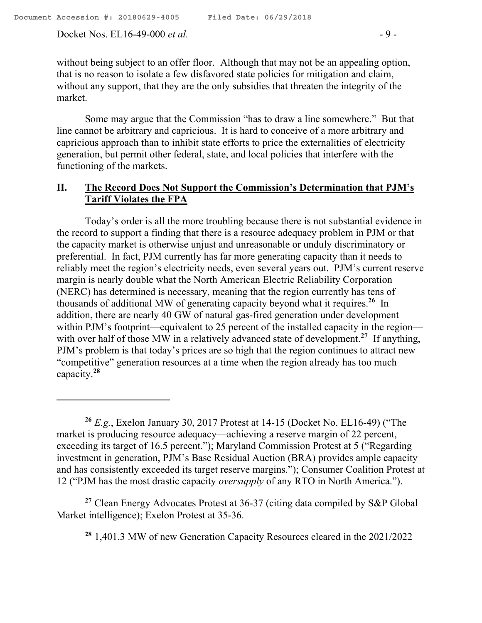Docket Nos. EL16-49-000 *et al.* - 9 -

 $\overline{a}$ 

Some may argue that the Commission "has to draw a line somewhere." But that line cannot be arbitrary and capricious. It is hard to conceive of a more arbitrary and capricious approach than to inhibit state efforts to price the externalities of electricity generation, but permit other federal, state, and local policies that interfere with the functioning of the markets.

# **II. The Record Does Not Support the Commission's Determination that PJM's Tariff Violates the FPA**

Today's order is all the more troubling because there is not substantial evidence in the record to support a finding that there is a resource adequacy problem in PJM or that the capacity market is otherwise unjust and unreasonable or unduly discriminatory or preferential. In fact, PJM currently has far more generating capacity than it needs to reliably meet the region's electricity needs, even several years out. PJM's current reserve margin is nearly double what the North American Electric Reliability Corporation (NERC) has determined is necessary, meaning that the region currently has tens of thousands of additional MW of generating capacity beyond what it requires.**<sup>26</sup>** In addition, there are nearly 40 GW of natural gas-fired generation under development within PJM's footprint—equivalent to 25 percent of the installed capacity in the region with over half of those MW in a relatively advanced state of development.<sup>27</sup> If anything, PJM's problem is that today's prices are so high that the region continues to attract new "competitive" generation resources at a time when the region already has too much capacity.**<sup>28</sup>**

**<sup>27</sup>** Clean Energy Advocates Protest at 36-37 (citing data compiled by S&P Global Market intelligence); Exelon Protest at 35-36.

**<sup>28</sup>** 1,401.3 MW of new Generation Capacity Resources cleared in the 2021/2022

**<sup>26</sup>** *E.g.*, Exelon January 30, 2017 Protest at 14-15 (Docket No. EL16-49) ("The market is producing resource adequacy—achieving a reserve margin of 22 percent, exceeding its target of 16.5 percent."); Maryland Commission Protest at 5 ("Regarding investment in generation, PJM's Base Residual Auction (BRA) provides ample capacity and has consistently exceeded its target reserve margins."); Consumer Coalition Protest at 12 ("PJM has the most drastic capacity *oversupply* of any RTO in North America.").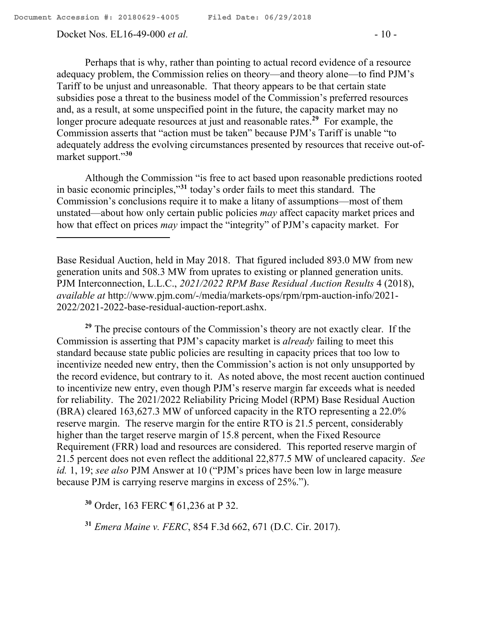Docket Nos. EL16-49-000 *et al.* - 10 -

Perhaps that is why, rather than pointing to actual record evidence of a resource adequacy problem, the Commission relies on theory—and theory alone—to find PJM's Tariff to be unjust and unreasonable. That theory appears to be that certain state subsidies pose a threat to the business model of the Commission's preferred resources and, as a result, at some unspecified point in the future, the capacity market may no longer procure adequate resources at just and reasonable rates.<sup>29</sup> For example, the Commission asserts that "action must be taken" because PJM's Tariff is unable "to adequately address the evolving circumstances presented by resources that receive out-ofmarket support."**<sup>30</sup>**

Although the Commission "is free to act based upon reasonable predictions rooted in basic economic principles,"**<sup>31</sup>** today's order fails to meet this standard. The Commission's conclusions require it to make a litany of assumptions—most of them unstated—about how only certain public policies *may* affect capacity market prices and how that effect on prices *may* impact the "integrity" of PJM's capacity market. For

Base Residual Auction, held in May 2018. That figured included 893.0 MW from new generation units and 508.3 MW from uprates to existing or planned generation units. PJM Interconnection, L.L.C., *2021/2022 RPM Base Residual Auction Results* 4 (2018), *available at* http://www.pjm.com/-/media/markets-ops/rpm/rpm-auction-info/2021- 2022/2021-2022-base-residual-auction-report.ashx.

**<sup>29</sup>** The precise contours of the Commission's theory are not exactly clear. If the Commission is asserting that PJM's capacity market is *already* failing to meet this standard because state public policies are resulting in capacity prices that too low to incentivize needed new entry, then the Commission's action is not only unsupported by the record evidence, but contrary to it. As noted above, the most recent auction continued to incentivize new entry, even though PJM's reserve margin far exceeds what is needed for reliability. The 2021/2022 Reliability Pricing Model (RPM) Base Residual Auction (BRA) cleared 163,627.3 MW of unforced capacity in the RTO representing a 22.0% reserve margin. The reserve margin for the entire RTO is 21.5 percent, considerably higher than the target reserve margin of 15.8 percent, when the Fixed Resource Requirement (FRR) load and resources are considered. This reported reserve margin of 21.5 percent does not even reflect the additional 22,877.5 MW of uncleared capacity. *See id.* 1, 19; *see also* PJM Answer at 10 ("PJM's prices have been low in large measure because PJM is carrying reserve margins in excess of 25%.").

**<sup>30</sup>** Order, 163 FERC ¶ 61,236 at P 32.

**<sup>31</sup>** *Emera Maine v. FERC*, 854 F.3d 662, 671 (D.C. Cir. 2017).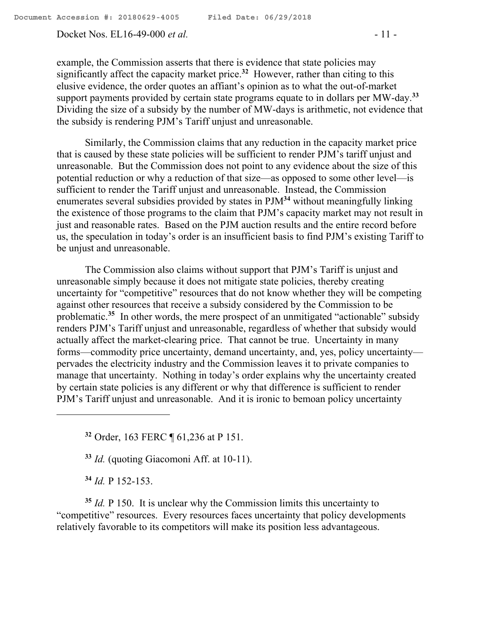Docket Nos. EL16-49-000 *et al.* - 11 -

example, the Commission asserts that there is evidence that state policies may significantly affect the capacity market price.**<sup>32</sup>** However, rather than citing to this elusive evidence, the order quotes an affiant's opinion as to what the out-of-market support payments provided by certain state programs equate to in dollars per MW-day.**<sup>33</sup>** Dividing the size of a subsidy by the number of MW-days is arithmetic, not evidence that the subsidy is rendering PJM's Tariff unjust and unreasonable.

Similarly, the Commission claims that any reduction in the capacity market price that is caused by these state policies will be sufficient to render PJM's tariff unjust and unreasonable. But the Commission does not point to any evidence about the size of this potential reduction or why a reduction of that size—as opposed to some other level—is sufficient to render the Tariff unjust and unreasonable. Instead, the Commission enumerates several subsidies provided by states in PJM**<sup>34</sup>** without meaningfully linking the existence of those programs to the claim that PJM's capacity market may not result in just and reasonable rates. Based on the PJM auction results and the entire record before us, the speculation in today's order is an insufficient basis to find PJM's existing Tariff to be unjust and unreasonable.

The Commission also claims without support that PJM's Tariff is unjust and unreasonable simply because it does not mitigate state policies, thereby creating uncertainty for "competitive" resources that do not know whether they will be competing against other resources that receive a subsidy considered by the Commission to be problematic.<sup>35</sup> In other words, the mere prospect of an unmitigated "actionable" subsidy renders PJM's Tariff unjust and unreasonable, regardless of whether that subsidy would actually affect the market-clearing price. That cannot be true. Uncertainty in many forms—commodity price uncertainty, demand uncertainty, and, yes, policy uncertainty pervades the electricity industry and the Commission leaves it to private companies to manage that uncertainty. Nothing in today's order explains why the uncertainty created by certain state policies is any different or why that difference is sufficient to render PJM's Tariff unjust and unreasonable. And it is ironic to bemoan policy uncertainty

**<sup>32</sup>** Order, 163 FERC ¶ 61,236 at P 151.

**<sup>33</sup>** *Id.* (quoting Giacomoni Aff. at 10-11).

**<sup>34</sup>** *Id.* P 152-153.

 $\overline{a}$ 

**<sup>35</sup>** *Id.* P 150. It is unclear why the Commission limits this uncertainty to "competitive" resources. Every resources faces uncertainty that policy developments relatively favorable to its competitors will make its position less advantageous.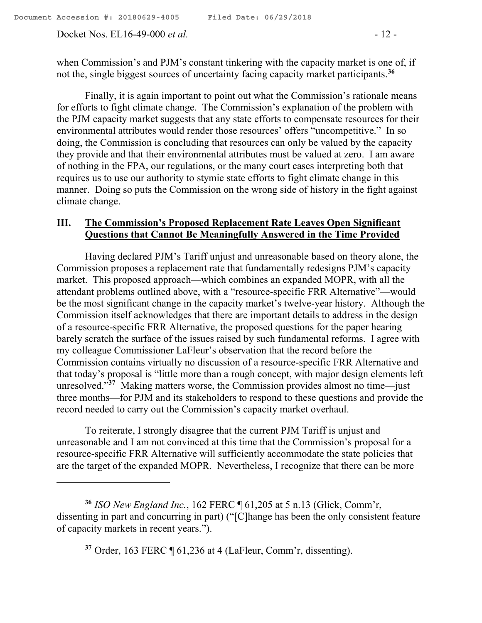Docket Nos. EL16-49-000 *et al.* - 12 -

 $\overline{a}$ 

when Commission's and PJM's constant tinkering with the capacity market is one of, if not the, single biggest sources of uncertainty facing capacity market participants.**<sup>36</sup>**

Finally, it is again important to point out what the Commission's rationale means for efforts to fight climate change. The Commission's explanation of the problem with the PJM capacity market suggests that any state efforts to compensate resources for their environmental attributes would render those resources' offers "uncompetitive." In so doing, the Commission is concluding that resources can only be valued by the capacity they provide and that their environmental attributes must be valued at zero. I am aware of nothing in the FPA, our regulations, or the many court cases interpreting both that requires us to use our authority to stymie state efforts to fight climate change in this manner. Doing so puts the Commission on the wrong side of history in the fight against climate change.

### **III. The Commission's Proposed Replacement Rate Leaves Open Significant Questions that Cannot Be Meaningfully Answered in the Time Provided**

Having declared PJM's Tariff unjust and unreasonable based on theory alone, the Commission proposes a replacement rate that fundamentally redesigns PJM's capacity market. This proposed approach—which combines an expanded MOPR, with all the attendant problems outlined above, with a "resource-specific FRR Alternative"—would be the most significant change in the capacity market's twelve-year history. Although the Commission itself acknowledges that there are important details to address in the design of a resource-specific FRR Alternative, the proposed questions for the paper hearing barely scratch the surface of the issues raised by such fundamental reforms. I agree with my colleague Commissioner LaFleur's observation that the record before the Commission contains virtually no discussion of a resource-specific FRR Alternative and that today's proposal is "little more than a rough concept, with major design elements left unresolved."**<sup>37</sup>** Making matters worse, the Commission provides almost no time—just three months—for PJM and its stakeholders to respond to these questions and provide the record needed to carry out the Commission's capacity market overhaul.

To reiterate, I strongly disagree that the current PJM Tariff is unjust and unreasonable and I am not convinced at this time that the Commission's proposal for a resource-specific FRR Alternative will sufficiently accommodate the state policies that are the target of the expanded MOPR. Nevertheless, I recognize that there can be more

**<sup>36</sup>** *ISO New England Inc.*, 162 FERC ¶ 61,205 at 5 n.13 (Glick, Comm'r, dissenting in part and concurring in part) ("[C]hange has been the only consistent feature of capacity markets in recent years.").

**<sup>37</sup>** Order, 163 FERC ¶ 61,236 at 4 (LaFleur, Comm'r, dissenting).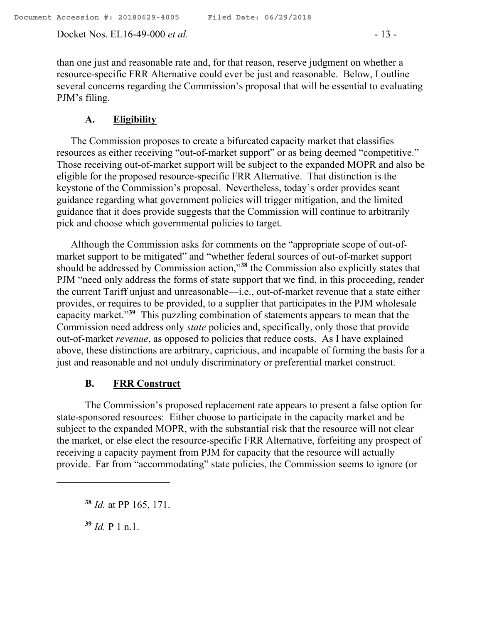Docket Nos. EL16-49-000 *et al.* - 13 -

than one just and reasonable rate and, for that reason, reserve judgment on whether a resource-specific FRR Alternative could ever be just and reasonable. Below, I outline several concerns regarding the Commission's proposal that will be essential to evaluating PJM's filing.

# **A. Eligibility**

The Commission proposes to create a bifurcated capacity market that classifies resources as either receiving "out-of-market support" or as being deemed "competitive." Those receiving out-of-market support will be subject to the expanded MOPR and also be eligible for the proposed resource-specific FRR Alternative. That distinction is the keystone of the Commission's proposal. Nevertheless, today's order provides scant guidance regarding what government policies will trigger mitigation, and the limited guidance that it does provide suggests that the Commission will continue to arbitrarily pick and choose which governmental policies to target.

Although the Commission asks for comments on the "appropriate scope of out-ofmarket support to be mitigated" and "whether federal sources of out-of-market support should be addressed by Commission action,"**<sup>38</sup>** the Commission also explicitly states that PJM "need only address the forms of state support that we find, in this proceeding, render the current Tariff unjust and unreasonable—i.e., out-of-market revenue that a state either provides, or requires to be provided, to a supplier that participates in the PJM wholesale capacity market."**<sup>39</sup>** This puzzling combination of statements appears to mean that the Commission need address only *state* policies and, specifically, only those that provide out-of-market *revenue*, as opposed to policies that reduce costs. As I have explained above, these distinctions are arbitrary, capricious, and incapable of forming the basis for a just and reasonable and not unduly discriminatory or preferential market construct.

# **B. FRR Construct**

The Commission's proposed replacement rate appears to present a false option for state-sponsored resources: Either choose to participate in the capacity market and be subject to the expanded MOPR, with the substantial risk that the resource will not clear the market, or else elect the resource-specific FRR Alternative, forfeiting any prospect of receiving a capacity payment from PJM for capacity that the resource will actually provide. Far from "accommodating" state policies, the Commission seems to ignore (or

**<sup>39</sup>** *Id.* P 1 n.1.

 $\overline{a}$ 

**<sup>38</sup>** *Id.* at PP 165, 171.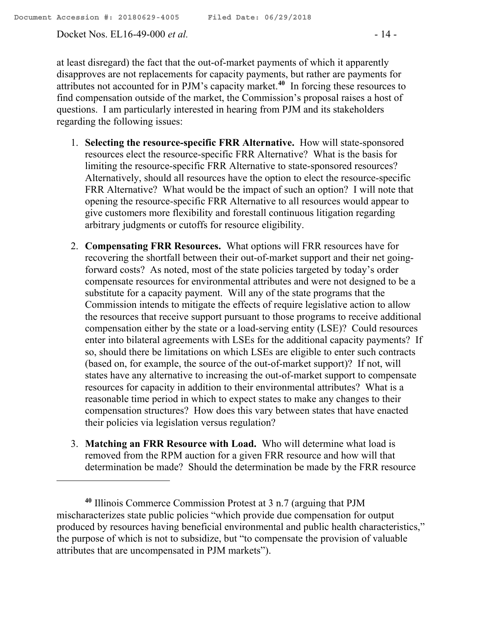Docket Nos. EL16-49-000 *et al.* - 14 -

 $\overline{a}$ 

at least disregard) the fact that the out-of-market payments of which it apparently disapproves are not replacements for capacity payments, but rather are payments for attributes not accounted for in PJM's capacity market.**<sup>40</sup>** In forcing these resources to find compensation outside of the market, the Commission's proposal raises a host of questions. I am particularly interested in hearing from PJM and its stakeholders regarding the following issues:

- 1. **Selecting the resource-specific FRR Alternative.** How will state-sponsored resources elect the resource-specific FRR Alternative? What is the basis for limiting the resource-specific FRR Alternative to state-sponsored resources? Alternatively, should all resources have the option to elect the resource-specific FRR Alternative? What would be the impact of such an option? I will note that opening the resource-specific FRR Alternative to all resources would appear to give customers more flexibility and forestall continuous litigation regarding arbitrary judgments or cutoffs for resource eligibility.
- 2. **Compensating FRR Resources.** What options will FRR resources have for recovering the shortfall between their out-of-market support and their net goingforward costs? As noted, most of the state policies targeted by today's order compensate resources for environmental attributes and were not designed to be a substitute for a capacity payment. Will any of the state programs that the Commission intends to mitigate the effects of require legislative action to allow the resources that receive support pursuant to those programs to receive additional compensation either by the state or a load-serving entity (LSE)? Could resources enter into bilateral agreements with LSEs for the additional capacity payments? If so, should there be limitations on which LSEs are eligible to enter such contracts (based on, for example, the source of the out-of-market support)? If not, will states have any alternative to increasing the out-of-market support to compensate resources for capacity in addition to their environmental attributes? What is a reasonable time period in which to expect states to make any changes to their compensation structures? How does this vary between states that have enacted their policies via legislation versus regulation?
- 3. **Matching an FRR Resource with Load.** Who will determine what load is removed from the RPM auction for a given FRR resource and how will that determination be made? Should the determination be made by the FRR resource

**<sup>40</sup>** Illinois Commerce Commission Protest at 3 n.7 (arguing that PJM mischaracterizes state public policies "which provide due compensation for output produced by resources having beneficial environmental and public health characteristics," the purpose of which is not to subsidize, but "to compensate the provision of valuable attributes that are uncompensated in PJM markets").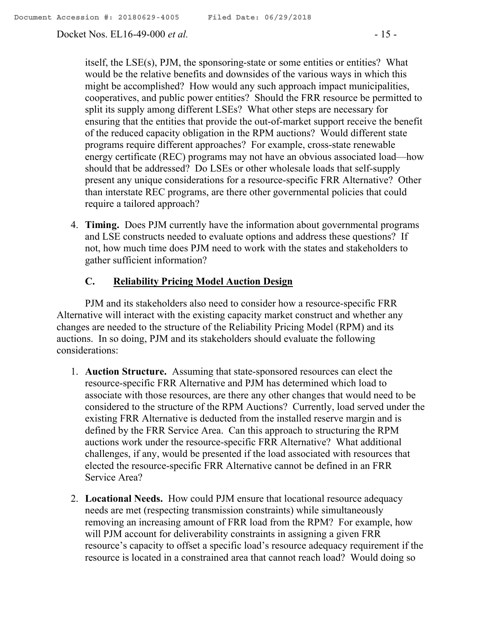Docket Nos. EL16-49-000 *et al.* - 15 -

itself, the LSE(s), PJM, the sponsoring-state or some entities or entities? What would be the relative benefits and downsides of the various ways in which this might be accomplished? How would any such approach impact municipalities, cooperatives, and public power entities? Should the FRR resource be permitted to split its supply among different LSEs? What other steps are necessary for ensuring that the entities that provide the out-of-market support receive the benefit of the reduced capacity obligation in the RPM auctions? Would different state programs require different approaches? For example, cross-state renewable energy certificate (REC) programs may not have an obvious associated load—how should that be addressed? Do LSEs or other wholesale loads that self-supply present any unique considerations for a resource-specific FRR Alternative? Other than interstate REC programs, are there other governmental policies that could require a tailored approach?

4. **Timing.** Does PJM currently have the information about governmental programs and LSE constructs needed to evaluate options and address these questions? If not, how much time does PJM need to work with the states and stakeholders to gather sufficient information?

### **C. Reliability Pricing Model Auction Design**

PJM and its stakeholders also need to consider how a resource-specific FRR Alternative will interact with the existing capacity market construct and whether any changes are needed to the structure of the Reliability Pricing Model (RPM) and its auctions. In so doing, PJM and its stakeholders should evaluate the following considerations:

- 1. **Auction Structure.** Assuming that state-sponsored resources can elect the resource-specific FRR Alternative and PJM has determined which load to associate with those resources, are there any other changes that would need to be considered to the structure of the RPM Auctions? Currently, load served under the existing FRR Alternative is deducted from the installed reserve margin and is defined by the FRR Service Area. Can this approach to structuring the RPM auctions work under the resource-specific FRR Alternative? What additional challenges, if any, would be presented if the load associated with resources that elected the resource-specific FRR Alternative cannot be defined in an FRR Service Area?
- 2. **Locational Needs.** How could PJM ensure that locational resource adequacy needs are met (respecting transmission constraints) while simultaneously removing an increasing amount of FRR load from the RPM? For example, how will PJM account for deliverability constraints in assigning a given FRR resource's capacity to offset a specific load's resource adequacy requirement if the resource is located in a constrained area that cannot reach load? Would doing so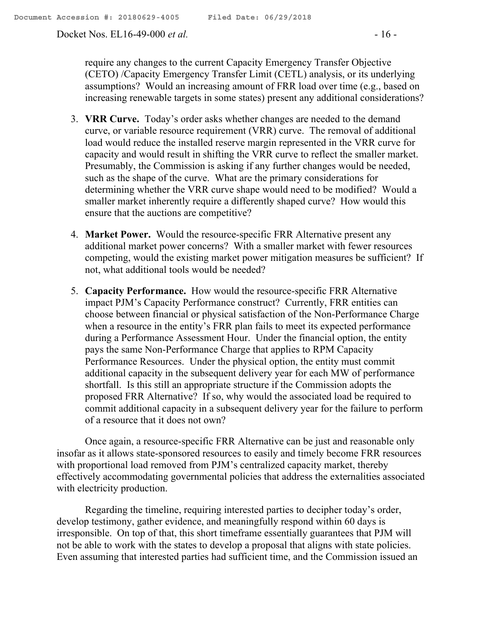Docket Nos. EL16-49-000 *et al.* - 16 -

require any changes to the current Capacity Emergency Transfer Objective (CETO) /Capacity Emergency Transfer Limit (CETL) analysis, or its underlying assumptions? Would an increasing amount of FRR load over time (e.g., based on increasing renewable targets in some states) present any additional considerations?

- 3. **VRR Curve.** Today's order asks whether changes are needed to the demand curve, or variable resource requirement (VRR) curve. The removal of additional load would reduce the installed reserve margin represented in the VRR curve for capacity and would result in shifting the VRR curve to reflect the smaller market. Presumably, the Commission is asking if any further changes would be needed, such as the shape of the curve. What are the primary considerations for determining whether the VRR curve shape would need to be modified? Would a smaller market inherently require a differently shaped curve? How would this ensure that the auctions are competitive?
- 4. **Market Power.** Would the resource-specific FRR Alternative present any additional market power concerns? With a smaller market with fewer resources competing, would the existing market power mitigation measures be sufficient? If not, what additional tools would be needed?
- 5. **Capacity Performance.** How would the resource-specific FRR Alternative impact PJM's Capacity Performance construct? Currently, FRR entities can choose between financial or physical satisfaction of the Non-Performance Charge when a resource in the entity's FRR plan fails to meet its expected performance during a Performance Assessment Hour. Under the financial option, the entity pays the same Non-Performance Charge that applies to RPM Capacity Performance Resources. Under the physical option, the entity must commit additional capacity in the subsequent delivery year for each MW of performance shortfall. Is this still an appropriate structure if the Commission adopts the proposed FRR Alternative? If so, why would the associated load be required to commit additional capacity in a subsequent delivery year for the failure to perform of a resource that it does not own?

Once again, a resource-specific FRR Alternative can be just and reasonable only insofar as it allows state-sponsored resources to easily and timely become FRR resources with proportional load removed from PJM's centralized capacity market, thereby effectively accommodating governmental policies that address the externalities associated with electricity production.

Regarding the timeline, requiring interested parties to decipher today's order, develop testimony, gather evidence, and meaningfully respond within 60 days is irresponsible. On top of that, this short timeframe essentially guarantees that PJM will not be able to work with the states to develop a proposal that aligns with state policies. Even assuming that interested parties had sufficient time, and the Commission issued an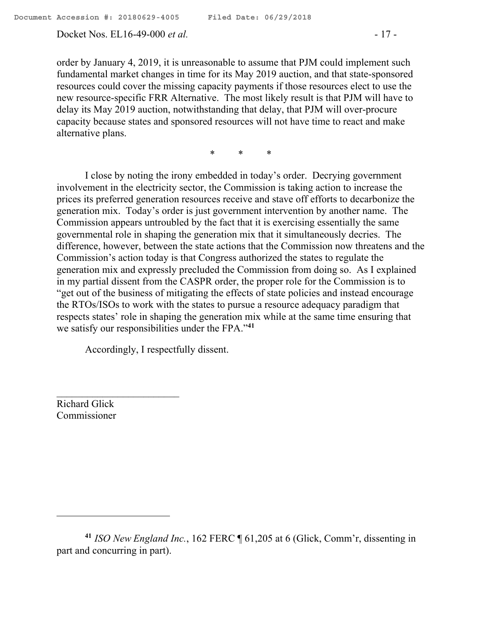order by January 4, 2019, it is unreasonable to assume that PJM could implement such fundamental market changes in time for its May 2019 auction, and that state-sponsored resources could cover the missing capacity payments if those resources elect to use the new resource-specific FRR Alternative. The most likely result is that PJM will have to delay its May 2019 auction, notwithstanding that delay, that PJM will over-procure capacity because states and sponsored resources will not have time to react and make alternative plans.

\* \* \*

I close by noting the irony embedded in today's order. Decrying government involvement in the electricity sector, the Commission is taking action to increase the prices its preferred generation resources receive and stave off efforts to decarbonize the generation mix. Today's order is just government intervention by another name. The Commission appears untroubled by the fact that it is exercising essentially the same governmental role in shaping the generation mix that it simultaneously decries. The difference, however, between the state actions that the Commission now threatens and the Commission's action today is that Congress authorized the states to regulate the generation mix and expressly precluded the Commission from doing so. As I explained in my partial dissent from the CASPR order, the proper role for the Commission is to "get out of the business of mitigating the effects of state policies and instead encourage the RTOs/ISOs to work with the states to pursue a resource adequacy paradigm that respects states' role in shaping the generation mix while at the same time ensuring that we satisfy our responsibilities under the FPA."**<sup>41</sup>**

Accordingly, I respectfully dissent.

Richard Glick Commissioner

**<sup>41</sup>** *ISO New England Inc.*, 162 FERC ¶ 61,205 at 6 (Glick, Comm'r, dissenting in part and concurring in part).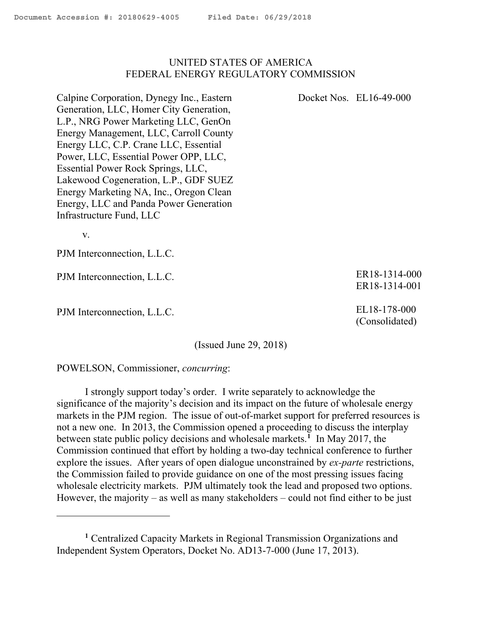### UNITED STATES OF AMERICA FEDERAL ENERGY REGULATORY COMMISSION

Calpine Corporation, Dynegy Inc., Eastern Generation, LLC, Homer City Generation, L.P., NRG Power Marketing LLC, GenOn Energy Management, LLC, Carroll County Energy LLC, C.P. Crane LLC, Essential Power, LLC, Essential Power OPP, LLC, Essential Power Rock Springs, LLC, Lakewood Cogeneration, L.P., GDF SUEZ Energy Marketing NA, Inc., Oregon Clean Energy, LLC and Panda Power Generation Infrastructure Fund, LLC

v.

PJM Interconnection, L.L.C.

PJM Interconnection, L.L.C.

PJM Interconnection, L.L.C.

(Issued June 29, 2018)

POWELSON, Commissioner, *concurring*:

I strongly support today's order. I write separately to acknowledge the significance of the majority's decision and its impact on the future of wholesale energy markets in the PJM region. The issue of out-of-market support for preferred resources is not a new one. In 2013, the Commission opened a proceeding to discuss the interplay between state public policy decisions and wholesale markets.**<sup>1</sup>** In May 2017, the Commission continued that effort by holding a two-day technical conference to further explore the issues. After years of open dialogue unconstrained by *ex-parte* restrictions, the Commission failed to provide guidance on one of the most pressing issues facing wholesale electricity markets. PJM ultimately took the lead and proposed two options. However, the majority – as well as many stakeholders – could not find either to be just

ER18-1314-000 ER18-1314-001

EL18-178-000 (Consolidated)

Docket Nos. EL16-49-000

**<sup>1</sup>** Centralized Capacity Markets in Regional Transmission Organizations and Independent System Operators, Docket No. AD13-7-000 (June 17, 2013).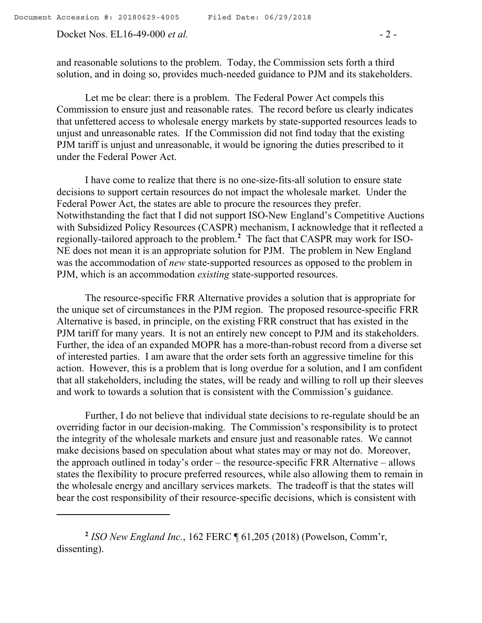Docket Nos. EL16-49-000 *et al.* - 2 -

and reasonable solutions to the problem. Today, the Commission sets forth a third solution, and in doing so, provides much-needed guidance to PJM and its stakeholders.

Let me be clear: there is a problem. The Federal Power Act compels this Commission to ensure just and reasonable rates. The record before us clearly indicates that unfettered access to wholesale energy markets by state-supported resources leads to unjust and unreasonable rates. If the Commission did not find today that the existing PJM tariff is unjust and unreasonable, it would be ignoring the duties prescribed to it under the Federal Power Act.

I have come to realize that there is no one-size-fits-all solution to ensure state decisions to support certain resources do not impact the wholesale market. Under the Federal Power Act, the states are able to procure the resources they prefer. Notwithstanding the fact that I did not support ISO-New England's Competitive Auctions with Subsidized Policy Resources (CASPR) mechanism, I acknowledge that it reflected a regionally-tailored approach to the problem.**<sup>2</sup>** The fact that CASPR may work for ISO-NE does not mean it is an appropriate solution for PJM. The problem in New England was the accommodation of *new* state-supported resources as opposed to the problem in PJM, which is an accommodation *existing* state-supported resources.

The resource-specific FRR Alternative provides a solution that is appropriate for the unique set of circumstances in the PJM region. The proposed resource-specific FRR Alternative is based, in principle, on the existing FRR construct that has existed in the PJM tariff for many years. It is not an entirely new concept to PJM and its stakeholders. Further, the idea of an expanded MOPR has a more-than-robust record from a diverse set of interested parties. I am aware that the order sets forth an aggressive timeline for this action. However, this is a problem that is long overdue for a solution, and I am confident that all stakeholders, including the states, will be ready and willing to roll up their sleeves and work to towards a solution that is consistent with the Commission's guidance.

Further, I do not believe that individual state decisions to re-regulate should be an overriding factor in our decision-making. The Commission's responsibility is to protect the integrity of the wholesale markets and ensure just and reasonable rates. We cannot make decisions based on speculation about what states may or may not do. Moreover, the approach outlined in today's order – the resource-specific FRR Alternative – allows states the flexibility to procure preferred resources, while also allowing them to remain in the wholesale energy and ancillary services markets. The tradeoff is that the states will bear the cost responsibility of their resource-specific decisions, which is consistent with

**<sup>2</sup>** *ISO New England Inc.*, 162 FERC ¶ 61,205 (2018) (Powelson, Comm'r, dissenting).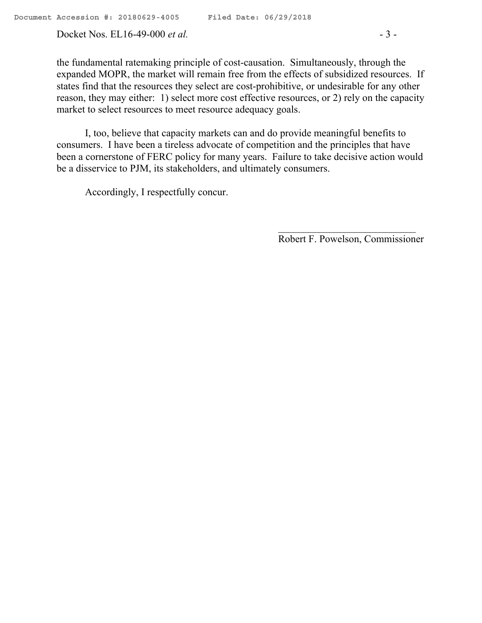Docket Nos. EL16-49-000 *et al.* - 3 -

the fundamental ratemaking principle of cost-causation. Simultaneously, through the expanded MOPR, the market will remain free from the effects of subsidized resources. If states find that the resources they select are cost-prohibitive, or undesirable for any other reason, they may either: 1) select more cost effective resources, or 2) rely on the capacity market to select resources to meet resource adequacy goals.

I, too, believe that capacity markets can and do provide meaningful benefits to consumers. I have been a tireless advocate of competition and the principles that have been a cornerstone of FERC policy for many years. Failure to take decisive action would be a disservice to PJM, its stakeholders, and ultimately consumers.

Accordingly, I respectfully concur.

Robert F. Powelson, Commissioner